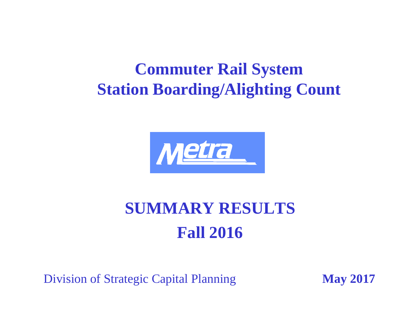# **Commuter Rail System Station Boarding/Alighting Count**



# **SUMMARY RESULTS Fall 2016**

Division of Strategic Capital Planning May 2017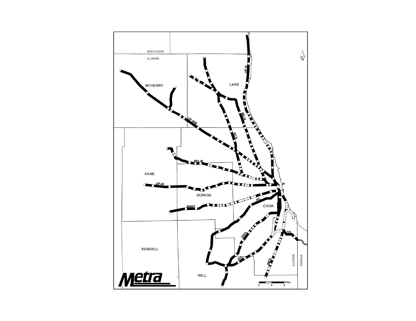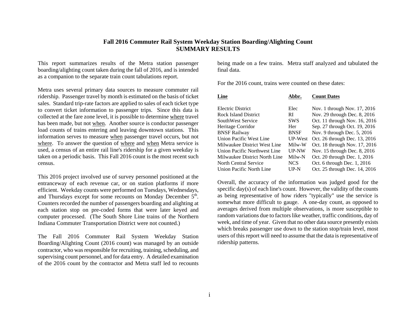#### **Fall 2016 Commuter Rail System Weekday Station Boarding/Alighting Count SUMMARY RESULTS**

This report summarizes results of the Metra station passenger boarding/alighting count taken during the fall of 2016, and is intended as a companion to the separate train count tabulations report.

Metra uses several primary data sources to measure commuter rail ridership. Passenger travel by month is estimated on the basis of ticket sales. Standard trip-rate factors are applied to sales of each ticket type to convert ticket information to passenger trips. Since this data is collected at the fare zone level, it is possible to determine where travel has been made, but not when. Another source is conductor passenger load counts of trains entering and leaving downtown stations. This information serves to measure when passenger travel occurs, but not where. To answer the question of where and when Metra service is used, a census of an entire rail line's ridership for a given weekday is taken on a periodic basis. This Fall 2016 count is the most recent such census.

This 2016 project involved use of survey personnel positioned at the entranceway of each revenue car, or on station platforms if more efficient. Weekday counts were performed on Tuesdays, Wednesdays, and Thursdays except for some recounts on Monday December  $5<sup>th</sup>$ . Counters recorded the number of passengers boarding and alighting at each station stop on pre-coded forms that were later keyed and computer processed. (The South Shore Line trains of the Northern Indiana Commuter Transportation District were not counted.)

The Fall 2016 Commuter Rail System Weekday Station Boarding/Alighting Count (2016 count) was managed by an outside contractor, who was responsible for recruiting, training, scheduling, and supervising count personnel, and for data entry. A detailed examination of the 2016 count by the contractor and Metra staff led to recounts being made on a few trains. Metra staff analyzed and tabulated the final data.

For the 2016 count, trains were counted on these dates:

| Abbr.       | <b>Count Dates</b>            |
|-------------|-------------------------------|
| Elec        | Nov. 1 through Nov. 17, 2016  |
| RI          | Nov. 29 through Dec. 8, 2016  |
| <b>SWS</b>  | Oct. 11 through Nov. 16, 2016 |
| Her         | Sep. 27 through Oct. 19, 2016 |
| <b>BNSF</b> | Nov. 9 through Dec. 5, 2016   |
| UP-West     | Oct. 26 through Dec. 13, 2016 |
| Milw-W      | Oct. 18 through Nov. 17, 2016 |
| UP-NW       | Nov. 15 through Dec. 8, 2016  |
| Milw-N      | Oct. 20 through Dec. 1, 2016  |
| <b>NCS</b>  | Oct. 6 through Dec. 1, 2016   |
| $UP-N$      | Oct. 25 through Dec. 14, 2016 |
|             |                               |

Overall, the accuracy of the information was judged good for the specific day(s) of each line's count. However, the validity of the counts as being representative of how riders "typically" use the service is somewhat more difficult to gauge. A one-day count, as opposed to averages derived from multiple observations, is more susceptible to random variations due to factors like weather, traffic conditions, day of week, and time of year. Given that no other data source presently exists which breaks passenger use down to the station stop/train level, most users of this report will need to assume that the data is representative of ridership patterns.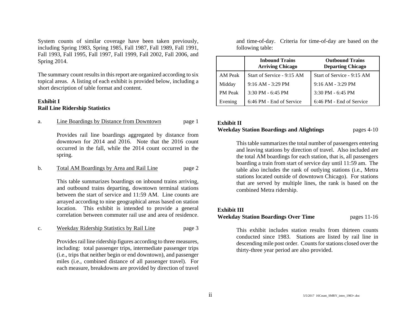System counts of similar coverage have been taken previously, including Spring 1983, Spring 1985, Fall 1987, Fall 1989, Fall 1991, Fall 1993, Fall 1995, Fall 1997, Fall 1999, Fall 2002, Fall 2006, and Spring 2014.

The summary count results in this report are organized according to six topical areas. A listing of each exhibit is provided below, including a short description of table format and content.

#### **Exhibit I Rail Line Ridership Statistics**

#### a. Line Boardings by Distance from Downtown page 1

Provides rail line boardings aggregated by distance from downtown for 2014 and 2016. Note that the 2016 count occurred in the fall, while the 2014 count occurred in the spring.

#### b. Total AM Boardings by Area and Rail Line page 2

This table summarizes boardings on inbound trains arriving, and outbound trains departing, downtown terminal stations between the start of service and 11:59 AM. Line counts are arrayed according to nine geographical areas based on station location. This exhibit is intended to provide a general correlation between commuter rail use and area of residence.

#### c. Weekday Ridership Statistics by Rail Line page 3

Provides rail line ridership figures according to three measures, including: total passenger trips, intermediate passenger trips (i.e., trips that neither begin or end downtown), and passenger miles (i.e., combined distance of all passenger travel). For each measure, breakdowns are provided by direction of travel

and time-of-day. Criteria for time-of-day are based on the following table:

|                | <b>Inbound Trains</b><br><b>Arriving Chicago</b> | <b>Outbound Trains</b><br><b>Departing Chicago</b> |
|----------------|--------------------------------------------------|----------------------------------------------------|
| AM Peak        | Start of Service - 9:15 AM                       | Start of Service - 9:15 AM                         |
| Midday         | $9:16$ AM - 3:29 PM                              | $9:16$ AM - 3:29 PM                                |
| <b>PM</b> Peak | $3:30$ PM - 6:45 PM                              | $3:30$ PM - 6:45 PM                                |
| Evening        | 6:46 PM - End of Service                         | 6:46 PM - End of Service                           |

#### **Exhibit II Weekday Station Boardings and Alightings** pages 4-10

This table summarizes the total number of passengers entering and leaving stations by direction of travel. Also included are the total AM boardings for each station, that is, all passengers boarding a train from start of service day until 11:59 am. The table also includes the rank of outlying stations (i.e., Metra stations located outside of downtown Chicago). For stations that are served by multiple lines, the rank is based on the combined Metra ridership.

#### **Exhibit III**

#### **Weekday Station Boardings Over Time** pages 11-16

This exhibit includes station results from thirteen counts conducted since 1983. Stations are listed by rail line in descending mile post order. Counts for stations closed over the thirty-three year period are also provided.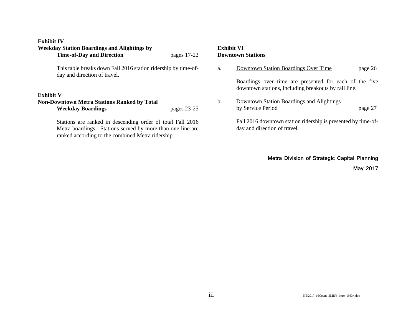#### **Exhibit IV**

| <b>Weekday Station Boardings and Alightings by</b>                                                                                                                            |               | Exhibi |
|-------------------------------------------------------------------------------------------------------------------------------------------------------------------------------|---------------|--------|
| <b>Time-of-Day and Direction</b>                                                                                                                                              | pages 17-22   | Downt  |
| This table breaks down Fall 2016 station ridership by time-of-<br>day and direction of travel.                                                                                |               | a.     |
| <b>Exhibit V</b>                                                                                                                                                              |               | b.     |
| <b>Non-Downtown Metra Stations Ranked by Total</b><br><b>Weekday Boardings</b>                                                                                                | pages $23-25$ |        |
| Stations are ranked in descending order of total Fall 2016<br>Metra boardings. Stations served by more than one line are<br>ranked according to the combined Metra ridership. |               |        |

### **Exhibit VI Downtown Stations**

| a. | Downtown Station Boardings Over Time                                                                           | page 26 |
|----|----------------------------------------------------------------------------------------------------------------|---------|
|    | Boardings over time are presented for each of the five<br>downtown stations, including breakouts by rail line. |         |
| b. | Downtown Station Boardings and Alightings<br>by Service Period                                                 | page 27 |
|    | Fall 2016 downtown station ridership is presented by time-of-<br>day and direction of travel.                  |         |

**Metra Division of Strategic Capital Planning**

**May 2017**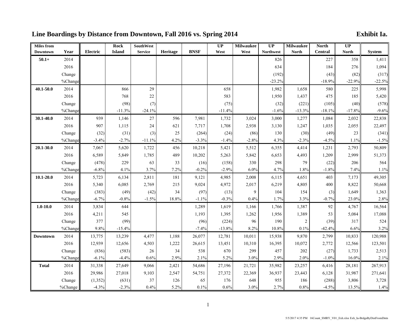## **Line Boardings by Distance from Downtown, Fall 2016 vs. Spring 2014 Exhibit Ia.**

| <b>Miles</b> from |         |                 | <b>Rock</b>   | <b>SouthWest</b> |          |             | $\overline{UP}$ | <b>Milwaukee</b> | $\overline{UP}$  | <b>Milwaukee</b> | <b>North</b>   | $\overline{UP}$ |               |
|-------------------|---------|-----------------|---------------|------------------|----------|-------------|-----------------|------------------|------------------|------------------|----------------|-----------------|---------------|
| <b>Downtown</b>   | Year    | <b>Electric</b> | <b>Island</b> | <b>Service</b>   | Heritage | <b>BNSF</b> | West            | West             | <b>Northwest</b> | <b>North</b>     | <b>Central</b> | <b>North</b>    | <b>System</b> |
| $50.1+$           | 2014    |                 |               |                  |          |             |                 |                  | 826              |                  | 227            | 358             | 1,411         |
|                   | 2016    |                 |               |                  |          |             |                 |                  | 634              |                  | 184            | 276             | 1,094         |
|                   | Change  |                 |               |                  |          |             |                 |                  | (192)            |                  | (43)           | (82)            | (317)         |
|                   | %Change |                 |               |                  |          |             |                 |                  | $-23.2%$         |                  | $-18.9%$       | $-22.9%$        | $-22.5%$      |
| 40.1-50.0         | 2014    |                 | 866           | 29               |          |             | 658             |                  | 1,982            | 1,658            | 580            | 225             | 5,998         |
|                   | 2016    |                 | 768           | 22               |          |             | 583             |                  | 1,950            | 1,437            | 475            | 185             | 5,420         |
|                   | Change  |                 | (98)          | (7)              |          |             | (75)            |                  | (32)             | (221)            | (105)          | (40)            | (578)         |
|                   | %Change |                 | $-11.3%$      | $-24.1%$         |          |             | $-11.4%$        |                  | $-1.6%$          | $-13.3%$         | $-18.1%$       | $-17.8%$        | $-9.6%$       |
| 30.1-40.0         | 2014    | 939             | 1,146         | 27               | 596      | 7,981       | 1,732           | 3,024            | 3,000            | 1,277            | 1,084          | 2,032           | 22,838        |
|                   | 2016    | 907             | 1,115         | 24               | 621      | 7,717       | 1,708           | 2,938            | 3,130            | 1,247            | 1,035          | 2,055           | 22,497        |
|                   | Change  | (32)            | (31)          | (3)              | 25       | (264)       | (24)            | (86)             | 130              | (30)             | (49)           | 23              | (341)         |
|                   | %Change | $-3.4%$         | $-2.7%$       | $-11.1%$         | 4.2%     | $-3.3%$     | $-1.4%$         | $-2.8%$          | 4.3%             | $-2.3%$          | $-4.5%$        | 1.1%            | $-1.5%$       |
| 20.1-30.0         | 2014    | 7,067           | 5,620         | 1,722            | 456      | 10,218      | 5,421           | 5,512            | 6,355            | 4,414            | 1,231          | 2,793           | 50,809        |
|                   | 2016    | 6,589           | 5,849         | 1,785            | 489      | 10,202      | 5,263           | 5,842            | 6,653            | 4,493            | 1,209          | 2,999           | 51,373        |
|                   | Change  | (478)           | 229           | 63               | 33       | (16)        | (158)           | 330              | 298              | 79               | (22)           | 206             | 564           |
|                   | %Change | $-6.8%$         | 4.1%          | 3.7%             | 7.2%     | $-0.2%$     | $-2.9%$         | 6.0%             | 4.7%             | 1.8%             | $-1.8%$        | 7.4%            | 1.1%          |
| $10.1 - 20.0$     | 2014    | 5,723           | 6,134         | 2,811            | 181      | 9,121       | 4,985           | 2,008            | 6,115            | 4,651            | 403            | 7,173           | 49,305        |
|                   | 2016    | 5,340           | 6,085         | 2,769            | 215      | 9,024       | 4,972           | 2,017            | 6,219            | 4,805            | 400            | 8,822           | 50,668        |
|                   | Change  | (383)           | (49)          | (42)             | 34       | (97)        | (13)            | 9                | 104              | 154              | (3)            | 1,649           | 1,363         |
|                   | %Change | $-6.7%$         | $-0.8%$       | $-1.5%$          | 18.8%    | $-1.1%$     | $-0.3%$         | 0.4%             | 1.7%             | 3.3%             | $-0.7%$        | 23.0%           | 2.8%          |
| $1.0 - 10.0$      | 2014    | 3,834           | 644           |                  |          | 1,289       | 1,619           | 1,166            | 1,766            | 1,387            | 92             | 4,767           | 16,564        |
|                   | 2016    | 4,211           | 545           |                  |          | 1,193       | 1,395           | 1,262            | 1,956            | 1,389            | 53             | 5,084           | 17,088        |
|                   | Change  | 377             | (99)          |                  |          | (96)        | (224)           | 96               | 190              | $\sqrt{2}$       | (39)           | 317             | 524           |
|                   | %Change | 9.8%            | $-15.4%$      |                  |          | $-7.4%$     | $-13.8%$        | 8.2%             | 10.8%            | 0.1%             | $-42.4%$       | 6.6%            | 3.2%          |
| <b>Downtown</b>   | 2014    | 13,775          | 13,239        | 4,477            | 1,188    | 26,077      | 12,781          | 10,011           | 15,938           | 9,870            | 2,799          | 10,833          | 120,988       |
|                   | 2016    | 12,939          | 12,656        | 4,503            | 1,222    | 26,615      | 13,451          | 10,310           | 16,395           | 10,072           | 2,772          | 12,566          | 123,501       |
|                   | Change  | (836)           | (583)         | 26               | 34       | 538         | 670             | 299              | 457              | 202              | (27)           | 1,733           | 2,513         |
|                   | %Change | $-6.1%$         | $-4.4%$       | 0.6%             | 2.9%     | 2.1%        | 5.2%            | 3.0%             | 2.9%             | 2.0%             | $-1.0%$        | 16.0%           | 2.1%          |
| <b>Total</b>      | 2014    | 31,338          | 27,649        | 9,066            | 2,421    | 54,686      | 27,196          | 21,721           | 35,982           | 23,257           | 6,416          | 28,181          | 267,913       |
|                   | 2016    | 29,986          | 27,018        | 9,103            | 2,547    | 54,751      | 27,372          | 22,369           | 36,937           | 23,443           | 6,128          | 31,987          | 271,641       |
|                   | Change  | (1, 352)        | (631)         | 37               | 126      | 65          | 176             | 648              | 955              | 186              | (288)          | 3,806           | 3,728         |
|                   | %Change | $-4.3%$         | $-2.3%$       | 0.4%             | 5.2%     | 0.1%        | 0.6%            | 3.0%             | 2.7%             | 0.8%             | $-4.5%$        | 13.5%           | 1.4%          |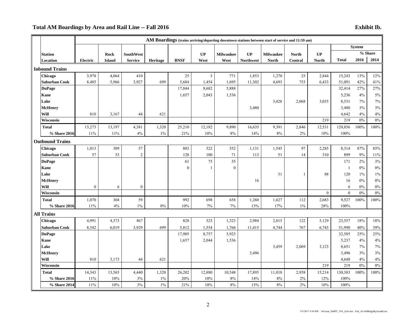### **Total AM Boardings by Area and Rail Line -- Fall 2016 Exhibit Ib.**

|                        |              |               |                  |          |                  |        |                  |                  | AM Boardings (trains arriving/departing downtown stations between start of service and 11:59 am) |                |              |                   |               |                |
|------------------------|--------------|---------------|------------------|----------|------------------|--------|------------------|------------------|--------------------------------------------------------------------------------------------------|----------------|--------------|-------------------|---------------|----------------|
|                        |              |               |                  |          |                  |        |                  |                  |                                                                                                  |                |              |                   | <b>System</b> |                |
| <b>Station</b>         |              | Rock          | <b>SouthWest</b> |          |                  | UP     | <b>Milwaukee</b> | UP               | <b>Milwaukee</b>                                                                                 | <b>North</b>   | UP           |                   |               | % Share        |
| Location               | Electric     | <b>Island</b> | <b>Service</b>   | Heritage | <b>BNSF</b>      | West   | West             | <b>Northwest</b> | <b>North</b>                                                                                     | <b>Central</b> | <b>North</b> | <b>Total</b>      | 2016          | 2014           |
| <b>Inbound Trains</b>  |              |               |                  |          |                  |        |                  |                  |                                                                                                  |                |              |                   |               |                |
| Chicago                | 3,978        | 4,064         | 410              |          | 25               | 3      | 771              | 1,853            | 1,270                                                                                            | 25             | 2,844        | 15,243            | 13%           | 12%            |
| <b>Suburban Cook</b>   | 8,485        | 5,966         | 3,927            | 699      | 5,684            | 1,454  | 1,695            | 11,302           | 4,693                                                                                            | 753            | 6,433        | 51,091            | 42%           | 41%            |
| <b>DuPage</b>          |              |               |                  |          | 17,844           | 8,682  | 5,888            |                  |                                                                                                  |                |              | 32,414            | 27%           | 27%            |
| Kane                   |              |               |                  |          | 1,657            | 2,043  | 1,536            |                  |                                                                                                  |                |              | 5,236             | 4%            | $5\%$          |
| Lake                   |              |               |                  |          |                  |        |                  |                  | 3,428                                                                                            | 2,068          | 3,035        | 8,531             | 7%            | 7%             |
| <b>McHenry</b>         |              |               |                  |          |                  |        |                  | 3,480            |                                                                                                  |                |              | 3,480             | 3%            | $3\%$          |
| Will                   | 810          | 3,167         | 44               | 621      |                  |        |                  |                  |                                                                                                  |                |              | 4,642             | 4%            | $4\%$          |
| Wisconsin              |              |               |                  |          |                  |        |                  |                  |                                                                                                  |                | 219          | 219               | 0%            | $0\%$          |
| <b>Total</b>           | 13,273       | 13,197        | 4,381            | 1,320    | 25,210           | 12,182 | 9,890            | 16,635           | 9,391                                                                                            | 2,846          | 12,531       | 120,856           | 100%          | 100%           |
| % Share 2016           | 11%          | 11%           | 4%               | $1\%$    | 21%              | 10%    | 8%               | 14%              | 8%                                                                                               | $2\%$          | 10%          | 100%              |               |                |
| <b>Outbound Trains</b> |              |               |                  |          |                  |        |                  |                  |                                                                                                  |                |              |                   |               |                |
| Chicago                | 1,013        | 309           | 57               |          | 803              | 522    | 552              | 1,131            | 1,545                                                                                            | 97             | 2,285        | 8,314             | 87%           | 85%            |
| <b>Suburban Cook</b>   | 57           | 53            | $\sqrt{2}$       |          | 128              | 100    | 71               | 113              | 51                                                                                               | 14             | 310          | 899               | 9%            | $11\%$         |
| <b>DuPage</b>          |              |               |                  |          | 61               | 75     | 35               |                  |                                                                                                  |                |              | 171               | 2%            | $3\%$          |
| Kane                   |              |               |                  |          | $\boldsymbol{0}$ | 1      | $\theta$         |                  |                                                                                                  |                |              | -1                | $0\%$         | $0\%$          |
| Lake                   |              |               |                  |          |                  |        |                  |                  | 31                                                                                               | 1              | 88           | 120               | $1\%$         | $1\%$          |
| <b>McHenry</b>         |              |               |                  |          |                  |        |                  | 16               |                                                                                                  |                |              | 16                | $0\%$         | $0\%$          |
| Will<br>Wisconsin      | $\mathbf{0}$ | 6             | $\boldsymbol{0}$ |          |                  |        |                  |                  |                                                                                                  |                | $\mathbf{0}$ | 6<br>$\mathbf{0}$ | 0%<br>0%      | $0\%$<br>$0\%$ |
| <b>Total</b>           | 1,070        | 368           | 59               |          | 992              | 698    | 658              | 1,260            | 1,627                                                                                            | 112            | 2,683        | 9,527             | 100%          | 100%           |
| % Share 2016           | $11\%$       | 4%            | $1\%$            | $0\%$    | 10%              | $7\%$  | $7\%$            | 13%              | 17%                                                                                              | $1\%$          | 28%          | 100%              |               |                |
| <b>All Trains</b>      |              |               |                  |          |                  |        |                  |                  |                                                                                                  |                |              |                   |               |                |
| Chicago                | 4,991        | 4,373         | 467              |          | 828              | 525    | 1,323            | 2,984            | 2,815                                                                                            | 122            | 5,129        | 23,557            | 18%           | 18%            |
| <b>Suburban Cook</b>   | 8,542        | 6,019         | 3,929            | 699      | 5,812            | 1,554  | 1,766            | 11,415           | 4,744                                                                                            | 767            | 6,743        | 51,990            | 40%           | 39%            |
| <b>DuPage</b>          |              |               |                  |          | 17,905           | 8,757  | 5,923            |                  |                                                                                                  |                |              | 32,585            | 25%           | 25%            |
| Kane                   |              |               |                  |          | 1,657            | 2,044  | 1,536            |                  |                                                                                                  |                |              | 5,237             | 4%            | $4\%$          |
| Lake                   |              |               |                  |          |                  |        |                  |                  | 3,459                                                                                            | 2,069          | 3,123        | 8,651             | 7%            | $7\%$          |
| <b>McHenry</b>         |              |               |                  |          |                  |        |                  | 3,496            |                                                                                                  |                |              | 3,496             | 3%            | $3\%$          |
| Will                   | 810          | 3,173         | 44               | 621      |                  |        |                  |                  |                                                                                                  |                |              | 4,648             | 4%            | 4%             |
| Wisconsin              |              |               |                  |          |                  |        |                  |                  |                                                                                                  |                | 219          | 219               | $0\%$         | $0\%$          |
| <b>Total</b>           | 14,343       | 13,565        | 4,440            | 1,320    | 26,202           | 12,880 | 10,548           | 17,895           | 11,018                                                                                           | 2,958          | 15,214       | 130,383           | 100%          | 100%           |
| % Share 2016           | 11%          | 10%           | 3%               | $1\%$    | 20%              | 10%    | 8%               | 14%              | 8%                                                                                               | 2%             | 12%          | 100%              |               |                |
| % Share 2014           | 11%          | 10%           | 3%               | $1\%$    | 21%              | 10%    | 8%               | 13%              | 8%                                                                                               | 2%             | 10%          | 100%              |               |                |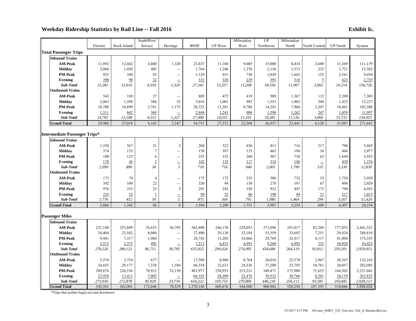### **Weekday Ridership Statistics by Rail Line -- Fall 2016 Exhibit Ic.**

|                                      |                    |                | SouthWest          |                          |                      |                | Milwaukee          | UP                 | Milwaukee   |                |                    |                        |
|--------------------------------------|--------------------|----------------|--------------------|--------------------------|----------------------|----------------|--------------------|--------------------|-------------|----------------|--------------------|------------------------|
|                                      | Electric           | Rock Island    | Service            | Heritage                 | <b>BNSF</b>          | <b>UP</b> West | West               | Northwest          | North       | North Central  | <b>UP</b> North    | System                 |
| <b>Total Passenger Trips</b>         |                    |                |                    |                          |                      |                |                    |                    |             |                |                    |                        |
| <b>Inbound Trains</b>                |                    |                |                    |                          |                      |                |                    |                    |             |                |                    |                        |
| <b>AM-Peak</b>                       | 11,892             | 12,442         | 4,040              | 1,320                    | 23,837               | 11,160         | 9,005              | 15,000             | 8,434       | 2,680          | 11,369             | 111,179                |
| <b>Midday</b>                        | 2,066              | 1,030          | 405                | $\overline{\phantom{a}}$ | 1,764                | 1,246          | 1,276              | 2,136              | 1,513       | 225            | 1,721              | 13,382                 |
| <b>PM-Peak</b>                       | 925                | 340            | 83                 | $\overline{\phantom{a}}$ | 1,329                | 631            | 758                | 1,029              | 1,642       | 152            | 2,541              | 9,430                  |
| Evening                              | 398                | 98             | 22                 | $\equiv$                 | 331                  | 320            | 229                | 391                | 318         | $\overline{5}$ | 623                | 2,735                  |
| Sub-Total                            | 15,281             | 13,910         | 4,550              | 1,320                    | 27,261               | 13,357         | 11,268             | 18,556             | 11,907      | 3,062          | 16,254             | 136,726                |
| <b>Outbound Trains</b>               |                    |                |                    |                          |                      |                |                    |                    |             |                |                    |                        |
| <b>AM-Peak</b>                       | 543                | 169            | 37                 | $\overline{\phantom{a}}$ | 805                  | 472            | 419                | 989                | 1,367       | 112            | 2,390              | 7,303                  |
| <b>Midday</b>                        | 2,063              | 1,398          | 386                | 52                       | 3,016                | 1,001          | 992                | 1,553              | 1,003       | 340            | 1,423              | 13,227                 |
| <b>PM-Peak</b>                       | 10,788             | 10,899         | 3,761              | 1,175                    | 20,725               | 11,301         | 8,786              | 14,241             | 7,904       | 2,347          | 10,461             | 102,388                |
| Evening                              | 1,311              | 642            | 369                | $\equiv$                 | 2,944                | 1,241          | 904                | 1,598              | 1,262       | 267            | 1,459              | 11,997                 |
| Sub-Total                            | 14,705             | 13,108         | 4,553              | 1,227                    | 27,490               | 14,015         | 11,101             | 18,381             | 11,536      | 3,066          | 15,733             | 134,915                |
| <b>Grand Total</b>                   | 29,986             | 27,018         | 9,103              | 2,547                    | 54,751               | 27,372         | 22,369             | 36,937             | 23,443      | 6,128          | 31,987             | 271,641                |
|                                      |                    |                |                    |                          |                      |                |                    |                    |             |                |                    |                        |
| <b>Intermediate Passenger Trips*</b> |                    |                |                    |                          |                      |                |                    |                    |             |                |                    |                        |
| <b>Inbound Trains</b>                |                    |                |                    |                          |                      |                |                    |                    |             |                |                    |                        |
| <b>AM-Peak</b>                       | 1,358              | 567            | 21                 | 3                        | 204                  | 322            | 430                | 811                | 716         | 217            | 796                | 5,445                  |
| <b>Midday</b>                        | 374                | 155            | $\overline{7}$     | $\overline{\phantom{a}}$ | 158                  | 107            | 133                | 465                | 196         | 36             | 446                | 2,077                  |
| <b>PM-Peak</b>                       | 180                | 123            | 6                  | $\overline{\phantom{a}}$ | 255                  | 152            | 260                | 507                | 738         | 62             | 1,649              | 3,932                  |
| Evening                              | 178                | $\frac{45}{5}$ | $\overline{2}$     | $\frac{1}{3}$            | 102                  | 135            | 117                | 218                | 140         | $\equiv$       | 439                | 1,376                  |
| Sub-Total                            | 2,090              | 890            | 36                 |                          | 719                  | 716            | 940                | 2,001              | 1,790       | 315            | 3,330              | 12,830                 |
| <b>Outbound Trains</b>               |                    |                |                    |                          |                      |                |                    |                    |             |                |                    |                        |
| <b>AM-Peak</b>                       | 173                | 74             | $\overline{4}$     | $\overline{\phantom{a}}$ | 175                  | 172            | 235                | 586                | 732         | 33             | 1,754              | 3,938                  |
| Midday                               | 392                | 100            | 22                 | $\overline{\phantom{a}}$ | 320                  | 94             | 150                | 278                | 191         | 67             | 406                | 2,020                  |
| <b>PM-Peak</b>                       | 976                | 253            | 23                 | 5                        | 291                  | 243            | 320                | 932                | 447         | 173            | 790                | 4,453                  |
| Evening<br>Sub-Total                 | 235<br>1,776       | 25<br>452      | $\mathbf{1}$<br>50 | $\frac{1}{5}$            | 89<br>875            | 55<br>564      | 86<br>791          | 190<br>1,986       | 94<br>1,464 | 21<br>294      | 217<br>3,167       | 1,013<br>11,424        |
| <b>Grand Total</b>                   | 3,866              | 1,342          | 86                 | $\,8\,$                  | 1,594                | 1,280          | 1,731              | 3,987              | 3,254       | 609            | 6,497              | 24,254                 |
|                                      |                    |                |                    |                          |                      |                |                    |                    |             |                |                    |                        |
| <b>Passenger Miles</b>               |                    |                |                    |                          |                      |                |                    |                    |             |                |                    |                        |
| <b>Inbound Trains</b>                |                    |                |                    |                          |                      |                |                    |                    |             |                |                    |                        |
| <b>AM-Peak</b>                       | 221,108            | 255,889        | 76,653             | 36,795                   | 562,490              | 246,158        | 220,053            | 371,096            | 191,017     | 82,209         | 177,853            | 2,441,321              |
| <b>Midday</b>                        | 34,464             | 23,542         | 8,086              |                          | 37,480               | 29,130         | 32,184             | 53,559             | 33,692      | 7,251          | 29,424             | 288,814                |
| <b>PM-Peak</b>                       | 9,441              | 7,317          | 1,480              | $\overline{\phantom{a}}$ | 28,742               | 13,202         | 16,866             | 20,769             | 32,417      | 4,117          | 41,004             | 175,355                |
| <b>Evening</b>                       | 5,513              | 2,375          | 492                |                          | 7,213                | 6,433          | 4,991              | 9,260              | 6,992       | 235            | 10,920             | 54,423                 |
| Sub-Total                            | 270,526            | 289,123        | 86,711             | 36,795                   | 635,925              | 294,924        | 274,095            | 454,684            | 264,119     | 93,812         | 259,201            | 2,959,913              |
| <b>Outbound Trains</b>               |                    |                |                    |                          |                      |                |                    |                    |             |                |                    |                        |
| <b>AM-Peak</b>                       | 5,576              | 3,754          | 677                |                          | 17,509               | 8,960          | 8,764              | 20,016             | 25,574      | 2,967          | 38,367             | 132,163                |
| <b>Midday</b>                        | 34,655             | 29,177         | 7,338              | 1,584                    | 66,554               | 22,631         | 24,336             | 37,200             | 23,793      | 10,761         | 24,057             | 282,085                |
| <b>PM-Peak</b>                       | 209,876            | 226,536        | 70,912             | 32,150                   | 483,977              | 250,953        | 215,231            | 349,471            | 175,980     | 71,653         | 164,302            | 2,251,041              |
| <b>Evening</b>                       | 22,928             | 13,411         | 7,002              | $\equiv$                 | 66,182               | 28,209         | 22,476             | 39,532             | 30,766      | 8,201          | 24,119             | 262,825                |
| Sub-Total                            | 273,036<br>543,561 | 272,878        | 85,929             | 33,734                   | 634,222<br>1,270,148 | 310,753        | 270,806<br>544,900 | 446,218<br>900,902 | 256,112     | 93,581         | 250,845<br>510,046 | 2,928,113<br>5,888,026 |
| <b>Grand Total</b>                   |                    | 562,001        | 172,640            | 70,529                   |                      | 605,676        |                    |                    | 520,230     | 187,393        |                    |                        |

\*Trips that neither begin nor end downtown.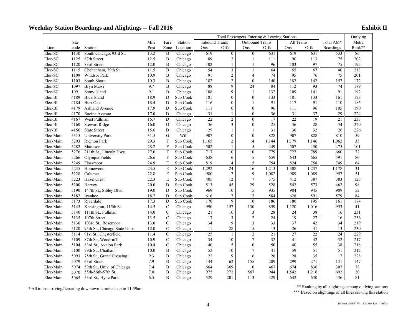|           |      |                               |      |                           |          |                                                        | Total Passengers Entering & Leaving Stations |                  | Outlying        |       |        |                  |                  |
|-----------|------|-------------------------------|------|---------------------------|----------|--------------------------------------------------------|----------------------------------------------|------------------|-----------------|-------|--------|------------------|------------------|
|           | Sta- |                               | Mile | Fare                      | Station  | <b>Inbound Trains</b><br>Outbound Trains<br>All Trains |                                              |                  |                 |       |        | Total AM*        | Metra            |
| Line      | code | Station                       | Post | Zone                      | Location | Ons                                                    | Offs                                         | Ons              | Offs            | Ons   | Offs   | <b>Boardings</b> | Rank**           |
| Elec-SC   | 1130 | South Chicago, 93rd St.       | 13.2 | B                         | Chicago  | 619                                                    | $\mathbf{0}$                                 | $\mathbf{0}$     | 631             | 619   | 631    | 533              | 86               |
| Elec-SC   | 1125 | 87th Street                   | 12.5 | B                         | Chicago  | 89                                                     | 2                                            | 1                | 111             | 90    | 113    | 75               | 202              |
| Elec-SC   | 1120 | 83rd Street                   | 12.0 | B                         | Chicago  | 102                                                    | $\mathbf{1}$                                 | 1                | 96              | 103   | 97     | 75               | 195              |
| Elec-SC   | 1115 | Cheltenham, 79th St.          | 11.5 | $\bf{B}$                  | Chicago  | $\overline{54}$                                        | $\overline{3}$                               | $\mathbf{1}$     | 64              | 55    | 67     | 40               | 213              |
| Elec-SC   | 1109 | Windsor Park                  | 10.9 | B                         | Chicago  | 91                                                     | $\overline{2}$                               | $\overline{4}$   | 74              | 95    | 76     | 75               | 201              |
| Elec-SC   | 1103 | South Shore                   | 10.3 | B                         | Chicago  | 182                                                    | $\overline{c}$                               | $\mathbf{0}$     | 140             | 182   | 142    | 157              | 172              |
| Elec-SC   | 1097 | Bryn Mawr                     | 9.7  | $\bf{B}$                  | Chicago  | 88                                                     | 9                                            | 24               | 84              | 112   | 93     | 74               | 189              |
| Elec-SC   | 1091 | Stony Island                  | 9.1  | $\bf{B}$                  | Chicago  | 108                                                    | 9                                            | 1                | 132             | 109   | 141    | 91               | 192              |
| Elec-BI   | 4189 | <b>Blue Island</b>            | 18.9 | D                         | Sub Cook | 181                                                    | $\boldsymbol{0}$                             | $\boldsymbol{0}$ | 133             | 181   | 133    | 161              | 173              |
| Elec-BI   | 4184 | <b>Burr Oak</b>               | 18.4 | D                         | Sub Cook | 116                                                    | $\theta$                                     | $\overline{1}$   | 91              | 117   | 91     | 110              | 185              |
| Elec-BI   | 4179 | Ashland Avenue                | 17.9 | D                         | Sub Cook | 111                                                    | $\mathbf{0}$                                 | $\overline{0}$   | 96              | 111   | 96     | 105              | 190              |
| Elec-BI   | 4170 | Racine Avenue                 | 17.0 | D                         | Chicago  | 31                                                     | 1                                            | $\overline{0}$   | 36              | 31    | 37     | 29               | 224              |
| Elec-BI   | 4167 | West Pullman                  | 16.7 | $\mathbf D$               | Chicago  | 22                                                     | $\overline{2}$                               | $\overline{0}$   | $\overline{17}$ | 22    | 19     | $\overline{21}$  | 233              |
| Elec-BI   | 4160 | <b>Stewart Ridge</b>          | 16.0 | D                         | Chicago  | 36                                                     | 3                                            | $\overline{0}$   | 25              | 36    | $28\,$ | 34               | 220              |
| Elec-BI   | 4156 | <b>State Street</b>           | 15.6 | D                         | Chicago  | 29                                                     | $\mathbf{1}$                                 | $\mathbf{1}$     | 31              | 30    | 32     | 26               | 226              |
| Elec-Main | 5315 | <b>University Park</b>        | 31.5 | G                         | Will     | 907                                                    | $\theta$                                     | $\mathbf{0}$     | 828             | 907   | 828    | 810              | 59               |
| Elec-Main | 5293 | Richton Park                  | 29.3 | $\mathbf{F}$              | Sub Cook | 1,165                                                  | $\overline{2}$                               | 14               | 1,144           | 1,179 | 1,146  | 1,062            | 35               |
| Elec-Main | 5282 | Matteson                      | 28.2 | $\mathbf{F}$              | Sub Cook | 502                                                    | 1                                            | 5                | 449             | 507   | 450    | 475              | 101              |
| Elec-Main | 5276 | 211th St., Lincoln Hwy.       | 27.6 | $\mathbf{F}$              | Sub Cook | 717                                                    | 10                                           | $\overline{10}$  | 779             | 727   | 789    | 660              | 72               |
| Elec-Main | 5266 | Olympia Fields                | 26.6 | $\boldsymbol{\mathrm{F}}$ | Sub Cook | 638                                                    | 6                                            | $\mathfrak{S}$   | 659             | 643   | 665    | 591              | 80               |
| Elec-Main | 5249 | Flossmoor                     | 24.9 | E                         | Sub Cook | 819                                                    | $\overline{4}$                               | 5                | 754             | 824   | 758    | 749              | 64               |
| Elec-Main | 5235 | Homewood                      | 23.5 | E                         | Sub Cook | 1,292                                                  | 24                                           | 16               | 1,213           | 1,308 | 1,237  | 1,178            | $\overline{31}$  |
| Elec-Main | 5228 | Calumet                       | 22.8 | $\mathbf E$               | Sub Cook | 980                                                    | $\overline{7}$                               | 9                | 1,082           | 989   | 1,089  | 957              | 51               |
| Elec-Main | 5223 | Hazel Crest                   | 22.3 | E                         | Sub Cook | 405                                                    | 12                                           | 7                | 375             | 412   | 387    | 383              | 123              |
| Elec-Main | 5200 | Harvey                        | 20.0 | $\mathbf D$               | Sub Cook | 513                                                    | 45                                           | 29               | 528             | 542   | 573    | 462              | 98               |
| Elec-Main | 5190 | 147th St., Sibley Blvd.       | 19.0 | D                         | Sub Cook | 969                                                    | 10                                           | 15               | 935             | 984   | 945    | 909              | 52               |
| Elec-Main | 5182 | Ivanhoe                       | 18.2 | D                         | Sub Cook | 616                                                    | 7                                            | 12               | 584             | 628   | 591    | 579              | 84               |
| Elec-Main | 5173 | Riverdale                     | 17.3 | D                         | Sub Cook | 170                                                    | 9                                            | 10               | 186             | 180   | 195    | 161              | 174              |
| Elec-Main | 5145 | Kensington, 115th St.         | 14.5 | $\mathcal{C}$             | Chicago  | 990                                                    | 157                                          | 130              | 859             | 1,120 | 1,016  | 953              | 41               |
| Elec-Main | 5140 | 111th St., Pullman            | 14.0 | $\mathbf C$               | Chicago  | 21                                                     | 10                                           | 3                | 28              | 24    | 38     | 16               | 231              |
| Elec-Main | 5135 | 107th Street                  | 13.5 | $\mathbf C$               | Chicago  | 17                                                     | 3                                            | $\overline{2}$   | $\overline{24}$ | 19    | 27     | 16               | 236              |
| Elec-Main | 5130 | 103rd St., Rosemoor           | 13.0 | $\mathbf C$               | Chicago  | 34                                                     | 9                                            | $\mathfrak{Z}$   | 33              | 37    | 42     | 34               | 219              |
| Elec-Main | 5120 | 95th St., Chicago State Univ. | 12.0 | $\mathbf C$               | Chicago  | 11                                                     | $28\,$                                       | 15               | 13              | 26    | 41     | 13               | 230              |
| Elec-Main | 5114 | 91st St., Chesterfield        | 11.4 | $\mathbf C$               | Chicago  | $\overline{25}$                                        | $\mathbf{1}$                                 | $\overline{2}$   | 21              | 27    | 22     | 24               | 229              |
| Elec-Main | 5109 | 87th St., Woodruff            | 10.9 | $\mathcal{C}$             | Chicago  | 34                                                     | 10                                           | $\tau$           | 32              | 41    | 42     | 32               | 217              |
| Elec-Main | 5104 | 83rd St., Avalon Park         | 10.4 | $\mathbf C$               | Chicago  | 40                                                     | 5                                            | $\overline{0}$   | 50              | 40    | 55     | 38               | 218              |
| Elec-Main | 5100 | 79th St., Chatham             | 10.0 | $\, {\bf B}$              | Chicago  | 52                                                     | 10                                           | $\overline{7}$   | 41              | 59    | 51     | 51               | $\overline{212}$ |
| Elec-Main | 5093 | 75th St., Grand Crossing      | 9.3  | $\bf{B}$                  | Chicago  | 22                                                     | 9                                            | 6                | 26              | 28    | 35     | 17               | 228              |
| Elec-Main | 5079 | 63rd Street                   | 7.9  | B                         | Chicago  | 144                                                    | 62                                           | 155              | 209             | 299   | 271    | 131              | 147              |
| Elec-Main | 5074 | 59th St., Univ. of Chicago    | 7.4  | $\bf{B}$                  | Chicago  | 664                                                    | 369                                          | 10               | 467             | 674   | 836    | 307              | 78               |
| Elec-Main | 5070 | 55th-56th-57th St.            | 7.0  | B                         | Chicago  | 975                                                    | 272                                          | 567              | 944             | 1,542 | 1,216  | 692              | 20               |
| Elec-Main | 5065 | 53rd St., Hyde Park           | 6.5  | $\mathbf{B}$              | Chicago  | 529                                                    | 201                                          | 113              | 429             | 642   | 630    | 436              | 81               |

\* All trains arriving/departing downtown terminals up to 11:59am \*\* Ranking by all alightings among outlying stations \*\* Ranking by all alightings among outlying stations \*\* Based on alightings of all lines serving this st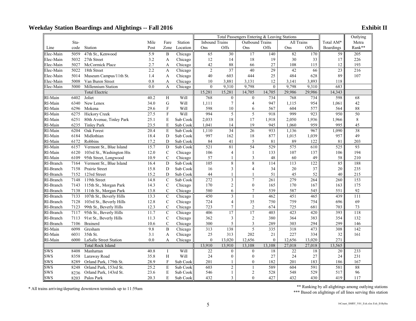|            |      |                           |                   |                |          |                       | Total Passengers Entering & Leaving Stations |                  | Outlying         |                 |        |                  |                 |
|------------|------|---------------------------|-------------------|----------------|----------|-----------------------|----------------------------------------------|------------------|------------------|-----------------|--------|------------------|-----------------|
|            | Sta- |                           | Mile              | Fare           | Station  | <b>Inbound Trains</b> |                                              | All Trains       | Total AM*        | Metra           |        |                  |                 |
| Line       | code | Station                   | Post              | Zone           | Location | Ons                   | Offs                                         | Ons              | Offs             | Ons             | Offs   | <b>Boardings</b> | Rank**          |
| Elec-Main  | 5059 | 47th St., Kenwood         | 5.9               | B              | Chicago  | 65                    | 30                                           | 17               | 140              | 82              | 170    | 59               | 205             |
| Elec-Main  | 5032 | 27th Street               | 3.2               | $\mathbf{A}$   | Chicago  | 12                    | 14                                           | 18               | 19               | 30              | 33     | 17               | 226             |
| Elec-Main  | 5027 | McCormick Place           | 2.7               | $\mathbf{A}$   | Chicago  | 42                    | 88                                           | 66               | 27               | 108             | 115    | 12               | 193             |
| Elec-Main  | 5022 | 18th Street               | 2.2               | $\overline{A}$ | Chicago  | $\overline{2}$        | $\overline{37}$                              | 40               | $\overline{29}$  | 42              | 66     | 23               | 216             |
| Elec-Main  | 5014 | Museum Campus/11th St.    | 1.4               | A              | Chicago  | 40                    | 603                                          | 444              | 25               | 484             | 628    | 89               | 107             |
| Elec-Main  | 5008 | Van Buren Street          | 0.8               | A              | Chicago  | 10                    | 3,881                                        | 3,131            | 12               | 3,141           | 3,893  | 118              |                 |
| Elec-Main  | 5000 | Millennium Station        | $\overline{0.0}$  | $\mathbf{A}$   | Chicago  | $\theta$              | 9,310                                        | 9,798            | $\mathbf{0}$     | 9,798           | 9,310  | 683              |                 |
|            |      | <b>Total Electric</b>     |                   |                |          | 15,281                | 15,281                                       | 14,705           | 14,705           | 29,986          | 29,986 | 14,343           |                 |
| RI-Main    | 6402 | Joliet                    | 40.2              | H              | Will     | 768                   | $\theta$                                     | $\theta$         | 734              | 768             | 734    | 598              | 68              |
| RI-Main    | 6340 | New Lenox                 | 34.0              | $\mathbf G$    | Will     | 1,111                 | $\overline{7}$                               | 4                | 947              | 1,115           | 954    | 1,061            | 42              |
| RI-Main    | 6296 | Mokena                    | 29.6              | F              | Will     | 598                   | 10                                           | 6                | 567              | 604             | 577    | 564              | $8\,$           |
| RI-Main    | 6275 | <b>Hickory Creek</b>      | $\overline{27.5}$ | $\overline{F}$ | Will     | 994                   | 5                                            | 5                | 918              | 999             | 923    | 950              | 50              |
| RI-Main    | 6251 | 80th Avenue, Tinley Park  | 25.1              | $\mathbf E$    | Sub Cook | 2,033                 | 18                                           | 17               | 1,918            | 2,050           | 1,936  | 1,966            | 8               |
| RI-Main    | 6235 | <b>Tinley Park</b>        | 23.5              | $\mathbf E$    | Sub Cook | 1,041                 | 14                                           | 19               | 945              | 1,060           | 959    | 995              | 45              |
| RI-Main    | 6204 | Oak Forest                | 20.4              | E              | Sub Cook | 1,110                 | $\overline{34}$                              | 26               | 933              | 1,136           | 967    | 1,090            | $\overline{38}$ |
| RI-Main    | 6184 | Midlothian                | 18.4              | D              | Sub Cook | 997                   | 162                                          | 18               | 877              | 1,015           | 1,039  | 957              | 49              |
| RI-Main    | 6172 | Robbins                   | 17.2              | D              | Sub Cook | 84                    | 41                                           | 5                | 81               | 89              | 122    | 81               | 203             |
| RI-Main    | 6157 | Vermont St., Blue Island  | 15.7              | $\mathbf D$    | Sub Cook | 521                   | 81                                           | $\overline{54}$  | $\overline{529}$ | $\frac{1}{575}$ | 610    | 525              | 93              |
| RI-Main    | 6120 | 103rd St., Washington Hts | 12.0              | $\mathbf C$    | Chicago  | 106                   | 4                                            | $\mathbf{1}$     | 133              | 107             | 137    | 106              | 194             |
| RI-Main    | 6109 | 95th Street, Longwood     | 10.9              | $\mathsf{C}$   | Chicago  | 57                    | $\mathbf{1}$                                 | 3                | 48               | 60              | 49     | 58               | 210             |
| RI-Branch  | 7164 | Vermont St., Blue Island  | 16.4              | D              | Sub Cook | 105                   | 8                                            | 8                | 114              | 113             | 122    | 85               | 188             |
| RI-Branch  | 7158 | Prairie Street            | 15.8              | $\mathbf D$    | Sub Cook | 16                    | 3                                            | $\overline{4}$   | 34               | 20              | 37     | 20               | 235             |
| RI-Branch  | 7152 | 123rd Street              | 15.2              | D              | Sub Cook | 44                    | $\mathbf{1}$                                 | $\mathbf{1}$     | 51               | 45              | 52     | 40               | 215             |
| RI-Branch  | 7148 | 119th Street              | 14.8              | $\mathsf{C}$   | Sub Cook | 272                   | $\overline{\mathbf{3}}$                      | $\overline{7}$   | 261              | 279             | 264    | 260              | 153             |
| RI-Branch  | 7143 | 115th St., Morgan Park    | 14.3              | $\mathbf C$    | Chicago  | 170                   | $\overline{c}$                               | $\boldsymbol{0}$ | 165              | 170             | 167    | 163              | 175             |
| RI-Branch  | 7138 | 111th St., Morgan Park    | 13.8              | $\mathbf C$    | Chicago  | 580                   | 6                                            | 7                | 539              | 587             | 545    | 551              | 92              |
| RI-Branch  | 7133 | 107th St., Beverly Hills  | 13.3              | $\mathbf C$    | Chicago  | 450                   | $\overline{3}$                               | $\overline{1}$   | 462              | 451             | 465    | 439              | 111             |
| RI-Branch  | 7128 | 103rd St., Beverly Hills  | 12.8              | $\mathbf C$    | Chicago  | 724                   | 4                                            | 35               | 750              | 759             | 754    | 696              | 69              |
| RI-Branch  | 7123 | 99th St., Beverly Hills   | 12.3              | $\mathbf C$    | Chicago  | 723                   | 7                                            | $\sqrt{2}$       | 674              | 725             | 681    | 703              | 73              |
| RI-Branch  | 7117 | 95th St., Beverly Hills   | 11.7              | $\mathbf C$    | Chicago  | 406                   | 17                                           | $\overline{17}$  | 403              | 423             | 420    | 393              | 118             |
| RI-Branch  | 7113 | 91st St., Beverly Hills   | 11.3              | $\mathbf C$    | Chicago  | 362                   | 3                                            | $\overline{2}$   | 380              | 364             | 383    | 354              | 132             |
| RI-Branch  | 7106 | <b>Brainerd</b>           | 10.6              | $\mathbf C$    | Chicago  | 300                   | 5                                            | $\mathfrak{Z}$   | 289              | 303             | 294    | 299              | 146             |
| RI-Main    | 6098 | Gresham                   | 9.8               | $\, {\bf B}$   | Chicago  | 313                   | 138                                          | 5                | 335              | 318             | 473    | 308              | 142             |
| RI-Main    | 6031 | 35th St.                  | 3.1               | A              | Chicago  | 25                    | 313                                          | 202              | 21               | 227             | 334    | 32               | 161             |
| RI-Main    | 6000 | LaSalle Street Station    | 0.0               | $\mathbf{A}$   | Chicago  | $\overline{0}$        | 13,020                                       | 12,656           | $\mathbf{0}$     | 12,656          | 13,020 | 271              |                 |
|            |      | <b>Total Rock Island</b>  |                   |                |          | 13,910                | 13,910                                       | 13,108           | 13,108           | 27,018          | 27,018 | 13,565           |                 |
| <b>SWS</b> | 8408 | Manhattan                 | 40.8              | $\bf{I}$       | Will     | 22                    | $\overline{0}$                               | $\mathbf{0}$     | 18               | 22              | 18     | 20               | 233             |
| <b>SWS</b> | 8358 | Laraway Road              | 35.8              | H              | Will     | 24                    | $\mathbf{0}$                                 | $\boldsymbol{0}$ | 27               | 24              | 27     | 24               | 231             |
| <b>SWS</b> | 8289 | Orland Park, 179th St.    | 28.9              | $\mathbf{F}$   | Sub Cook | 201                   | $\mathbf{1}$                                 | $\theta$         | 182              | 201             | 183    | 186              | 167             |
| <b>SWS</b> | 8248 | Orland Park, 153rd St.    | 25.2              | E              | Sub Cook | 603                   | $\overline{c}$                               | $\mathbf{1}$     | 589              | 604             | 591    | 581              | 88              |
| <b>SWS</b> | 8236 | Orland Park, 143rd St.    | 23.6              | $\mathbf E$    | Sub Cook | 546                   | $\mathbf{1}$                                 | $\overline{2}$   | 528              | 548             | 529    | 517              | 96              |
| <b>SWS</b> | 8203 | Palos Park                | 20.3              | E              | Sub Cook | 432                   | $\overline{3}$                               | $\theta$         | 427              | 432             | 430    | 419              | 117             |

\* All trains arriving/departing downtown terminals up to 11:59am \*\* Ranking by all alightings among outlying stations \*\* Ranking by all alightings among outlying stations \*\*\* Based on alightings of all lines serving this s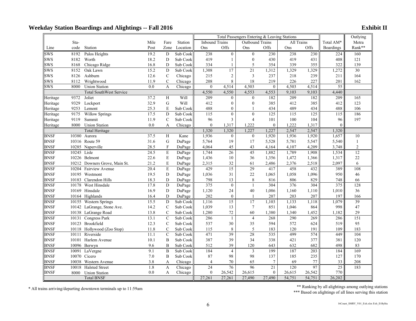|             |             |                                |      |                |          |                  | Total Passengers Entering & Leaving Stations                  |                  | Outlying       |        |        |                 |                |
|-------------|-------------|--------------------------------|------|----------------|----------|------------------|---------------------------------------------------------------|------------------|----------------|--------|--------|-----------------|----------------|
|             | Sta-        |                                | Mile | Fare           | Station  |                  | All Trains<br><b>Inbound Trains</b><br><b>Outbound Trains</b> |                  |                |        |        |                 | Metra          |
| Line        | code        | Station                        | Post | Zone           | Location | Ons              | Offs                                                          | Ons              | Offs           | Ons    | Offs   | Boardings       | Rank**         |
| SWS         | 8192        | Palos Heights                  | 19.2 | D              | Sub Cook | 238              | $\overline{0}$                                                | $\boldsymbol{0}$ | 230            | 238    | 230    | 224             | 160            |
| <b>SWS</b>  | 8182        | Worth                          | 18.2 | $\mathbf D$    | Sub Cook | 419              | $\mathbf{1}$                                                  | $\mathbf{0}$     | 430            | 419    | 431    | 408             | 121            |
| <b>SWS</b>  | 8168        | Chicago Ridge                  | 16.8 | D              | Sub Cook | 334              | 1                                                             | 5                | 354            | 339    | 355    | 322             | 139            |
| <b>SWS</b>  | 8152        | Oak Lawn                       | 15.2 | D              | Sub Cook | 1,308            | 17                                                            | $\overline{21}$  | 1,312          | 1,329  | 1,329  | 1,272           | 30             |
| <b>SWS</b>  | 8126        | Ashburn                        | 12.6 | $\mathbf C$    | Chicago  | 215              | $\overline{c}$                                                | $\mathfrak{Z}$   | 237            | 218    | 239    | 211             | 164            |
| <b>SWS</b>  | 8112        | Wrightwood                     | 11.9 | $\mathcal{C}$  | Chicago  | 208              | 8                                                             | 18               | 219            | 226    | 227    | 201             | 162            |
| <b>SWS</b>  | 8000        | <b>Union Station</b>           | 0.0  | $\mathbf{A}$   | Chicago  | $\mathbf{0}$     | 4,514                                                         | 4,503            | $\mathbf{0}$   | 4,503  | 4,514  | 55              |                |
|             |             | <b>Total SouthWest Service</b> |      |                |          | 4,550            | 4,550                                                         | 4,553            | 4,553          | 9,103  | 9,103  | 4,440           |                |
| Heritage    | 9372        | Joliet                         | 37.2 | H              | Will     | 209              | $\boldsymbol{0}$                                              | $\mathbf{0}$     | 182            | 209    | 182    | 209             | 165            |
| Heritage    | 9329        | Lockport                       | 32.9 | G              | Will     | 412              | $\overline{0}$                                                | $\mathbf{0}$     | 385            | 412    | 385    | 412             | 123            |
| Heritage    | 9253        | Lemont                         | 25.3 | E              | Sub Cook | 488              | $\overline{0}$                                                | $\mathbf{1}$     | 434            | 489    | 434    | 488             | 106            |
| Heritage    | 9175        | <b>Willow Springs</b>          | 17.5 | ${\bf D}$      | Sub Cook | 115              | $\overline{0}$                                                | $\theta$         | 125            | 115    | 125    | 115             | 186            |
| Heritage    | 9119        | Summit                         | 11.9 | $\mathsf{C}$   | Sub Cook | 96               | 3                                                             | $\overline{4}$   | 101            | 100    | 104    | 96              | 197            |
| Heritage    | 8000        | <b>Union Station</b>           | 0.0  | $\overline{A}$ | Chicago  | $\overline{0}$   | 1,317                                                         | 1,222            | $\mathbf{0}$   | 1,222  | 1,317  | $\mathbf{0}$    |                |
|             |             | Total Heritage                 |      |                |          | 1,320            | 1,320                                                         | 1,227            | 1,227          | 2,547  | 2,547  | 1,320           |                |
| <b>BNSF</b> | 10380       | Aurora                         | 37.5 | H              | Kane     | 1,936            | $\mathbf{0}$                                                  | $\mathbf{0}$     | 1,920          | 1,936  | 1,920  | 1,657           | 10             |
| <b>BNSF</b> |             | 10316 Route 59                 | 31.6 | G              | DuPage   | 5,764            | 19                                                            | 17               | 5,528          | 5,781  | 5,547  | 5,540           | $\mathbf{1}$   |
| <b>BNSF</b> |             | 10285 Naperville               | 28.5 | $\mathbf F$    | DuPage   | 4,064            | 45                                                            | 43               | 4,164          | 4,107  | 4,209  | 3,748           | $\overline{c}$ |
| <b>BNSF</b> | 10245 Lisle |                                | 24.5 | E              | DuPage   | 1,744            | $\overline{26}$                                               | 45               | 1,882          | 1,789  | 1,908  | 1,534           | 12             |
| <b>BNSF</b> |             | 10226 Belmont                  | 22.6 | E              | DuPage   | 1,436            | 10                                                            | 36               | 1,356          | 1,472  | 1,366  | 1,317           | 22             |
| <b>BNSF</b> |             | 10212 Downers Grove, Main St.  | 21.2 | E              | DuPage   | 2,315            | 32                                                            | 61               | 2,486          | 2,376  | 2,518  | 2,097           | 6              |
| <b>BNSF</b> |             | 10204 Fairview Avenue          | 20.4 | E              | DuPage   | 429              | $\overline{15}$                                               | 29               | 417            | 458    | 432    | 389             | 108            |
| <b>BNSF</b> |             | 10195 Westmont                 | 19.5 | D              | DuPage   | 1,036            | 31                                                            | $22\,$           | 1,065          | 1,058  | 1,096  | 950             | 46             |
| <b>BNSF</b> |             | 10183 Clarendon Hills          | 18.3 | D              | DuPage   | 798              | 13                                                            | 8                | 816            | 806    | 829    | 748             | 66             |
| <b>BNSF</b> | 10178       | West Hinsdale                  | 17.8 | D              | DuPage   | 375              | $\mathbf{0}$                                                  | $\mathbf{1}$     | 304            | 376    | 304    | 375             | 128            |
| <b>BNSF</b> |             | 10169 Hinsdale                 | 16.9 | $\mathbf D$    | DuPage   | 1,120            | 24                                                            | 40               | 1,086          | 1,160  | 1,110  | 1,010           | 36             |
| <b>BNSF</b> |             | 10164 Highlands                | 16.4 | D              | DuPage   | 202              | $\boldsymbol{0}$                                              | 1                | 207            | 203    | 207    | 197             | 166            |
| <b>BNSF</b> |             | 10155 Western Springs          | 15.5 | D              | Sub Cook | 1,116            | $\overline{15}$                                               | 17               | 1,103          | 1,133  | 1,118  | 1,079           | 39             |
| <b>BNSF</b> |             | 10142 LaGrange, Stone Ave.     | 14.2 | $\mathbf C$    | Sub Cook | 1,039            | 13                                                            | $7\phantom{.0}$  | 851            | 1,046  | 864    | 998             | 47             |
| <b>BNSF</b> |             | 10138 LaGrange Road            | 13.8 | $\mathcal{C}$  | Sub Cook | 1,280            | 72                                                            | 60               | 1,380          | 1,340  | 1,452  | 1,182           | 29             |
| <b>BNSF</b> |             | 10131 Congress Park            | 13.1 | $\mathcal{C}$  | Sub Cook | 286              | $\mathbf{1}$                                                  | $\overline{4}$   | 268            | 290    | 269    | 286             | 151            |
| <b>BNSF</b> |             | 10123 Brookfield               | 12.3 | $\mathcal{C}$  | Sub Cook | 537              | 30                                                            | 35               | 594            | 572    | 624    | 519             | 95             |
| <b>BNSF</b> |             | 10118 Hollywood (Zoo Stop)     | 11.8 | $\mathsf{C}$   | Sub Cook | 115              | 8                                                             | 5                | 183            | 120    | 191    | 109             | 183            |
| <b>BNSF</b> | 10111       | Riverside                      | 11.1 | $\mathcal{C}$  | Sub Cook | 471              | 39                                                            | 28               | 535            | 499    | 574    | 449             | 104            |
| <b>BNSF</b> |             | 10101 Harlem Avenue            | 10.1 | B              | Sub Cook | 387              | 39                                                            | 34               | 338            | 421    | 377    | 381             | 120            |
| <b>BNSF</b> |             | 10096 Berwyn                   | 9.6  | $\mathbf B$    | Sub Cook | 512              | 39                                                            | 120              | 643            | 632    | 682    | 498             | 83             |
| <b>BNSF</b> | 10091       | LaVergne                       | 9.1  | $\, {\bf B}$   | Sub Cook | 184              | $\overline{4}$                                                | 3                | 199            | 187    | 203    | 184             | 169            |
| <b>BNSF</b> |             | 10070 Cicero                   | 7.0  | B              | Sub Cook | 87               | 98                                                            | 98               | 137            | 185    | 235    | 127             | 170            |
| <b>BNSF</b> | 10038       | Western Avenue                 | 3.8  | A              | Chicago  | $\overline{4}$   | 70                                                            | 65               | $\overline{7}$ | 69     | 77     | 33              | 208            |
| <b>BNSF</b> | 10018       | <b>Halsted Street</b>          | 1.8  | $\mathbf{A}$   | Chicago  | 24               | 76                                                            | 96               | 21             | 120    | 97     | $\overline{25}$ | 183            |
| <b>BNSF</b> | 8000        | <b>Union Station</b>           | 0.0  | A              | Chicago  | $\boldsymbol{0}$ | 26,542                                                        | 26,615           | $\mathbf{0}$   | 26,615 | 26,542 | 770             |                |
|             |             | <b>Total BNSF</b>              |      |                |          | 27,261           | 27,261                                                        | 27,490           | 27,490         | 54,751 | 54,751 | 26,202          |                |

\* All trains arriving/departing downtown terminals up to 11:59am \*\* Ranking by all alightings among outlying station<br>\*\*\* Based on alightings of all lines serving this station \*\*\* Based on alightings of all lines serving th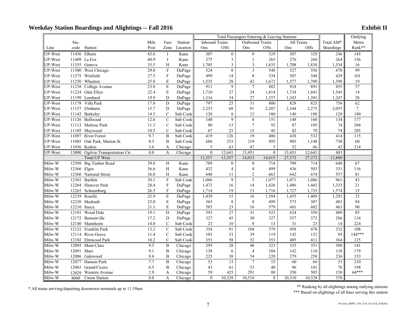|                |            | suay Diatron Doarumgs anu Anghungs |                  |                           |          |                       |                  |                                              |                |            |        |           |                 |
|----------------|------------|------------------------------------|------------------|---------------------------|----------|-----------------------|------------------|----------------------------------------------|----------------|------------|--------|-----------|-----------------|
|                |            |                                    |                  |                           |          |                       |                  | Total Passengers Entering & Leaving Stations |                |            |        |           | Outlying        |
|                | Sta-       |                                    | Mile             | Fare                      | Station  | <b>Inbound Trains</b> |                  | Outbound Trains                              |                | All Trains |        | Total AM* | Metra           |
| Line           | code       | Station                            | Post             | Zone                      | Location | Ons                   | Offs             | Ons                                          | Offs           | Ons        | Offs   | Boardings | Rank**          |
| <b>UP-West</b> |            | 11436 Elburn                       | 43.6             | $\bf{I}$                  | Kane     | 307                   | $\boldsymbol{0}$ | $\mathbf{0}$                                 | 329            | 307        | 329    | 246       | 145             |
| UP-West        |            | 11409 La Fox                       | 40.9             | $\bf{I}$                  | Kane     | 275                   | $\mathfrak{Z}$   | -1                                           | 265            | 276        | 268    | 264       | 156             |
| <b>UP-West</b> |            | 11355 Geneva                       | 35.5             | H                         | Kane     | 1,705                 | $\mathfrak{Z}$   | 3                                            | 1,835          | 1,708      | 1,838  | 1,534     | 16              |
| UP-West        |            | 11300 West Chicago                 | 29.8             | $\mathbf{F}$              | DuPage   | 524                   | $\sqrt{8}$       | $\overline{3}$                               | 548            | 527        | 556    | 470       | 99              |
| UP-West        |            | 11275 Winfield                     | 27.5             | $\mathbf{F}$              | DuPage   | 499                   | 14               | 8                                            | 534            | 507        | 548    | 429       | 101             |
| UP-West        |            | 11250 Wheaton                      | 25.0             | E                         | DuPage   | 1,535                 | 28               | 42                                           | 1,672          | 1,577      | 1,700  | 1,398     | 19              |
| UP-West        |            | 11238 College Avenue               | 23.8             | E                         | DuPage   | 911                   | 9                | $\overline{7}$                               | 882            | 918        | 891    | 855       | 57              |
| UP-West        |            | 11224 Glen Ellyn                   | 22.4             | $\mathbf E$               | DuPage   | 1,710                 | $27\,$           | 24                                           | 1,814          | 1,734      | 1,841  | 1,545     | 14              |
| UP-West        |            | 11199 Lombard                      | 19.9             | D                         | DuPage   | 1,316                 | 34               | 27                                           | 1,357          | 1,343      | 1,391  | 1,247     | 28              |
| UP-West        |            | 11178 Villa Park                   | 17.8             | D                         | DuPage   | 797                   | 25               | $\overline{31}$                              | 800            | 828        | 825    | 758       | 62              |
| UP-West        |            | 11157 Elmhurst                     | 15.7             | D                         | DuPage   | 2,253                 | 68               | 91                                           | 2,207          | 2,344      | 2,275  | 2,055     | $7\phantom{.0}$ |
| UP-West        |            | 11143 Berkeley                     | 14.3             | $\mathbf C$               | Sub Cook | 128                   | $\,8\,$          | 12                                           | 180            | 140        | 188    | 128       | 180             |
| UP-West        |            | 11126 Bellwood                     | 12.6             | $\mathcal{C}$             | Sub Cook | 140                   | $\overline{9}$   | 8                                            | 151            | 148        | 160    | 134       | 177             |
| UP-West        |            | 11113 Melrose Park                 | 11.3             | $\mathsf{C}$              | Sub Cook | 80                    | 13               | $\overline{7}$                               | 92             | 87         | 105    | 74        | 204             |
| UP-West        |            | 11105 Maywood                      | 10.5             | $\mathsf{C}$              | Sub Cook | 67                    | 25               | 15                                           | 45             | 82         | 70     | 74        | 205             |
| <b>UP-West</b> |            | 11097 River Forest                 | 9.7              | $\, {\bf B}$              | Sub Cook | 419                   | $\frac{126}{2}$  | $\overline{19}$                              | 406            | 438        | 532    | 414       | 115             |
| UP-West        |            | 11085 Oak Park, Marion St.         | 8.5              | B                         | Sub Cook | 686                   | 253              | 219                                          | 895            | 905        | 1,148  | 730       | 60              |
| <b>UP-West</b> |            | 11036 Kedzie                       | 3.6              | A                         | Chicago  | 5                     | 63               | 47                                           | 3              | 52         | 66     | 42        | 214             |
| <b>UP-West</b> |            | 13000 Ogilvie Transportation Ctr.  | 0.0              | A                         | Chicago  | $\mathbf{0}$          | 12,641           | 13,451                                       | $\mathbf{0}$   | 13,451     | 12,641 | 483       |                 |
|                |            | <b>Total UP West</b>               |                  |                           |          | 13,357                | 13,357           | 14,015                                       | 14,015         | 27,372     | 27,372 | 12,880    |                 |
| Milw-W         |            | 12398 Big Timber Road              | 39.8             | $\, {\rm H}$              | Kane     | 789                   | $\boldsymbol{0}$ | $\mathbf{0}$                                 | 714            | 789        | 714    | 648       | 67              |
| Milw-W         |            | 12366 Elgin                        | 36.6             | $\, {\rm H}$              | Kane     | 432                   | $\overline{4}$   | $\overline{4}$                               | 499            | 436        | 503    | 331       | 116             |
| Milw-W         |            | 12360 National Street              | 36.0             | H                         | Kane     | 640                   | 11               | $\overline{2}$                               | 663            | 642        | 674    | 557       | 81              |
| Milw-W         | 12301      | Bartlett                           | 30.1             | $\rm F$                   | Sub Cook | 1,066                 | $\overline{9}$   | 5                                            | 1,077          | 1,071      | 1,086  | 961       | 43              |
| Milw-W         |            | 12284 Hanover Park                 | 28.4             | $\boldsymbol{\mathrm{F}}$ | DuPage   | 1,472                 | 16               | 14                                           | 1,426          | 1,486      | 1,442  | 1,333     | $21\,$          |
| Milw-W         |            | 12265 Schaumburg                   | 26.5             | $\rm F$                   | DuPage   | 1,714                 | 19               | 13                                           | 1,716          | 1,727      | 1,735  | 1,574     | 15              |
| Milw-W         |            | 12239 Roselle                      | 23.9             | E                         | DuPage   | 1,439                 | 15               | 16                                           | 1,394          | 1,455      | 1,409  | 1,293     | 23              |
| Milw-W         |            | 12230 Medinah                      | 23.0             | $\mathbf E$               | DuPage   | 565                   | 8                | 8                                            | 499            | 573        | 507    | 483       | 94              |
| Milw-W         |            | 12210 Itasca                       | 21.1             | $\mathbf E$               | DuPage   | 585                   | 23               | 16                                           | 579            | 601        | 602    | 465       | 90              |
| Milw-W         | 12191      | Wood Dale                          | 19.1             | D                         | DuPage   | 593                   | 27               | 31                                           | 523            | 624        | 550    | 489       | 85              |
| Milw-W         |            | 12172 Bensenville                  | 17.2             | $\mathbf D$               | DuPage   | 327                   | 45               | 30                                           | 327            | 357        | 372    | 286       | 134             |
| Milw-W         |            | 12140 Mannheim                     | 14.0             | $\mathsf{C}$              | Sub Cook | 23                    | 10               | 8                                            | 13             | 31         | 23     | 14        | 224             |
| Milw-W         |            | 12132 Franklin Park                | 13.2             | $\mathbf C$               | Sub Cook | 354                   | 91               | 104                                          | 379            | 458        | 470    | 332       | 108             |
| Milw-W         |            | 12114 River Grove                  | 11.4             | $\mathsf{C}$              | Sub Cook | 103                   | 33               | 39                                           | 119            | 142        | 152    | 95        | 144***          |
| Milw-W         |            | 12102 Elmwood Park                 | 10.2             | $\mathbf C$               | Sub Cook | 353                   | 58               | 52                                           | 353            | 405        | 411    | 364       | 125             |
| Milw-W         |            | 12095 Mont Clare                   | 9.5              | $\, {\bf B}$              | Chicago  | 295                   | 28               | 40                                           | 323            | 335        | 351    | 300       | 141             |
| Milw-W         | 12091 Mars |                                    | 9.1              | $\boldsymbol{B}$          | Chicago  | 138                   | 6                | $\overline{4}$                               | 104            | 142        | 110    | 138       | 179             |
| Milw-W         |            | 12086 Galewood                     | 8.6              | B                         | Chicago  | 225                   | 38               | 54                                           | 220            | 279        | 258    | 236       | 153             |
| Milw-W         |            | 12077 Hanson Park                  | 7.7              | B                         | Chicago  | 53                    | 13               | $\overline{7}$                               | 53             | 60         | 66     | 53        | 210             |
| Milw-W         |            | 12065 Grand/Cicero                 | 6.5              | B                         | Chicago  | 43                    | 61               | 53                                           | 40             | 96         | 101    | 76        | 198             |
| Milw-W         | 12029      | Western Avenue                     | 2.9              | A                         | Chicago  | 59                    | 425              | 291                                          | 80             | 350        | 505    | 150       | $64***$         |
| Milw-W         | 8000       | <b>Union Station</b>               | $\overline{0.0}$ | $\mathbf{A}$              | Chicago  | $\overline{0}$        | 10,328           | 10.310                                       | $\overline{0}$ | 10,310     | 10,328 | 370       |                 |

\* All trains arriving/departing downtown terminals up to 11:59am \*\* Ranking by all alightings among outlying stations \*\* Ranking by all alightings among outlying stations \*\* Based on alightings of all lines serving this st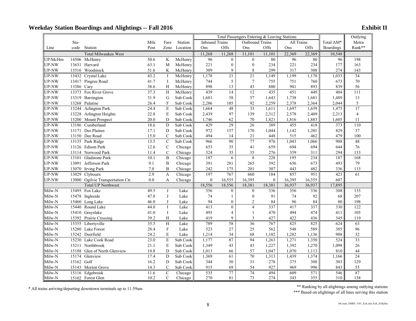|              |            |                                   |      |                |          | Total Passengers Entering & Leaving Stations                         |                |                  |                  |        |        |                  | Outlying        |
|--------------|------------|-----------------------------------|------|----------------|----------|----------------------------------------------------------------------|----------------|------------------|------------------|--------|--------|------------------|-----------------|
|              | Sta-       |                                   | Mile | Fare           | Station  | <b>Inbound Trains</b><br><b>All Trains</b><br><b>Outbound Trains</b> |                |                  |                  |        |        | Total AM*        | Metra           |
| Line         | code       | Station                           | Post | Zone           | Location | Ons                                                                  | Offs           | Ons              | Offs             | Ons    | Offs   | <b>Boardings</b> | Rank**          |
|              |            | <b>Total Milwaukee West</b>       |      |                |          | 11,268                                                               | 11,268         | 11,101           | 11,101           | 22,369 | 22,369 | 10,548           |                 |
| UP/McHrn     |            | 14506 McHenry                     | 50.6 | $\rm K$        | McHenry  | 96                                                                   | $\overline{0}$ | $\mathbf{0}$     | 80               | 96     | 80     | 96               | 198             |
| <b>UP-NW</b> |            | 13631 Harvard                     | 63.1 | M              | McHenry  | 221                                                                  | $\mathbf{0}$   | $\mathbf{0}$     | 234              | 221    | 234    | 177              | 163             |
| UP-NW        |            | 13516 Woodstock                   | 51.6 | K              | McHenry  | 309                                                                  | 9              | 8                | 299              | 317    | 308    | 274              | 143             |
| UP-NW        |            | 13432 Crystal Lake                | 43.2 | $\mathbf{I}$   | McHenry  | 1,178                                                                | 21             | $\overline{21}$  | 1,149            | 1,199  | 1,170  | 1,033            | $\overline{34}$ |
| <b>UP-NW</b> |            | 13417 Pingree Road                | 41.7 | $\bf{I}$       | McHenry  | 744                                                                  | 5              | $\tau$           | 755              | 751    | 760    | 673              | 70              |
| UP-NW        | 13386 Cary |                                   | 38.6 | H              | McHenry  | 898                                                                  | 13             | 43               | 880              | 941    | 893    | 839              | 56              |
| UP-NW        |            | 13373 Fox River Grove             | 37.3 | H              | McHenry  | 439                                                                  | 14             | 12               | 435              | 451    | 449    | 404              | 111             |
| <b>UP-NW</b> |            | 13319 Barrington                  | 31.9 | G              | Sub Cook | 1,681                                                                | 38             | 57               | 1,643            | 1,738  | 1,681  | 1,489            | 13              |
| UP-NW        |            | 13268 Palatine                    | 26.4 | $\rm F$        | Sub Cook | 2,286                                                                | 105            | 92               | 2,259            | 2,378  | 2,364  | 2,044            | 5               |
| UP-NW        |            | 13244 Arlington Park              | 24.4 | E              | Sub Cook | 1,664                                                                | 48             | $\overline{33}$  | 1,611            | 1,697  | 1,659  | 1,475            | 17              |
| UP-NW        |            | 13228 Arlington Heights           | 22.8 | E              | Sub Cook | 2,439                                                                | 97             | 139              | 2,312            | 2,578  | 2,409  | 2,213            | $\overline{4}$  |
| UP-NW        |            | 13200 Mount Prospect              | 20.0 | D              | Sub Cook | 1,746                                                                | 62             | $70\,$           | 1,821            | 1,816  | 1,883  | 1,605            | 11              |
| UP-NW        |            | 13186 Cumberland                  | 18.6 | D              | Sub Cook | 429                                                                  | 29             | $\overline{26}$  | 389              | 455    | 418    | 373              | 110             |
| UP-NW        |            | 13171 Des Plaines                 | 17.1 | D              | Sub Cook | 972                                                                  | 157            | 170              | 1,044            | 1,142  | 1,201  | 829              | 37              |
| UP-NW        |            | 13150 Dee Road                    | 15.0 | $\mathsf{C}$   | Sub Cook | 494                                                                  | 14             | 21               | 448              | 515    | 462    | 479              | 100             |
| UP-NW        |            | 13135 Park Ridge                  | 13.5 | $\mathcal{C}$  | Sub Cook | 966                                                                  | 90             | 77               | 976              | 1,043  | 1,066  | 908              | 48              |
| UP-NW        |            | 13126 Edison Park                 | 12.6 | $\mathbf C$    | Chicago  | 653                                                                  | 35             | 41               | 659              | 694    | 694    | 644              | 76              |
| UP-NW        |            | 13114 Norwood Park                | 11.4 | $\mathcal{C}$  | Chicago  | 324                                                                  | 35             | 35               | 276              | 359    | 311    | 294              | 133             |
| UP-NW        |            | 13101 Gladstone Park              | 10.1 | $\mathbf{B}$   | Chicago  | 187                                                                  | 6              | 8                | 228              | 195    | 234    | 187              | 168             |
| UP-NW        |            | 13091 Jefferson Park              | 9.1  | $\mathbf{B}$   | Chicago  | 391                                                                  | 281            | 265              | 392              | 656    | 673    | 493              | 79              |
| UP-NW        |            | 13070 Irving Park                 | 7.0  | $\, {\bf B}$   | Chicago  | 242                                                                  | 175            | 201              | 307              | 443    | 482    | 336              | 113             |
| UP-NW        | 13029      | Clybourn                          | 2.9  | $\mathbf{A}$   | Chicago  | 197                                                                  | 767            | 660              | 184              | 857    | 951    | 423              | 61              |
| <b>UP-NW</b> |            | 13000 Ogilvie Transportation Ctr. | 0.0  | A              | Chicago  | $\boldsymbol{0}$                                                     | 16,555         | 16,395           | $\boldsymbol{0}$ | 16,395 | 16,555 | 607              |                 |
|              |            | <b>Total UP Northwest</b>         |      |                |          | 18,556                                                               | 18,556         | 18,381           | 18,381           | 36,937 | 36,937 | 17,895           |                 |
| Milw-N       |            | 15495 Fox Lake                    | 49.5 | J              | Lake     | 356                                                                  | $\overline{0}$ | $\mathbf{0}$     | 336              | 356    | 336    | 308              | 135             |
| Milw-N       |            | 15478 Ingleside                   | 47.8 | $\mathbf{J}$   | Lake     | 74                                                                   | $\mathbf{1}$   | $\boldsymbol{0}$ | 91               | 74     | 92     | 68               | 207             |
| Milw-N       |            | 15460 Long Lake                   | 46.0 | J              | Lake     | 94                                                                   | $\mathbf{0}$   | 2                | 84               | 96     | 84     | 80               | 198             |
| Milw-N       |            | 15440 Round Lake                  | 44.0 | $\mathbf I$    | Lake     | 413                                                                  | $\overline{0}$ | $\overline{4}$   | 337              | 417    | 337    | 330              | 122             |
| Milw-N       |            | 15410 Grayslake                   | 41.0 | $\bf{I}$       | Lake     | 493                                                                  | 4              | $\mathbf{1}$     | 470              | 494    | 474    | 411              | 105             |
| Milw-N       |            | 15392 Prairie Crossing            | 39.2 | H              | Lake     | 419                                                                  | 9              | 3                | 427              | 422    | 436    | 345              | 119             |
| Milw-N       |            | 15355 Libertyville                | 35.5 | H              | Lake     | 789                                                                  | 58             | $\overline{36}$  | 767              | 825    | 825    | 624              | 63              |
| Milw-N       |            | 15280 Lake Forest                 | 28.4 | F              | Lake     | 523                                                                  | 27             | 25               | 562              | 548    | 589    | 385              | 96              |
| Milw-N       |            | 15242 Deerfield                   | 24.2 | E              | Lake     | 1,214                                                                | 34             | 68               | 1,102            | 1,282  | 1,136  | 908              | 32              |
| Milw-N       |            | 15230 Lake Cook Road              | 23.0 | $\mathbf E$    | Sub Cook | 1,177                                                                | 87             | 94               | 1,263            | 1,271  | 1,350  | 524              | 33              |
| Milw-N       |            | 15211 Northbrook                  | 21.1 | E              | Sub Cook | 1,349                                                                | 43             | 43               | 1,227            | 1,392  | 1,270  | 1,098            | 26              |
| Milw-N       |            | 15188 Glen of North Glenview      | 18.8 | D              | Sub Cook | 1,013                                                                | 66             | 57               | 1,047            | 1,070  | 1,113  | 810              | 44              |
| Milw-N       |            | 15174 Glenview                    | 17.4 | D              | Sub Cook | 1,369                                                                | 61             | $\overline{70}$  | 1,313            | 1,439  | 1,374  | 1,166            | $\overline{24}$ |
| Milw-N       | 15162 Golf |                                   | 16.2 | D              | Sub Cook | 344                                                                  | 30             | 31               | 278              | 375    | 308    | 303              | 129             |
| Milw-N       |            | 15143 Morton Grove                | 14.3 | $\mathsf{C}$   | Sub Cook | 915                                                                  | 69             | 54               | 927              | 969    | 996    | 843              | 55              |
| Milw-N       |            | 15116 Edgebrook                   | 11.6 | $\overline{C}$ | Chicago  | 535                                                                  | 77             | 74               | 494              | 609    | 571    | 546              | 87              |
| Milw-N       |            | 15102 Forest Glen                 | 10.2 | $\mathcal{C}$  | Chicago  | 270                                                                  | 81             | 73               | 274              | 343    | 355    | 310              | 138             |

\* All trains arriving/departing downtown terminals up to 11:59am \*\* Ranking by all alightings among outlying stations \*\* Ranking by all alightings among outlying stations \*\*\* Based on alightings of all lines serving this s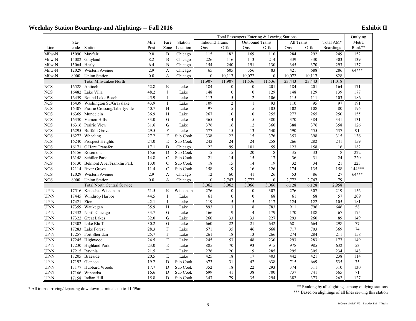|                         |       |                                     |              |                           |           |                       |                  | Total Passengers Entering & Leaving Stations |                  |                 |                 |                  | Outlying         |
|-------------------------|-------|-------------------------------------|--------------|---------------------------|-----------|-----------------------|------------------|----------------------------------------------|------------------|-----------------|-----------------|------------------|------------------|
|                         | Sta-  |                                     | Mile         | Fare                      | Station   | <b>Inbound Trains</b> |                  | Outbound Trains                              |                  | All Trains      |                 | Total AM*        | Metra            |
| Line                    | code  | Station                             | Post         | Zone                      | Location  | Ons                   | Offs             | Ons                                          | Offs             | Ons             | Offs            | <b>Boardings</b> | Rank**           |
| Milw-N                  |       | 15090 Mayfair                       | 9.0          | $\bf{B}$                  | Chicago   | 115                   | 182              | 169                                          | 110              | 284             | 292             | 249              | 152              |
| Milw-N                  |       | 15082 Grayland                      | 8.2          | $\bf{B}$                  | Chicago   | 226                   | 116              | 113                                          | 214              | 339             | 330             | 303              | 139              |
| Milw-N                  |       | 15064 Healy                         | 6.4          | B                         | Chicago   | 154                   | 240              | 191                                          | 130              | 345             | 370             | 293              | 137              |
| Milw-N                  | 12029 | Western Avenue                      | 2.9          | A                         | Chicago   | 65                    | 605              | 356                                          | 83               | 421             | 688             | 286              | 64***            |
| Milw-N                  | 8000  | <b>Union Station</b>                | 0.0          | A                         | Chicago   | $\boldsymbol{0}$      | 10,117           | 10,072                                       | $\boldsymbol{0}$ | 10,072          | 10,117          | 828              |                  |
|                         |       | Total Milwaukee North               |              |                           |           | 11,907                | 11,907           | 11,536                                       | 11,536           | 23,443          | 23,443          | 11,018           |                  |
| <b>NCS</b>              | 16528 | Antioch                             | 52.8         | K                         | Lake      | 184                   | $\mathbf{0}$     | $\mathbf{0}$                                 | 201              | 184             | 201             | 164              | $\overline{171}$ |
| <b>NCS</b>              |       | 16482 Lake Villa                    | 48.2         | $_{\rm J}$                | Lake      | 148                   | $\mathbf{0}$     | $\boldsymbol{0}$                             | 129              | 148             | 129             | 139              | 177              |
| <b>NCS</b>              | 16459 | Round Lake Beach                    | 45.9         | J                         | Lake      | 113                   | $\sqrt{5}$       | $\overline{2}$                               | 106              | 115             | 111             | 103              | 186              |
| <b>NCS</b>              | 16439 | Washington St./Grayslake            | 43.9         | $\mathbf I$               | Lake      | 109                   | $\overline{2}$   | $\mathbf{1}$                                 | 93               | 110             | 95              | 97               | 191              |
| <b>NCS</b>              |       | 16407 Prairie Crossing/Libertyville | 40.7         | H                         | Lake      | 97                    | 5                | 5                                            | 103              | 102             | 108             | 80               | 196              |
| <b>NCS</b>              | 16369 | Mundelein                           | 36.9         | H                         | Lake      | 267                   | 10               | 10                                           | 255              | 277             | 265             | 250              | 155              |
| <b>NCS</b>              | 16330 | Vernon Hills                        | 33.0         | G                         | Lake      | 365                   | $\overline{4}$   | $\sqrt{5}$                                   | 380              | 370             | 384             | 341              | 131              |
| <b>NCS</b>              |       | 16316 Prairie View                  | 31.6         | G                         | Lake      | 376                   | 16               | 12                                           | 360              | 388             | 376             | 358              | 126              |
| <b>NCS</b>              | 16295 | <b>Buffalo Grove</b>                | 29.5         | $\mathbf F$               | Lake      | 577                   | 15               | 13                                           | 540              | 590             | 555             | 537              | 91               |
| $\overline{\text{NCS}}$ | 16272 | Wheeling                            | 27.2         | $\mathbf F$               | Sub Cook  | 338                   | $\overline{22}$  | $\overline{15}$                              | 376              | 353             | 398             | 315              | 136              |
| <b>NCS</b>              |       | 16240 Prospect Heights              | 24.0         | E                         | Sub Cook  | 242                   | 24               | 24                                           | 258              | 266             | 282             | 241              | 159              |
| <b>NCS</b>              | 16171 | O'Hare Transfer                     | 17.1         | D                         | Chicago   | 22                    | 99               | 101                                          | 59               | 123             | 158             | 16               | 182              |
| <b>NCS</b>              | 16156 | Rosemont                            | 15.6         | D                         | Sub Cook  | $\overline{15}$       | $\overline{15}$  | 20                                           | 18               | $\overline{35}$ | $\overline{33}$ | 8                | 222              |
| <b>NCS</b>              | 16148 | <b>Schiller Park</b>                | 14.8         | $\mathsf{C}$              | Sub Cook  | 21                    | 14               | 15                                           | 17               | 36              | 31              | 24               | 220              |
| <b>NCS</b>              | 16130 | Belmont Ave./Franklin Park          | 13.0         | $\mathbf C$               | Sub Cook  | 18                    | 15               | 14                                           | 19               | 32              | 34              | 21               | 223              |
| <b>NCS</b>              | 12114 | <b>River Grove</b>                  | 11.4         | $\mathbf C$               | Sub Cook  | 158                   | 9                | 16                                           | 126              | 174             | 135             | 158              | 144***           |
| <b>NCS</b>              | 12029 | Western Avenue                      | 2.9          | A                         | Chicago   | 12                    | 60               | 41                                           | 26               | 53              | 86              | $27\,$           | $64***$          |
| <b>NCS</b>              | 8000  | <b>Union Station</b>                | 0.0          | A                         | Chicago   | $\boldsymbol{0}$      | 2,747            | 2,772                                        | $\mathbf{0}$     | 2,772           | 2,747           | 79               |                  |
|                         |       | <b>Total North Central Service</b>  |              |                           |           | 3,062                 | 3,062            | 3,066                                        | 3,066            | 6,128           | 6,128           | 2,958            |                  |
| UP-N                    |       | 17516 Kenosha, Wisconsin            | 51.5         | $\rm K$                   | Wisconsin | 276                   | $\mathbf{0}$     | $\overline{0}$                               | 307              | 276             | 307             | 219              | 156              |
| $UP-N$                  |       | 17445 Winthrop Harbor               | 44.5         | $\bf{I}$                  | Lake      | 61                    | $\boldsymbol{0}$ | $\boldsymbol{0}$                             | 68               | 61              | 68              | 57               | 209              |
| JP-N                    | 17421 | Zion                                | 42.1         | $\bf{I}$                  | Lake      | 119                   | 5                | 5                                            | 117              | 124             | 122             | 105              | 181              |
| UP-N                    | 17359 | Waukegan                            | 35.9         | H                         | Lake      | 893                   | $\overline{13}$  | 18                                           | 783              | 911             | 796             | 646              | 58               |
| $UP-N$                  |       | 17332 North Chicago                 | 33.7         | G                         | Lake      | 166                   | 9                | $\overline{4}$                               | 179              | 170             | 188             | 67               | 175              |
| JP-N                    |       | 17322 Great Lakes                   | 32.0         | G                         | Lake      | 260                   | 33               | 33                                           | 227              | 293             | 260             | 89               | 149              |
| UP-N                    | 17302 | Lake Bluff                          | 30.2         | G                         | Lake      | 660                   | 22               | $\overline{21}$                              | 642              | 681             | 664             | 298              | 77               |
| UP-N                    |       | 17283 Lake Forest                   | 28.3         | $\boldsymbol{\mathrm{F}}$ | Lake      | 671                   | 35               | 46                                           | 668              | 717             | 703             | 369              | 74               |
| JP-N                    |       | 17257 Fort Sheridan                 | 25.7         | $\mathbf{F}$              | Lake      | 261                   | 18               | 13                                           | 266              | 274             | 284             | 211              | 158              |
| JP-N                    |       | 17245 Highwood                      | 24.5         | $\mathbf E$               | Lake      | 245                   | $\overline{53}$  | 48                                           | 230              | 293             | 283             | 177              | 149              |
| UP-N                    |       | 17230 Highland Park                 | 23.0         | E                         | Lake      | 885                   | 70               | 93                                           | 915              | 978             | 985             | 632              | 53               |
| JP-N                    | 17215 | Ravinia                             | 21.5         | $\mathbf E$               | Lake      | 276                   | 20               | 19                                           | 285              | 295             | 305             | 234              | 148              |
| JP-N                    | 17205 | <b>Braeside</b>                     | 20.5         | E                         | Lake      | 425                   | $\overline{18}$  | $\overline{17}$                              | 403              | 442             | 421             | 238              | 114              |
| JP-N                    |       | 17192 Glencoe                       | 19.2         | D                         | Sub Cook  | 673                   | 31               | 42                                           | 638              | 715             | 669             | 535              | 75               |
| UP-N                    | 17177 | Hubbard Woods                       | 17.7<br>16.6 | D<br>D                    | Sub Cook  | 352<br>699            | 18<br>41         | 22<br>38                                     | 293<br>700       | 374<br>737      | 311<br>741      | 310<br>565       | 130<br>71        |
| UP-N                    | 17166 | Winnetka                            |              | D                         | Sub Cook  | 347                   | 79               | 35                                           | 294              |                 | 373             |                  |                  |
| $UP-N$                  |       | 17158 Indian Hill                   | 15.8         |                           | Sub Cook  |                       |                  |                                              |                  | 382             |                 | 262              | 127              |

\* All trains arriving/departing downtown terminals up to 11:59am \*\* Ranking by all alightings among outlying station<br>\*\*\* Based on alightings of all lines serving this station<br>\*\*\* Based on alightings of all lines serving th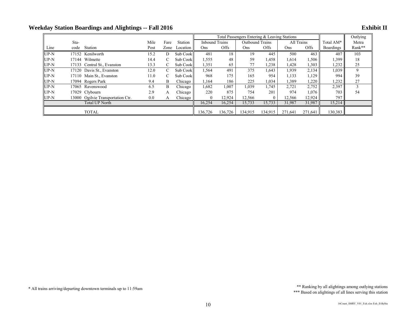|        |                           |                                   |      |      |          |                       |             | Total Passengers Entering & Leaving Stations |              |            |         |                  | Outlying |
|--------|---------------------------|-----------------------------------|------|------|----------|-----------------------|-------------|----------------------------------------------|--------------|------------|---------|------------------|----------|
|        | Sta-                      |                                   | Mile | Fare | Station  | <b>Inbound Trains</b> |             | Outbound Trains                              |              | All Trains |         | Total AM*        | Metra    |
| Line   | code                      | Station                           | Post | Zone | Location | Ons                   | <b>Offs</b> | Ons                                          | <b>Offs</b>  | Ons        | Offs    | <b>Boardings</b> | Rank**   |
| $UP-N$ |                           | 17152 Kenilworth                  | 15.2 | D    | Sub Cook | 481                   | 18          | 19                                           | 445          | 500        | 463     | 407              | 103      |
| $UP-N$ |                           | 17144 Wilmette                    | 14.4 | C    | Sub Cook | 1,555                 | 48          | 59                                           | 1,458        | 1,614      | 1,506   | 1,399            | 18       |
| $UP-N$ |                           | 17133 Central St., Evanston       | 13.3 | C    | Sub Cook | 1,351                 | 65          |                                              | 1,238        | 1,428      | 1,303   | 232              | 25       |
| $UP-N$ | 17120 Davis St., Evanston |                                   | 12.0 | C    | Sub Cook | 1,564                 | 491         | 375                                          | 1,643        | 1,939      | 2,134   | 1,039            | 9        |
| $UP-N$ |                           | 17110 Main St., Evanston          | 11.0 | C    | Sub Cook | 968                   | 175         | 165                                          | 954          | 1,133      | 1,129   | 994              | 39       |
| $UP-N$ |                           | 17094 Rogers Park                 | 9.4  | B    | Chicago  | 1.164                 | 186         | 225                                          | 1,034        | .389       | 1,220   | 232              | 27       |
| UP-N   |                           | 17065 Ravenswood                  | 6.5  | B    | Chicago  | 1,682                 | 1,007       | 1,039                                        | 1,745        | 2,721      | 2,752   | 2,397            |          |
| $UP-N$ |                           | 17029 Clybourn                    | 2.9  | A    | Chicago  | 220                   | 875         | 754                                          | 201          | 974        | 1,076   | 703              | 54       |
| $UP-N$ |                           | 13000 Ogilvie Transportation Ctr. | 0.0  | A    | Chicago  | $\theta$              | 12,924      | 12,566                                       | $\mathbf{0}$ | 12,566     | 12,924  | 797              |          |
|        |                           | <b>Total UP North</b>             |      |      |          | 16,254                | 16,254      | 15,733                                       | 15,733       | 31,987     | 31,987  | 15,214           |          |
|        |                           | <b>TOTAL</b>                      |      |      |          | 136,726               | 136.726     | 134.915                                      | 134,915      | 271.641    | 271.641 | 130,383          |          |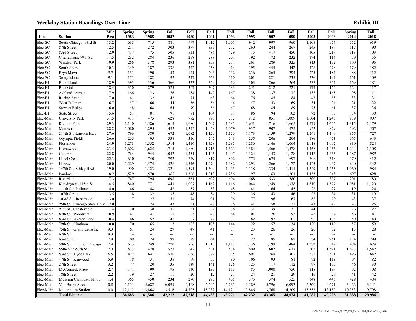|           |                                   | Mile | <b>Spring</b> | <b>Spring</b>            | Fall             | Fall                     | Fall   | Fall                     | Fall   | Fall   | Fall                     | Fall   | Fall                     | <b>Spring</b>            | Fall                     |
|-----------|-----------------------------------|------|---------------|--------------------------|------------------|--------------------------|--------|--------------------------|--------|--------|--------------------------|--------|--------------------------|--------------------------|--------------------------|
| Line      | <b>Station</b>                    | Post | 1983          | 1985                     | 1987             | 1989                     | 1991   | 1993                     | 1995   | 1997   | 1999                     | 2002   | 2006                     | 2014                     | 2016                     |
| Elec-SC   | South Chicago, 93rd St.           | 13.2 | 635           | 715                      | 881              | 997                      | 1,012  | 1,001                    | 942    | 997    | 960                      | 1,108  | 974                      | 652                      | 619                      |
| Elec-SC   | 87th Street                       | 12.5 | 211           | 272                      | 303              | 377                      | 339    | 272                      | 260    | 244    | 267                      | 245    | 189                      | 117                      | $90\,$                   |
| Elec-SC   | 83rd Street                       | 12.0 | 417           | 475                      | 505              | 511                      | 486    | 429                      | 415    | 417    | 450                      | 405    | 217                      | 113                      | 103                      |
| Elec-SC   | Cheltenham, 79th St.              | 11.5 | 232           | 284                      | 236              | 258                      | 288    | 207                      | 192    | 172    | 232                      | 174    | 114                      | 79                       | 55                       |
| Elec-SC   | Windsor Park                      | 10.9 | 266           | 378                      | 293              | 381                      | 353    | 274                      | 261    | 289    | 325                      | 313    | 192                      | 100                      | 95                       |
| Elec-SC   | South Shore                       | 10.3 | 349           | 387                      | 338              | 372                      | 458    | 414                      | 395    | 445    | 442                      | 428    | 278                      | 179                      | 182                      |
| Elec-SC   | Bryn Mawr                         | 9.7  | 153           | 190                      | 153              | 171                      | 203    | 232                      | 236    | 265    | 294                      | 225    | 184                      | 88                       | 112                      |
| Elec-SC   | Stony Island                      | 9.1  | 175           | 182                      | 192              | 247                      | 263    | 210                      | 201    | 221    | 235                      | 236    | 197                      | 161                      | 109                      |
| Elec-BI   | Blue Island                       | 18.9 | 393           | 336                      | 366              | 323                      | 359    | 416                      | 303    | 266    | 264                      | 237    | 324                      | 169                      | 181                      |
| Elec-BI   | <b>Burr Oak</b>                   | 18.4 | 350           | 279                      | 325              | 367                      | 307    | 283                      | 251    | 212    | 221                      | 179    | 156                      | 124                      | 117                      |
| Elec-BI   | Ashland Avenue                    | 17.9 | 166           | 123                      | 176              | 154                      | 147    | 167                      | 138    | 137    | 132                      | 137    | 165                      | 98                       | 111                      |
| Elec-BI   | Racine Avenue                     | 17.0 | 41            | 32                       | 42               | 71                       | 63     | 64                       | 76     | 85     | 84                       | 43     | 53                       | 33                       | 31                       |
| Elec-BI   | West Pullman                      | 16.7 | 57            | 66                       | 44               | 36                       | 56     | 46                       | 57     | 43     | 69                       | 34     | 24                       | 21                       | 22                       |
| Elec-BI   | <b>Stewart Ridge</b>              | 16.0 | 48            | 68                       | 64               | 90                       | 86     | 67                       | 68     | 84     | 89                       | 75     | 61                       | 37                       | 36                       |
| Elec-BI   | <b>State Street</b>               | 15.6 | 51            | 81                       | 91               | 81                       | 104    | 87                       | 86     | 94     | 103                      | 72     | 85                       | 54                       | 30                       |
| Elec-Main | University Park                   | 31.5 | 411           | 475                      | 628              | 782                      | 790    | 772                      | 912    | 851    | 1,009                    | 1,004  | 1,243                    | 939                      | 907                      |
| Elec-Main | Richton Park                      | 29.3 | 1,140         | 1,586                    | 1,619            | 1,680                    | 1,607  | 1,685                    | 1,651  | 1,716  | 1,665                    | 1,579  | 1,625                    | 1,315                    | 1,179                    |
| Elec-Main | Matteson                          | 28.2 | 1,080         | 1,295                    | 1,492            | 1,372                    | 1,068  | 1,079                    | 937    | 907    | 975                      | 922    | 879                      | 592                      | 507                      |
| Elec-Main | 211th St., Lincoln Hwy.           | 27.6 | 796           | 589                      | 672              | 1,082                    | 1,129  | 1,126                    | 1,173  | 1,159  | 1,279                    | 1,241  | 1,149                    | 855                      | 727                      |
| Elec-Main | Olympia Fields                    | 26.6 | 265           | 405                      | 338              | 310                      | 247    | 243                      | 255    | 206    | 204                      | 186    | 473                      | 665                      | 643                      |
| ∃lec-Main | Flossmoor                         | 24.9 | 1,273         | 1,552                    | 1,514            | 1,416                    | 1,328  | 1,285                    | 1,286  | 1,146  | 1,064                    | 1,018  | 1,002                    | 830                      | 824                      |
| Elec-Main | Homewood                          | 23.5 | 1,602         | 1,625                    | 1,715            | 1,880                    | 1,715  | 1,623                    | 1,584  | 1,566  | 1,578                    | 1,466  | 1,456                    | 1,244                    | .308                     |
| Elec-Main | Calumet                           | 22.8 | 764           | 944                      | 1,052            | 1,351                    | 1,145  | 1,097                    | 1,124  | 1,143  | 1,128                    | 1,117  | 1,363                    | 1,187                    | 989                      |
| Elec-Main | Hazel Crest                       | 22.3 | 610           | 740                      | 792              | 779                      | 817    | 802                      | 772    | 675    | 697                      | 608    | 518                      | 379                      | 412                      |
| Elec-Main | Harvey                            | 20.0 | 1,229         | 1,574                    | 1,528            | 1,546                    | 1,470  | 1,382                    | 1,293  | 1,266  | 1,172                    | 1,125  | 937                      | 640                      | 542                      |
| Elec-Main | 147th St., Sibley Blvd.           | 19.0 | 990           | 1,123                    | 1,321            | 1,591                    | 1,609  | 1,435                    | 1,338  | 1,334  | 1,411                    | 1,349  | 1,255                    | 1,060                    | 984                      |
| Elec-Main | Ivanhoe                           | 18.2 | 1,529         | 1,570                    | 1,365            | 1,368                    | 1,213  | 1,286                    | 1,197  | 1,163  | 1,201                    | 1,153  | 945                      | 697                      | 628                      |
| Elec-Main | Riverdale                         | 17.3 | 747           | 794                      | 698              | 661                      | 602    | 604                      | 568    | 533    | 580                      | 500    | 397                      | 201                      | 180                      |
| Elec-Main | Kensington, 115th St.             | 14.5 | 840           | 771                      | 843              | 1,007                    | 1,162  | 1,116                    | 1,044  | 1,249  | 1,378                    | 1,310  | 1,577                    | 1,081                    | 1,120                    |
| Elec-Main | 111th St., Pullman                | 14.0 | 46            | 48                       | 42               | 57                       | 53     | 48                       | 41     | 64     | 45                       | 22     | 27                       | 19                       | 24                       |
| Elec-Main | 107th Street                      | 13.5 | 18            | 32                       | 37               | 48                       | 54     | 39                       | 36     | 43     | 46                       | 28     | 34                       | 31                       | 19                       |
| Elec-Main | 103rd St., Rosemoor               | 13.0 | 17            | 27                       | 51               | 74                       | 91     | 76                       | 77     | 96     | 67                       | 82     | 70                       | 43                       | 37                       |
| Elec-Main | 95th St., Chicago State Univ 12.0 |      | 17            | 24                       | 43               | 51                       | 47     | 36                       | 41     | 58     | 77                       | 43     | 49                       | 43                       | $26\,$                   |
| Elec-Main | 91st St., Chesterfield            | 11.4 | 30            | 38                       | 35               | 51                       | 32     | 36                       | 31     | 39     | 32                       | 44     | 66                       | 26                       | 27                       |
| Elec-Main | 87th St., Woodruff                | 10.9 | 41            | 41                       | 57               | 65                       | 48     | 64                       | 101    | 76     | 93                       | 48     | 64                       | 56                       | 41                       |
| Elec-Main | 83rd St., Avalon Park             | 10.4 | 46            | 57                       | 48               | 67                       | 72     | 77                       | 82     | 97     | 102                      | 95     | 103                      | 50                       | $40\,$                   |
| Elec-Main | 79th St., Chatham                 | 10.0 | 70            | 65                       | $\overline{113}$ | 103                      | 105    | 144                      | 122    | 157    | 134                      | 120    | 119                      | 57                       | 59                       |
| Elec-Main | 75th St., Grand Crossing          | 9.3  | 61            | 24                       | 29               | 47                       | 41     | 37                       | 23     | 26     | 26                       | 20     | 52                       | 15                       | 28                       |
| Elec-Main | 67th St.                          | 8.3  | 24            | $\overline{\phantom{a}}$ | --               | $\hspace{0.05cm} \ldots$ | --     | $\overline{\phantom{a}}$ | --     | --     | $\overline{\phantom{a}}$ | --     | $\overline{\phantom{a}}$ | $\overline{\phantom{a}}$ | $\overline{\phantom{a}}$ |
| Elec-Main | 63rd Street                       | 7.9  | 109           | 74                       | 99               | 29                       | 64     | 87                       | 77     | 85     | 82                       | 84     | 261                      | 154                      | 299                      |
| Elec-Main | 59th St., Univ. of Chicago        | 7.4  | 513           | 749                      | 770              | 856                      | 1,018  | 1,117                    | 1,136  | 1,199  | 1,484                    | 1,382  | 517                      | 484                      | 674                      |
| Elec-Main | 55th-56th-57th St.                | 7.0  | 533           | 478                      | 527              | 542                      | 531    | 574                      | 609    | 602    | 677                      | 502    | 1,591                    | 1,677                    | 1,542                    |
| Elec-Main | 53rd St., Hyde Park               | 6.5  | 427           | 641                      | 570              | 656                      | 629    | 625                      | 691    | 769    | 802                      | 582    | 571                      | 496                      | 642                      |
| Elec-Main | 47th St., Kenwood                 | 5.9  | 18            | 31                       | 35               | 69                       | 55     | 80                       | 106    | 93     | 81                       | 72     | 113                      | 94                       | 82                       |
| Elec-Main | 27th Street                       | 3.2  | 77            | 120                      | 135              | 139                      | 141    | 126                      | 125    | 117    | 112                      | 97     | 105                      | 46                       | 30                       |
| Elec-Main | McCormick Place                   | 2.7  | 171           | 199                      | 175              | 140                      | 139    | 113                      | 85     | 1,000  | 750                      | 118    | 137                      | 92                       | 108                      |
| Elec-Main | 18th Street                       | 2.2  | 19            | 27                       | 11               | 20                       | 12     | 27                       | 24     | 21     | 29                       | 16     | 29                       | 41                       | 42                       |
| Elec-Main | Museum Campus/11th St.            | 1.4  | 365           | 450                      | 234              | 270                      | 297    | 405                      | 375    | 374    | 525                      | 348    | 443                      | 429                      | 484                      |
| Elec-Main | Van Buren Street                  | 0.8  | 5,151         | 5,682                    | 6,099            | 6,468                    | 5,546  | 5,735                    | 5,589  | 5,796  | 6,093                    | 5,360  | 4,671                    | 3,422                    | 3,141                    |
| Elec-Main | Millennium Station                | 0.0  | 12,112        | 13,868                   | 13,516           | 14,705                   | 15,032 | 14,121                   | 13,846 | 13,768 | 14,209                   | 13,533 | 13,152                   | 10,353                   | 9,798                    |
|           | <b>Total Electric</b>             |      | 36,685        | 41,586                   | 42,212           | 45,718                   | 44,433 | 43,271                   | 42,232 | 43,365 | 44,974                   | 41,085 | 40,206                   | 31,338                   | 29.986                   |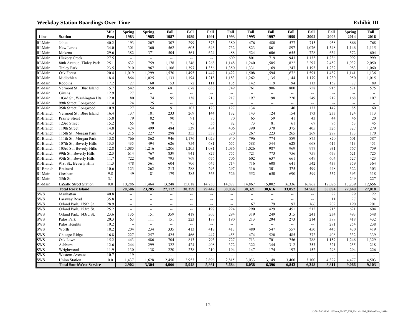|                        |                                                    | Mile         | <b>Spring</b>            | <b>Spring</b>            | Fall                     | Fall                               | Fall                     | Fall                                                | Fall           | Fall                     | Fall                     | Fall                     | Fall                     | <b>Spring</b>            | Fall                                                |
|------------------------|----------------------------------------------------|--------------|--------------------------|--------------------------|--------------------------|------------------------------------|--------------------------|-----------------------------------------------------|----------------|--------------------------|--------------------------|--------------------------|--------------------------|--------------------------|-----------------------------------------------------|
| Line                   | <b>Station</b>                                     | Post         | 1983                     | 1985                     | 1987                     | 1989                               | 1991                     | 1993                                                | 1995           | 1997                     | 1999                     | 2002                     | 2006                     | 2014                     | 2016                                                |
| RI-Main                | Joliet                                             | 40.2         | 193                      | 207                      | 307                      | 299                                | 373                      | 380                                                 | 476            | 480                      | 577                      | 715                      | 958                      | 866                      | 768                                                 |
| RI-Main                | New Lenox                                          | 34.0         | 301                      | 360                      | 562                      | 605                                | 646                      | 732                                                 | 823            | 861                      | 897                      | 1,076                    | 1,348                    | 1,146                    | 1,115                                               |
| RI-Main                | Mokena                                             | 29.6         | 382                      | 371                      | 504                      | 561                                | 624                      | 488                                                 | 524            | 606                      | 655                      | 728                      | 634                      | 572                      | 604                                                 |
| RI-Main                | <b>Hickory Creek</b>                               | 27.5         | $\overline{\phantom{a}}$ | $\overline{\phantom{a}}$ | $\overline{\phantom{a}}$ | $\overline{\phantom{a}}$           | $\overline{\phantom{a}}$ | 609                                                 | 801            | 719                      | 943                      | 1,135                    | 1,236                    | 992                      | 999                                                 |
| RI-Main                | 80th Avenue, Tinley Park                           | 25.1         | 632                      | 759                      | 1,178                    | 1,246                              | 1,268                    | 1,148                                               | 1,240          | 1,585                    | 1,822                    | 2,297                    | 2,459                    | 1,932                    | 2,050                                               |
| RI-Main                | <b>Tinley Park</b>                                 | 23.5         | 910                      | 967                      | 1,106                    | 1,397                              | 1,356                    | 1,350                                               | 1,331          | 1,169                    | 1,247                    | 1,193                    | 1,232                    | 983                      | 1,060                                               |
| RI-Main                | Oak Forest                                         | 20.4         | 1,019                    | 1,299                    | 1,570                    | 1,495                              | 1,447                    | 1,422                                               | 1,508          | 1,594                    | 1,672                    | 1,591                    | 1,487                    | 1,141                    | 1,136                                               |
| RI-Main                | Midlothian                                         | 18.4         | 864                      | 1,025                    | 1,133                    | 1,194                              | 1,218                    | 1,183                                               | 1,262          | 1,135                    | 1,144                    | 1,179                    | 1,230                    | 950                      | 1,015                                               |
| RI-Main                | Robbins                                            | 17.2         | 27                       | 60                       | 53                       | 72                                 | 111                      | 135                                                 | 142            | 119                      | 94                       | 113                      | 152                      | 77                       | 89                                                  |
| RI-Main                | Vermont St., Blue Island                           | 15.7         | 542                      | 558                      | 681                      | 678                                | 636                      | 749                                                 | 761            | 906                      | 800                      | 758                      | 915                      | 521                      | 575                                                 |
| RI-Main                | Givens                                             | 12.9         | 27                       | $\overline{\phantom{a}}$ | --                       | $\overline{\phantom{a}}$           | $\overline{\phantom{a}}$ | $\overline{\phantom{a}}$                            | -−             | $\overline{\phantom{a}}$ | $\overline{\phantom{a}}$ | $\overline{\phantom{a}}$ | $\overline{\phantom{a}}$ | $\overline{\phantom{a}}$ | $\overline{\phantom{a}}$                            |
| RI-Main                | 103rd St., Washington Hts                          | 12.0         | 80                       | 74                       | 95                       | 138                                | 216                      | 217                                                 | 197            | 198                      | 220                      | 249                      | 219                      | 168                      | 107                                                 |
| RI-Main                | 99th Street, Longwood                              | 11.4         | 24                       | 25                       | --                       | $\overline{\phantom{a}}$           | $\overline{\phantom{a}}$ | $\overline{\phantom{a}}$                            | --             | $\overline{\phantom{a}}$ | --                       | $\overline{\phantom{a}}$ | $\overline{\phantom{a}}$ | $\overline{\phantom{a}}$ | $\overline{\phantom{a}}$                            |
| RI-Main                | 95th Street, Longwood                              | 10.9         | 27                       | 54                       | 91                       | 103                                | 120                      | 127                                                 | 134            | 111                      | 140                      | 133                      | 147                      | 85                       | 60                                                  |
| RI-Branch              | Vermont St., Blue Island                           | 16.4         | 137                      | 181                      | 233                      | 269                                | 144                      | 132                                                 | 143            | 124                      | 154                      | 173                      | 233                      | 124                      | 113                                                 |
| RI-Branch              | Prairie Street                                     | 15.8         | 79                       | 82                       | 90                       | 91                                 | 85                       | 70                                                  | 65             | 59                       | 41                       | 43                       | 44                       | 46                       | $20\,$                                              |
| RI-Branch              | 123rd Street                                       | 15.2         | 65                       | 70                       | $\overline{71}$          | 75                                 | 56                       | 82                                                  | 73             | 81                       | 61                       | 67                       | 96                       | $\overline{53}$          | 45                                                  |
| RI-Branch              | 119th Street                                       | 14.8         | 424                      | 499<br>227               | 484                      | 539                                | 484                      | 406                                                 | 390            | 370<br>223               | 375                      | 405                      | 326<br>279               | 327<br>173               | 279                                                 |
| RI-Branch              | 115th St., Morgan Park                             | 14.3<br>13.8 | 215<br>766               | 862                      | 298<br>946               | 355<br>1,176                       | 338<br>1,029             | 320<br>940                                          | 267<br>796     | 774                      | 265<br>889               | 269<br>875               | 820                      | 601                      | 170<br>587                                          |
| RI-Branch              | 111th St., Morgan Park<br>107th St., Beverly Hills | 13.3         | 435                      | 494                      | 626                      | 754                                | 681                      | 655                                                 | 588            | 544                      | 628                      | 668                      | 617                      | 413                      | 451                                                 |
| RI-Branch<br>RI-Branch | 103rd St., Beverly Hills                           | 12.8         | 1,085                    | 1,216                    | 1,206                    | 1,205                              | 1,081                    | 1,036                                               | 1,026          | 987                      | 969                      | 977                      | 931                      | 767                      | 759                                                 |
| RI-Branch              | 99th St., Beverly Hills                            | 12.3         | 614                      | 767                      | 839                      | 941                                | 827                      | 755                                                 | 721            | 773                      | 756                      | 759                      | 679                      | 621                      | 725                                                 |
| RI-Branch              | 95th St., Beverly Hills                            | 11.7         | 722                      | 760                      | 795                      | 769                                | 676                      | 706                                                 | 602            | 637                      | 661                      | 649                      | 604                      | 527                      | 423                                                 |
| RI-Branch              | 91st St., Beverly Hills                            | 11.3         | 478                      | 561                      | 604                      | 706                                | 645                      | 714                                                 | 716            | 608                      | 641                      | 542                      | 437                      | 359                      | 364                                                 |
| RI-Branch              | <b>Brainerd</b>                                    | 10.6         | 123                      | 262                      | 213                      | 288                                | 293                      | 297                                                 | 316            | 301                      | 375                      | 499                      | 448                      | 322                      | 303                                                 |
| RI-Main                | Gresham                                            | 9.8          | 49                       | 81                       | 179                      | 385                                | 363                      | 526                                                 | 552            | 650                      | 690                      | 599                      | 537                      | 395                      | 318                                                 |
| RI-Main                | 35th St.                                           | 3.1          | --                       | $\overline{\phantom{a}}$ |                          | $\overline{\phantom{0}}$           | $\overline{\phantom{a}}$ |                                                     | $\overline{a}$ | $\overline{\phantom{a}}$ | $\overline{\phantom{a}}$ | $\overline{\phantom{a}}$ | $\overline{\phantom{a}}$ | 249                      | 227                                                 |
| RI-Main                | LaSalle Street Station                             | 0.0          | 10,286                   | 11,464                   | 13,248                   | 15,018                             | 14,730                   | 14,877                                              | 14,867         | 15.002                   | 16,336                   | 16,868                   | 17.026                   | 13.239                   | 12.656                                              |
|                        | <b>Total Rock Island</b>                           |              | 20,506                   | 23,285                   | 27,112                   | 30,359                             | 29,447                   | 30,056                                              | 30,321         | 30,616                   | 33,052                   | 34,560                   | 35,094                   | 27,649                   | 27,018                                              |
| <b>SWS</b>             | Manhattan                                          | 40.8         | $\overline{\phantom{a}}$ | $\overline{\phantom{a}}$ | $\overline{\phantom{a}}$ | $\overline{\phantom{a}}$           | $\overline{\phantom{a}}$ | $\overline{\phantom{a}}$                            | --             | $\overline{\phantom{a}}$ | --                       | $\overline{\phantom{a}}$ | 22                       | 29                       | $22\,$                                              |
| SWS                    | Laraway Road                                       | 35.8         | $\overline{\phantom{a}}$ | $\overline{\phantom{a}}$ | --                       | $\hspace{0.05cm} -\hspace{0.05cm}$ | $\overline{\phantom{a}}$ | $\hspace{0.05cm} -\hspace{0.05cm} -\hspace{0.05cm}$ | --             | $\overline{\phantom{a}}$ | --                       | $\overline{\phantom{a}}$ | 11                       | 27                       | 24                                                  |
| SWS                    | Orland Park, 179th St.                             | 28.9         | $\overline{\phantom{a}}$ | $\overline{\phantom{a}}$ | --                       | $\overline{\phantom{a}}$           | $\overline{\phantom{a}}$ | $\overline{\phantom{a}}$                            | 67             | 79                       | 97                       | 166                      | 209                      | 190                      | 201                                                 |
| sws                    | Orland Park, 153rd St.                             | 25.2         | $\overline{\phantom{a}}$ | $\overline{\phantom{a}}$ | $\overline{\phantom{0}}$ | $\overline{\phantom{a}}$           | 197                      | 224                                                 | 290            | 429                      | 451                      | 512                      | 715                      | 621                      | 604                                                 |
| <b>SWS</b>             | Orland Park, 143rd St.                             | 23.6         | 135                      | 151                      | 359                      | 418                                | 305                      | 294                                                 | 319            | 249                      | 315                      | 241                      | 234                      | 493                      | 548                                                 |
| <b>SWS</b>             | Palos Park                                         | 20.3         | 63                       | 111                      | 151                      | 223                                | 188                      | 190                                                 | 213            | 204                      | 273                      | 214                      | 387                      | 418                      | 432                                                 |
| sws                    | Palos Heights                                      | 19.2         | $\overline{\phantom{a}}$ | $\overline{\phantom{a}}$ | $\overline{\phantom{a}}$ | $\overline{\phantom{a}}$           | $\overline{\phantom{a}}$ | $\overline{\phantom{a}}$                            | ΞĒ,            | $\overline{\phantom{a}}$ | $\overline{\phantom{a}}$ | $\overline{\phantom{a}}$ | 281                      | 254                      | 238                                                 |
| <b>SWS</b>             | Worth                                              | 18.2         | 204                      | 234                      | 335                      | 413                                | 417                      | 413                                                 | 480            | 547                      | 557                      | 450                      | 445                      | 430                      | 419                                                 |
| <b>SWS</b>             | Chicago Ridge                                      | 16.8         | 227                      | 257                      | 425                      | 466                                | 447                      | 455                                                 | 474            | 520                      | 485                      | 372                      | 406                      | 332                      | 339                                                 |
| <b>SWS</b>             | Oak Lawn                                           | 15.2         | 443                      | 486                      | 704                      | 813                                | 793                      | 727                                                 | 713            | 701                      | 756                      | 788                      | 1,157                    | 1,246                    | 1,329                                               |
| SWS                    | Ashburn                                            | 12.6         | 244                      | 299                      | 322                      | 424                                | 408                      | 372                                                 | 322            | 344                      | 312                      | 353                      | 321                      | 255                      | 218                                                 |
| SWS                    | Wrightwood                                         | 11.9         | 130                      | 138                      | 220                      | 238                                | 210                      | 194                                                 | 147            | 174                      | 197                      | 152                      | 296                      | 294                      | 226                                                 |
| <b>SWS</b>             | Western Avenue                                     | 10.7         | 19                       | $\overline{\phantom{a}}$ | $\overline{\phantom{a}}$ | $\overline{\phantom{a}}$           | $\overline{\phantom{a}}$ |                                                     | --             | $\overline{\phantom{a}}$ | --                       | $\overline{\phantom{a}}$ |                          |                          | $\hspace{0.05cm} -\hspace{0.05cm} -\hspace{0.05cm}$ |
| SWS                    | <b>Union Station</b>                               | 0.0          | 1,437                    | 1,628                    | 2,450                    | 2,953                              | 2,896                    | 2,815                                               | 3,033          | 3,149                    | 3,400                    | 3,100                    | 4,327                    | 4,477                    | 4,503                                               |
|                        | <b>Total SouthWest Service</b>                     |              | 2.902                    | 3.304                    | 4.966                    | 5.948                              | 5.861                    | 5.684                                               | 6.058          | 6.396                    | 6.843                    | 6.348                    | 8.811                    | 9.066                    | 9.103                                               |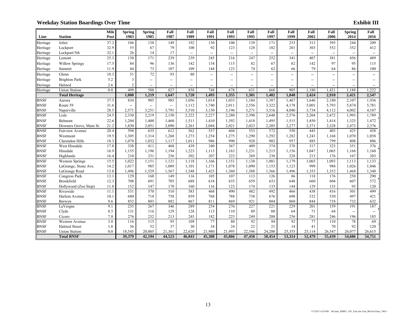|             |                         | Mile | <b>Spring</b>            | <b>Spring</b> | Fall                     | Fall                               | Fall                                                | Fall                     | Fall                     | Fall                     | Fall                     | Fall                     | Fall                     | <b>Spring</b> | Fall                     |
|-------------|-------------------------|------|--------------------------|---------------|--------------------------|------------------------------------|-----------------------------------------------------|--------------------------|--------------------------|--------------------------|--------------------------|--------------------------|--------------------------|---------------|--------------------------|
| Line        | <b>Station</b>          | Post | 1983                     | 1985          | 1987                     | 1989                               | 1991                                                | 1993                     | 1995                     | 1997                     | 1999                     | 2002                     | 2006                     | 2014          | 2016                     |
| Heritage    | Joliet                  | 37.2 | 106                      | 138           | 149                      | 192                                | 130                                                 | 100                      | 139                      | 171                      | 253                      | 313                      | 395                      | 244           | 209                      |
| Heritage    | Lockport                | 32.9 | 55                       | 67            | 79                       | 100                                | 92                                                  | 123                      | 128                      | 182                      | 201                      | 303                      | 552                      | 352           | 412                      |
| Heritage    | Lockport/5th            | 32.1 | 26                       | 14            | 17                       | $\hspace{0.05cm} -\hspace{0.05cm}$ | $\overline{\phantom{a}}$                            | --                       | $\overline{\phantom{a}}$ | $\overline{\phantom{a}}$ | --                       | $\overline{\phantom{a}}$ | $\overline{\phantom{a}}$ |               | $\overline{\phantom{a}}$ |
| Heritage    | Lemont                  | 25.3 | 130                      | 171           | 239                      | 239                                | 245                                                 | 216                      | 247                      | 252                      | 341                      | 407                      | 381                      | 456           | 489                      |
| Heritage    | <b>Willow Springs</b>   | 17.5 | 84                       | 96            | 136                      | 142                                | 134                                                 | 115                      | 82                       | 67                       | 82                       | 142                      | 97                       | 95            | 115                      |
| Heritage    | Summit                  | 11.9 | 44                       | 73            | 107                      | 109                                | 144                                                 | 123                      | 74                       | 62                       | 66                       | 79                       | 64                       | 86            | 100                      |
| Heritage    | Glenn                   | 10.3 | 51                       | 72            | 93                       | 80                                 | $\overline{\phantom{a}}$                            | −−                       | $-$                      | $\overline{\phantom{a}}$ | −−                       | $\overline{\phantom{a}}$ | −−                       |               | $\overline{\phantom{a}}$ |
| Heritage    | <b>Brighton Park</b>    | 5.2  | $\overline{3}$           | --            | --                       | $\hspace{0.05cm} -\hspace{0.05cm}$ | $\overline{\phantom{a}}$                            | --                       | $\overline{a}$           | $\overline{\phantom{a}}$ | --                       | --                       | --                       | --            |                          |
| Heritage    | Halsted                 | 2.6  | $\overline{2}$           | $-$           | $\overline{\phantom{a}}$ | $\overline{a}$                     | $\hspace{0.05cm} -\hspace{0.05cm} -\hspace{0.05cm}$ | $\overline{\phantom{a}}$ | $\overline{a}$           | $\overline{\phantom{a}}$ | $\overline{\phantom{0}}$ | $\overline{\phantom{a}}$ | $\overline{\phantom{a}}$ |               | $\overline{\phantom{a}}$ |
| Heritage    | <b>Union Station</b>    | 0.0  | 499                      | 588           | 827                      | 858                                | 748                                                 | 678                      | 631                      | 668                      | 905                      | 1.180                    | 1.421                    | 1.188         | 1.222                    |
|             | <b>Total Heritage</b>   |      | 1,000                    | 1.219         | 1,647                    | 1,720                              | 1,493                                               | 1,355                    | 1,301                    | 1,402                    | 1,848                    | 2,424                    | 2,910                    | 2,421         | 2,547                    |
| <b>BNSF</b> | Aurora                  | 37.5 | 834                      | 905           | 985                      | 1,056                              | 1,014                                               | 1,033                    | 1,184                    | 1,387                    | 1,467                    | 1,646                    | 2,180                    | 2,107         | 1,936                    |
| <b>BNSF</b> | Route 59                | 31.6 | $\overline{\phantom{a}}$ | --            | $\overline{\phantom{a}}$ | 1,112                              | 1,740                                               | 2,011                    | 2,556                    | 3,322                    | 4,178                    | 5,001                    | 5,793                    | 5,874         | 5,781                    |
| <b>BNSF</b> | Naperville              | 28.5 | 2,571                    | 3,251         | 3,791                    | 3,510                              | 3,150                                               | 3,196                    | 3,271                    | 3,516                    | 4,040                    | 3,734                    | 4,112                    | 4,002         | 4,107                    |
| <b>BNSF</b> | Lisle                   | 24.5 | 2,330                    | 2,219         | 2,150                    | 2,222                              | 2,227                                               | 2,280                    | 2,390                    | 2,648                    | 2,576                    | 2,204                    | 2,472                    | 1,993         | 1,789                    |
| <b>BNSF</b> | Belmont                 | 22.6 | 1,204                    | 1,400         | 1,460                    | 1,511                              | 1,410                                               | 1,392                    | 1,418                    | 1,495                    | 1,515                    | 1,450                    | 1,414                    | 1,325         | 1,472                    |
| <b>BNSF</b> | Downers Grove, Main St. | 21.2 | 1,830                    | 2,051         | 2,090                    | 2,261                              | 2,044                                               | 2,021                    | 2,023                    | 2,205                    | 2,277                    | 2,371                    | 2,328                    | 2,473         | 2,376                    |
| <b>BNSF</b> | <b>Fairview Avenue</b>  | 20.4 | 598                      | 635           | 612                      | 562                                | 537                                                 | 604                      | 553                      | 572                      | 550                      | 445                      | 403                      | 425           | 458                      |
| <b>BNSF</b> | Westmont                | 19.5 | 1,305                    | 1,314         | 1,268                    | 1,273                              | 1,254                                               | 1,275                    | 1,290                    | 1,292                    | 1,282                    | 1,243                    | 1,168                    | 1,070         | 1,058                    |
| <b>BNSF</b> | Clarendon Hills         | 18.3 | 1,078                    | 1,032         | 1,117                    | 1,011                              | 986                                                 | 990                      | 928                      | 902                      | 957                      | 885                      | 799                      | 808           | 806                      |
| <b>BNSF</b> | West Hinsdale           | 17.8 | 338                      | 411           | 468                      | 439                                | 340                                                 | 367                      | 409                      | 374                      | 378                      | 317                      | 323                      | 351           | 376                      |
| <b>BNSF</b> | Hinsdale                | 16.9 | 1,155                    | 1,196         | 1,194                    | 1,223                              | 1,113                                               | 1,163                    | 1,231                    | 1,215                    | 1,156                    | 1,047                    | 1,065                    | 1,168         | 1,160                    |
| <b>BNSF</b> | Highlands               | 16.4 | 210                      | 231           | 256                      | 202                                | 207                                                 | 223                      | 269                      | 238                      | 228                      | 213                      | 176                      | 167           | 203                      |
| <b>BNSF</b> | <b>Western Springs</b>  | 15.5 | 1,022                    | 1,151         | 1,121                    | 1,118                              | 1,166                                               | 1,151                    | 1,138                    | 1,081                    | 1,179                    | 1,065                    | 1,093                    | 1,113         | 1,133                    |
| <b>BNSF</b> | LaGrange, Stone Ave.    | 14.2 | 1,017                    | 985           | 1,089                    | 1,101                              | 1,171                                               | 1,078                    | 1,090                    | 1,153                    | 1,123                    | 999                      | 988                      | 1,026         | 1,046                    |
| <b>BNSF</b> | LaGrange Road           | 13.8 | 1,496                    | 1,529         | 1,567                    | 1,548                              | 1,423                                               | 1,360                    | 1,388                    | 1,366                    | 1,496                    | 1,353                    | 1,352                    | 1,468         | 1,340                    |
| <b>BNSF</b> | Congress Park           | 13.1 | 129                      | 168           | 149                      | 116                                | 105                                                 | 107                      | 113                      | 126                      | 86                       | 118                      | 176                      | 250           | 290                      |
| <b>BNSF</b> | Brookfield              | 12.3 | 708                      | 691           | 705                      | 688                                | 618                                                 | 635                      | 659                      | 633                      | 648                      | 660                      | 604                      | 607           | 572                      |
| <b>BNSF</b> | Hollywood (Zoo Stop)    | 11.8 | 152                      | 147           | 170                      | 160                                | 116                                                 | 123                      | 174                      | 133                      | 144                      | 129                      | 133                      | 95            | 120                      |
| <b>BNSF</b> | Riverside               | 11.1 | 531                      | 570           | 510                      | 583                                | 468                                                 | 490                      | 482                      | 492                      | 466                      | 438                      | 416                      | 501           | 499                      |
| <b>BNSF</b> | Harlem Avenue           | 10.1 | 680                      | 718           | 758                      | 859                                | 768                                                 | 788                      | 738                      | 676                      | 698                      | 532                      | 530                      | 497           | 421                      |
| <b>BNSF</b> | Berwyn                  | 9.6  | 852                      | 803           | 882                      | 867                                | 811                                                 | 869                      | 921                      | 804                      | 860                      | 844                      | 718                      | 732           | 632                      |
| <b>BNSF</b> | LaVergne                | 9.1  | 235                      | 267           | 346                      | 289                                | 254                                                 | 276                      | 227                      | 221                      | 229                      | 201                      | 159                      | 191           | 187                      |
| <b>BNSF</b> | Clyde                   | 8.5  | 131                      | 116           | 129                      | 128                                | 113                                                 | 110                      | 89                       | 80                       | 64                       | 71                       | 64                       | $-$           | $\overline{\phantom{a}}$ |
| <b>BNSF</b> | Cicero                  | 7.0  | 276                      | 232           | 213                      | 245                                | 182                                                 | 225                      | 249                      | 208                      | 256                      | 281                      | 246                      | 196           | 185                      |
| <b>BNSF</b> | Western Avenue          | 3.8  | 116                      | 115           | 95                       | 109                                | 77                                                  | 80                       | 92                       | 94                       | 92                       | 77                       | 110                      | 78            | 69                       |
| <b>BNSF</b> | <b>Halsted Street</b>   | 1.8  | 36                       | 52            | 37                       | 30                                 | 34                                                  | 24                       | 22                       | 21                       | 14                       | 41                       | 70                       | 92            | 120                      |
| <b>BNSF</b> | <b>Union Station</b>    | 0.0  | 18,545                   | 20,005        | 21,361                   | 22,620                             | 21,980                                              | 21,995                   | 22,546                   | 24,200                   | 25,355                   | 25,114                   | 26,547                   | 26,077        | 26,615                   |
|             | <b>Total BNSF</b>       |      | 39,379                   | 42,194        | 44,523                   | 46,843                             | 45,308                                              | 45,866                   | 47,450                   | 50,454                   | 53,314                   | 52,479                   | 55,439                   | 54,686        | 54,751                   |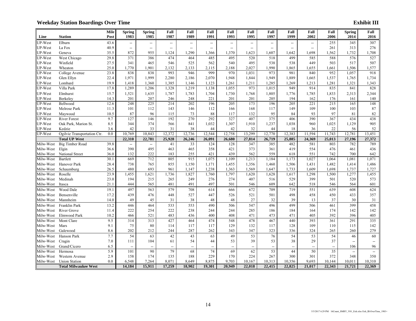|                        |                             | <b>Mile</b>  | <b>Spring</b>            | <b>Spring</b>            | Fall                     | Fall                     | Fall                     | Fall                     | Fall                     | Fall                     | Fall                     | Fall                     | Fall            | <b>Spring</b>            | Fall                     |
|------------------------|-----------------------------|--------------|--------------------------|--------------------------|--------------------------|--------------------------|--------------------------|--------------------------|--------------------------|--------------------------|--------------------------|--------------------------|-----------------|--------------------------|--------------------------|
| Line                   | <b>Station</b>              | Post         | 1983                     | 1985                     | 1987                     | 1989                     | 1991                     | 1993                     | 1995                     | 1997                     | 1999                     | 2002                     | 2006            | 2014                     | 2016                     |
| JP-West                | Elburn                      | 43.6         | $\overline{\phantom{a}}$ | -−                       | --                       | --                       | $\overline{\phantom{a}}$ | $\overline{\phantom{a}}$ | $-$                      | $\overline{\phantom{a}}$ | $\overline{\phantom{a}}$ | --                       | 255             | 345                      | 307                      |
| JP-West                | La Fox                      | 40.9         | --                       | $\overline{\phantom{a}}$ | $\overline{\phantom{a}}$ | $\overline{\phantom{a}}$ | $\overline{\phantom{a}}$ | $\overline{\phantom{a}}$ | --                       | $\overline{\phantom{a}}$ | $\overline{\phantom{a}}$ | $\overline{\phantom{a}}$ | 261             | 313                      | 276                      |
| JP-West                | Geneva                      | 35.5         | 872                      | 955                      | 1,124                    | 1,290                    | 1,366                    | 1,370                    | 1,623                    | 1,607                    | 1,642                    | 1,698                    | 1,562           | 1,732                    | 1,708                    |
| UP-West                | West Chicago                | 29.8         | 371                      | 386                      | 474                      | 464                      | 485                      | 495                      | 520                      | 518                      | 499                      | 585                      | 588             | 576                      | 527                      |
| JP-West                | Winfield                    | 27.5         | 341                      | 465                      | 546                      | 525                      | 562                      | 540                      | 495                      | 538                      | 538                      | 449                      | 503             | 517                      | 507                      |
| UP-West                | Wheaton                     | 25.0         | 1,770                    | 1,901                    | 2,132                    | 2,133                    | 2,115                    | 2,188                    | 2,027                    | 1,990                    | 1,865                    | 1,655                    | 1,661           | 1,506                    | 1,577                    |
| JP-West                | College Avenue              | 23.8         | 838                      | 838                      | 993                      | 946                      | 999                      | 970                      | 1,031                    | 973                      | 981                      | 840                      | 952             | 1,057                    | 918                      |
| UP-West                | Glen Ellyn                  | 22.4         | 1,971                    | 1,999                    | 2,280                    | 2,186                    | 2,070                    | 1,948                    | 1,844                    | 1,949                    | 1,889                    | 1,665                    | 1,537           | 1,765                    | 1,734                    |
| UP-West                | Lombard                     | 19.9         | 1,418                    | 1,360                    | 1,385                    | 1,146                    | 1,123                    | 1,261                    | 1,211                    | 1,285                    | 1,269                    | 1,213                    | 1,281           | 1,321                    | 1,343                    |
| <b>JP-West</b>         | Villa Park                  | 17.8         | 1,289                    | 1,206                    | 1,328                    | 1,219                    | 1,138                    | 1,055                    | 973                      | 1,015                    | 949                      | 914                      | 835             | 841                      | 828                      |
| JP-West                | Elmhurst                    | 15.7         | 1,521                    | 1,635                    | 1,787                    | 1,783                    | 1,704                    | 1,730                    | 1,768                    | 1,805                    | 1,776                    | 1,785                    | 1,833           | 2,313                    | 2,344                    |
| JP-West                | Berkeley                    | 14.3         | 201                      | 207                      | 246                      | 248                      | 221                      | 201                      | 201                      | 205                      | 194                      | 162                      | 176             | 161                      | 140                      |
| UP-West                | Bellwood                    | 12.6         | 248                      | $\overline{225}$         | 214                      | 202                      | 196                      | 205                      | 173                      | 196                      | 205                      | 221                      | 215             | 165                      | 148                      |
| JP-West                | Melrose Park                | 11.3         | 101                      | 112                      | 143                      | 146                      | 112                      | 166                      | 168                      | 117                      | 149                      | 109                      | 100             | 103                      | $87\,$                   |
| JP-West                | Maywood                     | 10.5         | 87                       | 96                       | 115                      | 73                       | 88                       | 117                      | 132                      | 95                       | 84                       | 93                       | 97              | 81                       | $82\,$                   |
| UP-West                | <b>River Forest</b>         | 9.7          | 127                      | 146                      | 192                      | 270                      | 292                      | 327                      | 407                      | 375                      | 406                      | 390                      | 367             | 434                      | 438                      |
| JP-West                | Oak Park, Marion St.        | 8.5          | 344                      | 374                      | 566                      | 841                      | 1,032                    | 1,307                    | 1,910                    | 1,237                    | 1,038                    | 960                      | 1,025           | 1,129                    | 905                      |
| JP-West                | Kedzie                      | 3.6          | 42                       | 33                       | 31                       | 38                       | 44                       | 42                       | 32                       | 44                       | 18                       | 36                       | 22              | 56                       | 52                       |
| JP-West                | Ogilvie Transportation Ctr. | 0.0          | 10,769                   | 10,843                   | 12,372                   | 12,736                   | 12,544                   | 12,758                   | 13,299                   | 12,770                   | 12,383                   | 11,594                   | 11,743          | 12,781                   | 13,451                   |
|                        | <b>Total UP West</b>        |              | 22,310                   | 22,781                   | 25,928                   | 26,246                   | 26,091                   | 26,680                   | 27,814                   | 26,719                   | 25,885                   | 24,369                   | 25,013          | 27,196                   | 27,372                   |
| Milw-West              | <b>Big Timber Road</b>      | 39.8         | --                       | $\overline{\phantom{a}}$ | 41                       | 33                       | 124                      | 128                      | 347                      | 385                      | 482                      | 581                      | 803             | 782                      | 789                      |
| Milw-West              | Elgin                       | 36.6         | 390                      | 495<br>222               | 463<br>183               | 465                      | 358                      | 421<br>439               | 373<br>562               | 361<br>559               | 419<br>618               | 554<br>551               | 476             | 461<br>700               | 436                      |
| Milw-West<br>Milw-West | National Street<br>Bartlett | 36.0<br>30.1 | 132<br>669               | 712                      | 805                      | 255<br>915               | 421<br>1,075             | 1,109                    | 1,213                    | 1,184                    | 1,173                    | 1,027                    | 742<br>1,064    | 1,081                    | 642<br>1,071             |
| Milw-West              | Hanover Park                | 28.4         | 738                      | 765                      | 855                      | 1,150                    | 1,171                    | 1,455                    | 1,356                    | 1,460                    | 1,506                    | 1,431                    | 1,482           | 1,414                    | 1,486                    |
|                        | Schaumburg                  |              | 480                      | 693                      | 961                      | 1,147                    | 1,238                    | 1,363                    | 1,569                    | 1,647                    | 1,733                    | 1,609                    | 1,698           | 1,737                    | 1,727                    |
| Milw-West<br>Milw-West | Roselle                     | 26.5<br>23.9 | 1,455                    | 1,621                    | 1,736                    | 1,827                    | 1,760                    | 1,797                    | 1,620                    | 1,628                    | 1,617                    | 1,298                    | 1,500           | 1,277                    | 1,455                    |
| Milw-West              | Medinah                     | 23.0         | 194                      | 215                      | 265                      | 249                      | 276                      | 274                      | 407                      | 516                      | 529                      | 399                      | 501             | 520                      | 573                      |
| Milw-West              | Itasca                      | 21.1         | 444                      | 565                      | 481                      | 491                      | 497                      | 501                      | 546                      | 609                      | 642                      | 518                      | 546             | 564                      | 601                      |
| Milw-West              | Wood Dale                   | 19.1         | 497                      | 563                      | 579                      | 708                      | 614                      | 666                      | 672                      | 709                      | 719                      | 551                      | 639             | 608                      | 624                      |
| Milw-West              | Bensenville                 | 17.2         | 439                      | 476                      | 448                      | 527                      | 447                      | 526                      | 521                      | 501                      | 498                      | 458                      | 450             | 433                      | 357                      |
| Milw-West              | Mannheim                    | 14.0         | 49                       | 45                       | 31                       | 38                       | 48                       | 48                       | 27                       | 32                       | 39                       | 13                       | 37              | 30                       | 31                       |
| Milw-West              | Franklin Park               | 13.2         | 446                      | 464                      | 533                      | $\frac{1}{553}$          | 490                      | 506                      | 547                      | 496                      | 499                      | 506                      | 461             | 399                      | 458                      |
| Milw-West              | River Grove                 | 11.4         | 222                      | 254                      | 222                      | 238                      | 244                      | 244                      | 285                      | 186                      | 184                      | 164                      | 174             | 142                      | 142                      |
| Milw-West              | Elmwood Park                | 10.2         | 466                      | 521                      | 483                      | 436                      | 400                      | 408                      | 471                      | 473                      | 471                      | 405                      | 392             | 396                      | 405                      |
| Milw-West              | Mont Clare                  | 9.5          | 314                      | 313                      | 427                      | 464                      | 474                      | 548                      | 478                      | 467                      | 440                      | 393                      | 361             | 291                      | 335                      |
| Milw-West              | Mars                        | 9.1          | 75                       | 80                       | 114                      | 117                      | 117                      | 129                      | 132                      | 117                      | 128                      | 109                      | 110             | 115                      | 142                      |
| Milw-West              | Galewood                    | 8.6          | 202                      | 212                      | 244                      | 287                      | 262                      | 343                      | 347                      | 323                      | 336                      | 324                      | 265             | 260                      | 279                      |
| Milw-West              | Hanson Park                 | 7.7          | 54                       | 63                       | 42                       | 43                       | 63                       | 49                       | 53                       | 76                       | 54                       | 53                       | 54              | 46                       | 60                       |
| Milw-West              | Cragin                      | 7.0          | 111                      | 104                      | 61                       | 54                       | 44                       | 53                       | 39                       | 53                       | 38                       | 29                       | 37              | $\overline{\phantom{a}}$ | $\overline{\phantom{a}}$ |
| Milw-West              | Grand/Cicero                | 6.5          | $\overline{\phantom{a}}$ | $\overline{\phantom{a}}$ | $\overline{\phantom{0}}$ | $\overline{\phantom{a}}$ | $\overline{\phantom{a}}$ | $\overline{\phantom{a}}$ | $\overline{\phantom{a}}$ | $\overline{\phantom{a}}$ | $\overline{\phantom{a}}$ | $\overline{\phantom{a}}$ | $\overline{a}$  | 106                      | 96                       |
| Milw-West              | Hermosa                     | 5.9          | 101                      | 90                       | 79                       | 68                       | 74                       | 69                       | 62                       | 53                       | 44                       | 50                       | $\overline{35}$ | $\overline{\phantom{a}}$ | $\overline{\phantom{a}}$ |
| Milw-West              | Western Avenue              | 2.9          | 158                      | 174                      | 135                      | 188                      | 229                      | 170                      | 224                      | 267                      | 300                      | 301                      | 372             | 348                      | 350                      |
| Milw-West              | <b>Union Station</b>        | 0.0          | 6,548                    | 7,264                    | 8,071                    | 8,649                    | 8,875                    | 9,703                    | 10,167                   | 10,313                   | 10,356                   | 9,693                    | 10,144          | 10,011                   | 10,310                   |
|                        | <b>Total Milwaukee West</b> |              | 14,184                   | 15,911                   | 17,259                   | 18.902                   | 19,301                   | 20.949                   | 22,018                   | 22,415                   | 22,825                   | 21,017                   | 22,343          | 21,721                   | 22,369                   |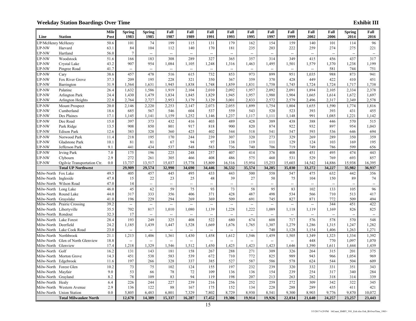|                      |                                   | <b>Mile</b> | <b>Spring</b><br>1983    | <b>Spring</b><br>1985    | Fall<br>1987             | Fall<br>1989             | Fall<br>1991             | Fall<br>1993                       | Fall<br>1995             | Fall<br>1997             | Fall<br>1999             | Fall<br>2002             | Fall<br>2006             | <b>Spring</b>            | Fall<br>2016             |
|----------------------|-----------------------------------|-------------|--------------------------|--------------------------|--------------------------|--------------------------|--------------------------|------------------------------------|--------------------------|--------------------------|--------------------------|--------------------------|--------------------------|--------------------------|--------------------------|
| Line                 | <b>Station</b>                    | Post        |                          |                          |                          |                          |                          |                                    |                          |                          |                          |                          |                          | 2014                     |                          |
| JP/McHenry McHenry   |                                   | 50.6        | 101                      | 74                       | 199                      | 115                      | 131                      | 179                                | 162                      | 154                      | 159                      | 140                      | 101                      | 114                      | 96                       |
| <b>JP-NW</b>         | Harvard                           | 63.1        | 84                       | 104                      | 112                      | 140                      | 170                      | 181                                | 235                      | 203                      | 222                      | 259                      | 274                      | 275                      | 221                      |
| <b>JP-NW</b>         | Hartland                          | 56.0        | $\overline{7}$           | $\overline{\phantom{a}}$ | $\overline{\phantom{a}}$ | $\overline{a}$           | $\overline{\phantom{a}}$ | $\overline{\phantom{0}}$           | $\overline{\phantom{a}}$ | $\overline{\phantom{a}}$ | $\overline{\phantom{a}}$ | $\overline{\phantom{a}}$ | $\overline{\phantom{a}}$ | $\overline{\phantom{a}}$ | $\overline{\phantom{a}}$ |
| <b>JP-NW</b>         | Woodstock                         | 51.6        | 166                      | 183                      | 308                      | 289                      | 327                      | 365                                | 357                      | 314                      | 349                      | 415                      | 456                      | 437                      | 317                      |
| <b>JP-NW</b>         | Crystal Lake                      | 43.2        | 907                      | 954                      | 1,084                    | 1,105                    | 1,248                    | 1,316                              | 1,463                    | 1,495                    | 1,501                    | 1,579                    | 1,370                    | 1,238                    | 1,199                    |
| <b>JP-NW</b>         | Pingree Road                      | 41.7        | $\sim$                   | $\sim$                   | $\sim$                   | $\overline{\phantom{a}}$ | --                       | $\overline{\phantom{a}}$           | $\overline{a}$           | $\sim$                   | $\sim$                   | --                       | 581                      | 744                      | 751                      |
| <b>JP-NW</b>         | Cary                              | 38.6        | 457                      | 478                      | 516                      | 615                      | 732                      | 853                                | 973                      | 899                      | 951                      | 1,035                    | 988                      | 873                      | 941                      |
| UP-NW                | Fox River Grove                   | 37.3        | 209                      | 195                      | 228                      | 321                      | 350                      | 367                                | 359                      | 370                      | 428                      | 449                      | 422                      | 410                      | 451                      |
| <b>JP-NW</b>         | Barrington                        | 31.9        | 1,564                    | 1,631                    | 1,945                    | 1,838                    | 1,748                    | 1,859                              | 1,831                    | 1,758                    | 1,745                    | 1,724                    | 1,724                    | 1,717                    | 1,738                    |
| <b>JP-NW</b>         | Palatine                          | 26.4        | 1,632                    | 1,586                    | 1,919                    | 2,104                    | 2,010                    | 2,092                              | 1,957                    | 2,092                    | 2,091                    | 1,894                    | 2,105                    | 2,334                    | 2,378                    |
| UP-NW                | <b>Arlington Park</b>             | 24.4        | 1,430                    | 1,479                    | 1,834                    | 1,845                    | 1,829                    | 1,945                              | 1,957                    | 1,980                    | 1,904                    | 1,665                    | 1,614                    | 1,672                    | 1,697                    |
| <b>JP-NW</b>         | Arlington Heights                 | 22.8        | 2,764                    | 2,727                    | 2,953                    | 3,179                    | 3,129                    | 3,001                              | 2,833                    | 2,572                    | 2,579                    | 2,496                    | 2,317                    | 2,349                    | 2,578                    |
| UP-NW                | Mount Prospect                    | 20.0        | 2,146                    | 2,220                    | 2,253                    | 2,147                    | 2,073                    | 2,055                              | 1,899                    | 1,754                    | 1,804                    | 1,655                    | 1,590                    | 1,774                    | 1,816                    |
| UP-NW                | Cumberland                        | 18.6        | 685                      | 567                      | 546                      | 604                      | 537                      | 559                                | 543                      | 520                      | 523                      | 393                      | 393                      | 431                      | 455                      |
| <b>JP-NW</b>         | Des Plaines                       | 17.1        | 1,145                    | 1,141                    | 1,159                    | 1,252                    | 1,146                    | 1,237                              | 1,117                    | 1,111                    | 1,148                    | 991                      | 1,085                    | 1,221                    | 1,142                    |
| UP-NW                | Dee Road                          | 15.0        | 397                      | 373                      | 432                      | 416                      | 403                      | 489                                | 428                      | 389                      | 438                      | 388                      | 446                      | 570                      | 515                      |
| <b>JP-NW</b>         | Park Ridge                        | 13.5        | 908                      | 850                      | 801                      | 917                      | 818                      | 900                                | 820                      | 874                      | 922                      | 932                      | 897                      | 954                      | 1,043                    |
| <b>JP-NW</b>         | <b>Edison Park</b>                | 12.6        | 383                      | 328                      | 360                      | 425                      | 402                      | 544                                | 518                      | 541                      | 547                      | 593                      | 536                      | 646                      | 694                      |
| <b>JP-NW</b>         | Norwood Park                      | 11.4        | 218                      | 195                      | 170                      | 244                      | 239                      | 307                                | 320                      | 273                      | 329                      | 269                      | 289                      | 350                      | 359                      |
| <b>JP-NW</b>         | Gladstone Park                    | 10.1        | 81                       | 81                       | 67                       | 94                       | 97                       | 138                                | 119                      | 111                      | 129                      | 124                      | 103                      | 169                      | 195                      |
| <b>JP-NW</b>         | Jefferson Park                    | 9.1         | 441                      | 434                      | 537                      | 548                      | 583                      | 736                                | 740                      | 706                      | 719                      | 749                      | 786                      | 599                      | 656                      |
| UP-NW                | <b>Irving Park</b>                | 7.0         | 175                      | 196                      | 225                      | 248                      | 257                      | 407                                | 414                      | 376                      | 408                      | 451                      | 495                      | 474                      | 443                      |
| UP-NW                | Clybourn                          | 2.9         | 272                      | 261                      | 305                      | 466                      | 408                      | 486                                | 575                      | 460                      | 531                      | 529                      | 769                      | 693                      | 857                      |
| <b>JP-NW</b>         | Ogilvie Transportation Ctr.       | 0.0         | 13,737                   | 13,517                   | 15,037                   | 15,778                   | 15,809                   | 16,516                             | 15,954                   | 15,253                   | 15,603                   | 14,542                   | 14,886                   | 15,938                   | 16,395                   |
|                      | <b>Total UP Northwest</b>         |             | 29,909                   | 29,574                   | 32.990                   | 34.690                   | 34,446                   | 36,532                             | 35,574                   | 34,205                   | 35,030                   | 33,272                   | 34,227                   | 35,982                   | 36,937                   |
| Milw-North Fox Lake  |                                   | 49.5        | 405                      | 457                      | 445                      | 495                      | 433                      | 443                                | 500                      | 558                      | 547                      | 475                      | 632                      | 442                      | 356                      |
| Milw-North Ingleside |                                   | 47.8        | 15                       | 22                       | 23                       | 25                       | 48                       | 39                                 | 27                       | 50                       | 75                       | 104                      | 150                      | 89                       | 74                       |
|                      | Milw-North Wilson Road            | 47.0        | 14                       | $\overline{\phantom{a}}$ | $\overline{a}$           | $\overline{\phantom{a}}$ | $\overline{\phantom{a}}$ | $\overline{\phantom{a}}$           | $\overline{\phantom{a}}$ | $\overline{\phantom{a}}$ | $\overline{\phantom{a}}$ | $\overline{\phantom{a}}$ | $\overline{\phantom{a}}$ | $\overline{\phantom{a}}$ | $\overline{\phantom{a}}$ |
|                      | Milw-North Long Lake              | 46.0        | 45                       | 62                       | 59                       | 75                       | 93                       | 73                                 | 58                       | 95                       | 83                       | 102                      | 133                      | 105                      | 96                       |
|                      | Milw-North Round Lake             | 44.0        | 317                      | 333                      | 356                      | 406                      | 371                      | 428                                | 487                      | 498                      | 534                      | 566                      | 710                      | 513                      | 417                      |
| Milw-North Grayslake |                                   | 41.0        | 196                      | 229                      | 294                      | 269                      | 369                      | 509                                | 691                      | 745                      | 827                      | 871                      | 772                      | 509                      | 494                      |
|                      | Milw-North Prairie Crossing       | 39.2        | $\overline{\phantom{a}}$ | $\mathbb{L}$             | $\overline{\phantom{a}}$ | $\overline{\phantom{a}}$ | $\overline{\phantom{a}}$ | $\overline{\phantom{a}}$           | $\overline{\phantom{a}}$ | $\overline{\phantom{a}}$ | $\overline{\phantom{a}}$ | $\overline{\phantom{a}}$ | 344                      | 451                      | 422                      |
|                      | Milw-North Libertyville           | 35.5        | 702                      | 817                      | 1,010                    | 1,080                    | 1,139                    | 1,228                              | 1,222                    | 1,089                    | 1,118                    | 1,119                    | 1,169                    | 826                      | 825                      |
| Milw-North Rondout   |                                   | 32.3        | 17                       | $\overline{\phantom{a}}$ | $\overline{\phantom{a}}$ | $\overline{a}$           | $\overline{\phantom{a}}$ |                                    | $\overline{a}$           | $\overline{\phantom{a}}$ | $\overline{a}$           | $\overline{\phantom{a}}$ |                          | $\overline{\phantom{a}}$ | $\overline{\phantom{a}}$ |
|                      | Milw-North Lake Forest            | 28.4        | 193                      | 249                      | 325                      | 408                      | 522                      | 680                                | 674                      | 608                      | 717                      | 576                      | 578                      | 570                      | 548                      |
| Milw-North Deerfield |                                   | 24.2        | 1,185                    | 1,439                    | 1,447                    | 1,528                    | 1,669                    | 1,676                              | 1,765                    | 1,307                    | 1,279                    | 1,286                    | 1,315                    | 1,247                    | 1,282                    |
|                      | Milw-North Lake Cook Road         | 23.0        | $\overline{\phantom{a}}$ | $\overline{\phantom{a}}$ | $\overline{\phantom{a}}$ | $\overline{\phantom{a}}$ | $\overline{\phantom{a}}$ | $\overline{a}$                     | --                       | 740                      | 1,128                    | 1,154                    | 1,406                    | 1,263                    | 1,271                    |
|                      | Milw-North Northbrook             | 21.1        | 1,213                    | 1,406                    | 1,361                    | 1,430                    | 1,458                    | 1,612                              | 1,546                    | 1,459                    | 1,505                    | 1,349                    | 1,323                    | 1,334                    | 1,392                    |
|                      | Milw-North Glen of North Glenview | 18.8        | $\overline{\phantom{a}}$ | $\overline{\phantom{a}}$ | $\overline{\phantom{a}}$ | $\overline{\phantom{a}}$ | $\overline{\phantom{a}}$ | $\hspace{0.05cm} -\hspace{0.05cm}$ | $\overline{\phantom{a}}$ | $\overline{\phantom{a}}$ | u.                       | 448                      | 770                      | 1,097                    | 1,070                    |
| Milw-North Glenview  |                                   | 17.4        | 1,218                    | 1,329                    | 1,546                    | 1,512                    | 1,450                    | 1,425                              | 1,423                    | 1,423                    | 1,646                    | 1,390                    | 1,611                    | 1,444                    | 1,439                    |
| Milw-North           | Golf                              | 16.2        | 131                      | 143                      | 181                      | 158                      | 267                      | 288                                | 271                      | 309                      | 326                      | 264                      | 315                      | 201                      | 375                      |
|                      | Milw-North Morton Grove           | 14.3        | 451                      | 538                      | 583                      | 539                      | 672                      | 710                                | 772                      | 825                      | 989                      | 943                      | 966                      | 1,054                    | 969                      |
| Milw-North           | Edgebrook                         | 11.6        | 197                      | 266                      | 328                      | 337                      | 385                      | 527                                | 587                      | 586                      | 578                      | 624                      | 544                      | 504                      | 609                      |
|                      | Milw-North Forest Glen            | 10.2        | 73                       | 75                       | 102                      | 124                      | 155                      | 197                                | 232                      | 239                      | 320                      | 332                      | 331                      | 351                      | 343                      |
| Milw-North Mayfair   |                                   | 9.0         | 53                       | 66                       | 78                       | 72                       | 109                      | 136                                | 136                      | 154                      | 239                      | 254                      | 317                      | 340                      | 284                      |
| Milw-North Grayland  |                                   | 8.2         | 78                       | 109                      | 83                       | 94                       | 119                      | 198                                | 207                      | 213                      | 263                      | 282                      | 318                      | 314                      | 339                      |
| Milw-North Healy     |                                   | 6.4         | 226                      | 244                      | 227                      | 239                      | 216                      | 256                                | 252                      | 259                      | 272                      | 309                      | 342                      | 322                      | 345                      |
|                      | Milw-North Western Avenue         | 2.9         | 136                      | 122                      | 88                       | 167                      | 175                      | 152                                | 134                      | 228                      | 288                      | 289                      | 435                      | 411                      | 421                      |
|                      |                                   |             |                          |                          |                          |                          |                          |                                    |                          |                          |                          |                          |                          |                          |                          |
|                      | Milw-North Union Station          | 0.0         | 5,805                    | 6,483                    | 6,801                    | 7,329                    | 7,802                    | 8,729                              | 8,930                    | 8.541                    | 9.300                    | 8,903                    | 9,776                    | 9,870                    | 10,072                   |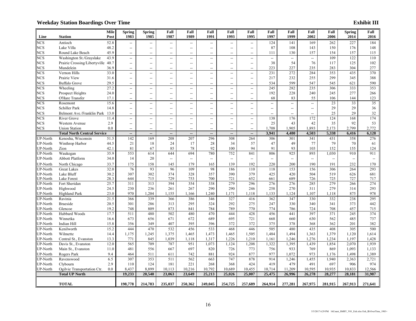|                      |                                    | Mile         | <b>Spring</b>                                       | <b>Spring</b>            | Fall                              | Fall                            | Fall                     | Fall                              | Fall                            | Fall                     | Fall                     | Fall                     | Fall                     | <b>Spring</b> | Fall                     |
|----------------------|------------------------------------|--------------|-----------------------------------------------------|--------------------------|-----------------------------------|---------------------------------|--------------------------|-----------------------------------|---------------------------------|--------------------------|--------------------------|--------------------------|--------------------------|---------------|--------------------------|
| Line                 | <b>Station</b>                     | Post         | 1983                                                | 1985                     | 1987                              | 1989                            | 1991                     | 1993                              | 1995                            | 1997                     | 1999                     | 2002                     | 2006                     | 2014          | 2016                     |
| <b>NCS</b>           | Antioch                            | 52.8         | $\overline{\phantom{a}}$                            | u.                       | $\overline{\phantom{a}}$          | $\overline{\phantom{a}}$        | $\overline{\phantom{a}}$ | $\overline{\phantom{a}}$          | $\overline{\phantom{a}}$        | 124                      | 141                      | 169                      | 262                      | 227           | 184                      |
| <b>NCS</b>           | Lake Villa                         | 48.2         | $\hspace{0.05cm} -\hspace{0.05cm} -\hspace{0.05cm}$ | --                       | $\hspace{0.05cm} \dashrightarrow$ | $\overline{a}$                  | $\overline{\phantom{a}}$ | $\overline{\phantom{a}}$          | --                              | 87                       | 108                      | 143                      | 150                      | 176           | 148                      |
| NCS                  | Round Lake Beach                   | 45.9         | $\overline{\phantom{a}}$                            | --                       | $\overline{\phantom{a}}$          | $\overline{a}$                  | -−                       | $\overline{\phantom{a}}$          | Ξ.                              | 111                      | 130                      | 157                      | 154                      | 157           | 115                      |
| <b>NCS</b>           | Washington St./Grayslake           | 43.9         | $\overline{\phantom{a}}$                            | $\overline{\phantom{a}}$ | --                                | $\overline{\phantom{a}}$        | $\overline{\phantom{a}}$ | $\overline{\phantom{a}}$          | $\overline{\phantom{a}}$        | $\overline{\phantom{a}}$ | $\overline{\phantom{a}}$ | $\overline{\phantom{a}}$ | 109                      | 122           | 110                      |
| <b>NCS</b>           | Prairie Crossing/Libertyville      | 40.7         | $\overline{\phantom{a}}$                            | --                       | $\overline{\phantom{a}}$          | $\overline{a}$                  | $\overline{\phantom{a}}$ | $\overline{\phantom{a}}$          | $\overline{\phantom{a}}$        | 38                       | 54                       | 76                       | 117                      | 125           | 102                      |
| <b>NCS</b>           | Mundelein                          | 36.9         | $\overline{\phantom{a}}$                            | $\overline{a}$           | $\overline{a}$                    | $\overline{a}$                  | $\overline{\phantom{a}}$ | $\overline{\phantom{a}}$          | $\overline{a}$                  | 223                      | 227                      | 235                      | 283                      | 304           | 277                      |
| <b>NCS</b>           | Vernon Hills                       | 33.0         | $\overline{\phantom{a}}$                            | --                       | $\overline{\phantom{a}}$          | $\overline{a}$                  | $\overline{\phantom{a}}$ | $\overline{\phantom{a}}$          | $-$                             | 231                      | 272                      | 284                      | 353                      | 435           | 370                      |
| <b>NCS</b>           | Prairie View                       | 31.6         | $\overline{\phantom{a}}$                            | --                       | $\hspace{0.05cm} \dashrightarrow$ | $\overline{a}$                  | $\overline{\phantom{a}}$ | $\overline{\phantom{a}}$          | Ξ.                              | 217                      | 232                      | 255                      | 299                      | 345           | 388                      |
| NCS                  | <b>Buffalo Grove</b>               | 29.5         | $\overline{\phantom{a}}$                            | $-$                      | $\overline{\phantom{a}}$          | $\overline{a}$                  | $\overline{\phantom{a}}$ | $\overline{\phantom{a}}$          | $\overline{a}$                  | 534                      | 599                      | 547                      | 545                      | 621           | 590                      |
| <b>NCS</b>           | Wheeling                           | 27.2         | $\overline{\phantom{a}}$                            | ΞĒ,                      | $\overline{\phantom{a}}$          | $\overline{a}$                  | $\overline{\phantom{a}}$ | $\hspace{0.05cm} \dashrightarrow$ | --                              | $\overline{245}$         | 282                      | 235                      | 306                      | 333           | 353                      |
| NCS                  | Prospect Heights                   | 24.0         | $\overline{\phantom{a}}$                            | $\overline{\phantom{a}}$ | $\overline{\phantom{a}}$          | $\overline{a}$                  | $\overline{\phantom{a}}$ | $\overline{\phantom{a}}$          | $\overline{\phantom{a}}$        | 192                      | 228                      | 240                      | 245                      | 277           | 266                      |
| <b>NCS</b>           | O'Hare Transfer                    | 17.1         | $\hspace{0.05cm} -\hspace{0.05cm}$                  | --                       | $\overline{\phantom{a}}$          | $\overline{a}$                  | $\overline{\phantom{a}}$ | $\overline{\phantom{a}}$          | --                              | 68                       | 83                       | 55                       | 106                      | 144           | 123                      |
| <b>NCS</b>           | Rosemont                           | 15.6         | $\overline{\phantom{a}}$                            | --                       | $\overline{\phantom{a}}$          | --                              | $\overline{\phantom{a}}$ | $\overline{\phantom{a}}$          | --                              | $\overline{\phantom{a}}$ | $\overline{\phantom{a}}$ | $\overline{\phantom{a}}$ | 23                       | 33            | 35                       |
| <b>NCS</b>           | Schiller Park                      | 14.8         | $\hspace{0.05cm} -\hspace{0.05cm} -\hspace{0.05cm}$ | --                       | $\overline{\phantom{a}}$          | $\overline{a}$                  | $\overline{\phantom{a}}$ | $\overline{\phantom{a}}$          | --                              | $\overline{\phantom{a}}$ | --                       | $\overline{\phantom{a}}$ | 29                       | 29            | 36                       |
| <b>NCS</b>           | Belmont Ave./Franklin Park         | 13.0         | $\overline{\phantom{a}}$                            | $\overline{\phantom{a}}$ | $\overline{\phantom{a}}$          | $\overline{a}$                  | $\overline{\phantom{a}}$ | $\overline{\phantom{0}}$          | $-$                             | $\sim$                   | $\overline{a}$           | $\overline{\phantom{a}}$ | 25                       | 29            | 32                       |
| <b>NCS</b>           | <b>River Grove</b>                 | 11.4         | $\overline{\phantom{a}}$                            | $-$                      | $\overline{\phantom{a}}$          | $\overline{a}$                  | $\overline{\phantom{a}}$ | $\overline{\phantom{a}}$          | --                              | 138                      | 176                      | 172                      | 124                      | 168           | 174                      |
| <b>NCS</b>           | Western Avenue                     | 2.9          | $\overline{\phantom{a}}$                            | --                       | $\overline{\phantom{a}}$          | $\overline{a}$                  | $\overline{\phantom{a}}$ | $\overline{\phantom{a}}$          | --                              | 25                       | 43                       | 42                       | 35                       | 92            | 53                       |
| <b>NCS</b>           | <b>Union Station</b>               | 0.0          | $\overline{\phantom{a}}$                            |                          | $\overline{\phantom{a}}$          |                                 | $\overline{\phantom{a}}$ | $\overline{\phantom{a}}$          | $\overline{a}$                  | 1,708                    | 1,905                    | 1,893                    | 2,173<br>5,338           | 2,799         | 2,772<br>6,128           |
|                      | <b>Total North Central Service</b> |              |                                                     | --<br>169                |                                   | $\overline{\phantom{a}}$<br>207 |                          |                                   | $\overline{\phantom{a}}$<br>264 | 3,941                    | 4,480                    | 4,503                    |                          | 6,416         | 276                      |
| JP-North             | Kenosha, Wisconsin                 | 51.5         | 142                                                 |                          | 208                               |                                 | 296                      | 308                               |                                 | 306                      | 301<br>49                | 341                      | 431                      | 358<br>70     | 61                       |
| JP-North<br>JP-North | Winthrop Harbor<br>Zion            | 44.5<br>42.1 | 21<br>81                                            | 18<br>67                 | 24<br>85                          | 17<br>78                        | 28<br>92                 | 34<br>100                         | 57<br>94                        | 47<br>91                 | 93                       | 77<br>103                | 79<br>152                | 155           | 124                      |
| JP-North             | Waukegan                           | 35.9         | 553                                                 | 614                      | 644                               | 694                             | 780                      | 752                               | 841                             | 806                      | 925                      | 893                      | 1,030                    | 910           | 911                      |
| UP-North             | <b>Abbott Platform</b>             | 34.0         | 14                                                  | 20                       | $\overline{\phantom{a}}$          | --                              | --                       | $\overline{\phantom{a}}$          | --                              | $\overline{\phantom{a}}$ | $\overline{\phantom{a}}$ | $\overline{\phantom{a}}$ | $\overline{\phantom{a}}$ |               | $\overline{\phantom{a}}$ |
|                      |                                    |              |                                                     |                          |                                   |                                 |                          |                                   |                                 |                          |                          |                          |                          | 232           |                          |
| JP-North             | North Chicago                      | 33.7<br>32.0 | 175<br>76                                           | 158<br>93                | 145<br>96                         | 179<br>109                      | 165<br>98                | 139<br>186                        | 192<br>110                      | 220<br>118               | 200<br>153               | 190<br>156               | 191<br>306               | 264           | 170<br>293               |
| JP-North             | <b>Great Lakes</b><br>Lake Bluff   | 30.2         | 307                                                 | 302                      | 374                               | 328                             | 357                      | 390                               | 379                             | 425                      | 420                      | 504                      | 519                      | 626           | 681                      |
| JP-North<br>JP-North | Lake Forest                        | 28.3         | 644                                                 | 715                      | 729                               | 753                             | 700                      | 721                               | 652                             | 661                      | 689                      | 726                      | 725                      | 727           | 717                      |
| JP-North             | Fort Sheridan                      | 25.7         | 311                                                 | 313                      | 394                               | 354                             | 338                      | 279                               | 296                             | 276                      | 276                      | 285                      | 279                      | 266           | 274                      |
| JP-North             | Highwood                           | 24.5         | 230                                                 | 236                      | 261                               | 267                             | 290                      | 290                               | 246                             | 258                      | 270                      | 311                      | 279                      | 314           | 293                      |
| JP-North             | <b>Highland Park</b>               | 23.0         | 970                                                 | 1,204                    | 1,155                             | 1,166                           | 1,240                    | 1,171                             | 1,118                           | 1,133                    | 1,124                    | 1,107                    | 1,118                    | 875           | 978                      |
| JP-North             | Ravinia                            | 21.5         | 366                                                 | 339                      | 366                               | 386                             | 346                      | 327                               | 416                             | 362                      | 347                      | 330                      | 332                      | 238           | 295                      |
| JP-North             | <b>Braeside</b>                    | 20.5         | 301                                                 | 286                      | 313                               | 295                             | 324                      | 292                               | 275                             | 247                      | 330                      | 340                      | 341                      | 373           | 442                      |
| JP-North             | Glencoe                            | 19.2         | 748                                                 | 809                      | 873                               | 841                             | 784                      | 789                               | 770                             | 774                      | 786                      | 724                      | 708                      | 457           | 715                      |
| JP-North             | Hubbard Woods                      | 17.7         | 511                                                 | 480                      | 502                               | 480                             | 470                      | 444                               | 428                             | 456                      | 441                      | 397                      | 371                      | 245           | 374                      |
| JP-North             | Winnetka                           | 16.6         | 673                                                 | 656                      | 671                               | 672                             | 689                      | 695                               | 721                             | 668                      | 660                      | 630                      | 562                      | 485           | 737                      |
| JP-North             | Indian Hill                        | 15.8         | 356                                                 | 349                      | 407                               | 395                             | 396                      | 372                               | 372                             | 375                      | 378                      | 368                      | 362                      | 201           | 382                      |
| JP-North             | Kenilworth                         | 15.2         | 444                                                 | 470                      | 532                               | 456                             | 533                      | 468                               | 446                             | 505                      | 480                      | 435                      | 408                      | 305           | 500                      |
| JP-North             | Wilmette                           | 14.4         | 1,175                                               | 1,245                    | 1,375                             | 1,465                           | 1,473                    | 1,465                             | 1,505                           | 1,484                    | 1,494                    | 1,363                    | 1,379                    | 1,120         | 1,614                    |
| JP-North             | Central St., Evanston              | 13.3         | 771                                                 | 845                      | 1,039                             | 1,118                           | 1,317                    | 1,226                             | 1,210                           | 1,161                    | 1,246                    | 1,276                    | 1,234                    | 1,197         | 1,428                    |
| JP-North             | Davis St., Evanston                | 12.0         | 565                                                 | 709                      | 787                               | 951                             | 1,073                    | 1,124                             | 1,208                           | 1,322                    | 1,395                    | 1,439                    | 1,854                    | 2,070         | 1,939                    |
| JP-North             | Main St., Evanston                 | 11.0         | 481                                                 | 556                      | 667                               | 697                             | 820                      | 726                               | 773                             | 756                      | 933                      | 769                      | 869                      | 1,093         | 1,133                    |
| JP-North             | Rogers Park                        | 9.4          | 464                                                 | 511                      | 611                               | 742                             | 881                      | 924                               | 877                             | 977                      | 1,072                    | 973                      | 1,176                    | 1,498         | 1,389                    |
| JP-North             | Ravenswood                         | 6.5          | 307                                                 | 353                      | 511                               | 562                             | 663                      | 747                               | 878                             | 914                      | 1,246                    | 1,455                    | 1,940                    | 2,363         | 2,721                    |
| UP-North             | Clybourn                           | 2.9          | 110                                                 | 124                      | 181                               | 221                             | 268                      | 368                               | 424                             | 419                      | 479                      | 491                      | 697                      | 906           | 974                      |
| JP-North             | Ogilvie Transportation Ctr.        | 0.0          | 8,437                                               | 8,899                    | 10,113                            | 10,216                          | 10,792                   | 10,689                            | 10,455                          | 10,714                   | 11,209                   | 10,595                   | 10,935                   | 10,833        | 12,566                   |
|                      | <b>Total UP North</b>              |              | 19.233                                              | 20.540                   | 23,063                            | 23,649                          | 25,213                   | 25,026                            | 25,007                          | 25,475                   | 26,996                   | 26,278                   | 28,277                   | 28,181        | 31,987                   |
|                      | <b>TOTAL</b>                       |              | 198,778                                             | 214,783                  | 235,037                           | 250,362                         | 249,045                  | 254,725                           | 257,689                         | 264,914                  | 277,281                  | 267,975                  | 281,915                  | 267,913       | 271,641                  |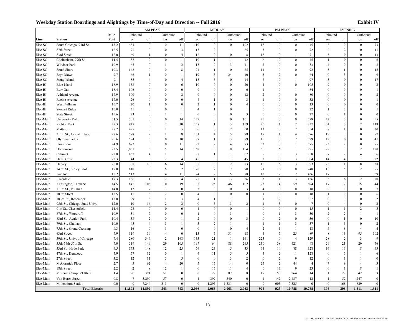|           |                               |                |                  |                         | AM PEAK          |                         |                  | <b>MIDDAY</b>    |                         |                |                         |                  | PM PEAK                 |                |                  | <b>EVENING</b>          |                  |                |
|-----------|-------------------------------|----------------|------------------|-------------------------|------------------|-------------------------|------------------|------------------|-------------------------|----------------|-------------------------|------------------|-------------------------|----------------|------------------|-------------------------|------------------|----------------|
|           |                               | Mile           | Inbound          |                         | Outbound         |                         | Inbound          |                  | Outbound                |                | Inbound                 |                  | Outbound                |                | Inbound          |                         | Outbound         |                |
| Line      | <b>Station</b>                | Post           | on               | off                     | on               | off                     | on               | off              | on                      | off            | on                      | off              | on                      | off            | on               | off                     | on               | off            |
| Elec-SC   | South Chicago, 93rd St.       | 13.2           | 483              | $\mathbf{0}$            | $\mathbf{0}$     | 11                      | 110              | $\bf{0}$         | $\mathbf{0}$            | 102            | 18                      | $\bf{0}$         | $\mathbf{0}$            | 445            | 8                | $\bf{0}$                | $\mathbf{0}$     | 73             |
| Elec-SC   | 87th Street                   | 12.5           | 71               | $\boldsymbol{0}$        | $\boldsymbol{0}$ | $\overline{\mathbf{3}}$ | 13               | $\boldsymbol{0}$ | $\mathbf{1}$            | 25             | $\overline{3}$          | $\boldsymbol{0}$ | $\boldsymbol{0}$        | 72             | $\sqrt{2}$       | $\overline{2}$          | $\mathbf{0}$     | 11             |
| Elec-SC   | 83rd Street                   | 12.0           | 69               | $\mathbf{1}$            | $\mathbf{0}$     | $\overline{4}$          | 12               | $\bf{0}$         | $\boldsymbol{0}$        | 8              | 18                      | $\mathbf{0}$     | $\mathbf{1}$            | 71             | 3                | $\Omega$                | $\Omega$         | 13             |
| Elec-SC   | Cheltenham, 79th St.          | 11.5           | 37               | $\overline{2}$          | $\boldsymbol{0}$ | 1                       | 10               | $\mathbf{1}$     | $\mathbf{1}$            | 12             | 6                       | $\mathbf{0}$     | $\boldsymbol{0}$        | 45             | $\mathbf{1}$     | $\mathbf{0}$            | $\mathbf{0}$     | 6              |
| Elec-SC   | <b>Windsor Park</b>           | 10.9           | 65               | $\boldsymbol{0}$        | 1                | $\overline{2}$          | 15               | $\overline{2}$   | 3                       | 11             | $\tau$                  | $\boldsymbol{0}$ | $\boldsymbol{0}$        | 53             | $\overline{4}$   | $\theta$                | $\theta$         | $8\,$          |
| Elec-SC   | South Shore                   | 10.3           | 142              | $\boldsymbol{0}$        | $\mathbf{0}$     | 8                       | 24               | $\mathbf{1}$     | $\mathbf{0}$            | 25             | 11                      | $\theta$         | $\mathbf{0}$            | 92             | 5                |                         | $\theta$         | 15             |
| Elec-SC   | Bryn Mawr                     | 9.7            | 66               | $\mathbf{1}$            | $\boldsymbol{0}$ |                         | 19               | $\mathfrak{Z}$   | 24                      | $10\,$         | $\overline{\mathbf{3}}$ | $\sqrt{2}$       | $\boldsymbol{0}$        | 64             | $\boldsymbol{0}$ | 3                       | $\mathbf{0}$     | 9              |
| Elec-SC   | Stony Island                  | 9.1            | 85               | $\overline{4}$          | $\boldsymbol{0}$ | $\overline{4}$          | 13               | 5                | $\bf{0}$                | 14             | $\tau$                  | $\boldsymbol{0}$ | $\overline{1}$          | 97             | 3                | $\mathbf{0}$            | $\theta$         | 17             |
| Elec-BI   | <b>Blue Island</b>            | 18.9           | 158              | $\mathbf{0}$            | $\mathbf{0}$     | 6                       | 10               | $\Omega$         | $\mathbf{0}$            | 20             | $\overline{4}$          | $\Omega$         | $\mathbf{0}$            | 105            | $\mathbf Q$      | $\theta$                | $\Omega$         | $\overline{c}$ |
| Elec-BI   | <b>Burr Oak</b>               | 18.4           | 106              | $\boldsymbol{0}$        | $\boldsymbol{0}$ | $\mathbf 0$             | 9                | $\boldsymbol{0}$ | $\boldsymbol{0}$        | $\sqrt{6}$     | $\mathbf{1}$            | $\boldsymbol{0}$ | $\overline{1}$          | 84             | $\boldsymbol{0}$ | $\mathbf{0}$            | $\theta$         | $\mathbf{1}$   |
| Elec-BI   | <b>Ashland Avenue</b>         | 17.9           | 100              | $\boldsymbol{0}$        | $\boldsymbol{0}$ | $\overline{c}$          | 9                | $\bf{0}$         | $\boldsymbol{0}$        | 12             | $\overline{c}$          | $\boldsymbol{0}$ | $\boldsymbol{0}$        | 80             | $\theta$         | $\mathbf{0}$            | $\theta$         | $\overline{c}$ |
| Elec-BI   | Racine Avenue                 | 17.0           | 26               | $\mathbf{0}$            | $\Omega$         | $\bf{0}$                | $\overline{4}$   | $\mathbf{1}$     | $\mathbf{0}$            | 3              |                         | $\Omega$         | $\mathbf{0}$            | 32             | $\Omega$         | $\Omega$                | $\Omega$         | $\mathbf{1}$   |
| Elec-BI   | West Pullman                  | 16.7           | 20               | 1                       | $\mathbf{0}$     | $\theta$                | 2                | $\mathbf{1}$     | $\mathbf{0}$            | $\overline{4}$ | $\mathbf{0}$            | $\theta$         | $\mathbf{0}$            | 13             | $\theta$         | $\theta$                | $\theta$         | $\mathbf{0}$   |
| Elec-BI   | <b>Stewart Ridge</b>          | 16.0           | 31               | $\mathbf{0}$            | $\mathbf{0}$     | 1                       | $\overline{4}$   | $\mathbf{1}$     | $\mathbf{0}$            | 1              | $\Omega$                | $\mathbf{0}$     | $\mathbf{0}$            | 22             | -1               | $\overline{2}$          | $\Omega$         | $\mathbf{1}$   |
| Elec-BI   | <b>State Street</b>           | 15.6           | 23               | $\boldsymbol{0}$        | 1                | 1                       | 6                | $\bf{0}$         | $\boldsymbol{0}$        | 3              | $\mathbf{0}$            | $\mathbf{0}$     | $\mathbf{0}$            | 27             | $\theta$         | $\mathbf{1}$            | $\theta$         | $\bf{0}$       |
| Elec-Main | University Park               | 31.5           | 701              | $\boldsymbol{0}$        | $\boldsymbol{0}$ | 34                      | 139              | $\bf{0}$         | $\boldsymbol{0}$        | 161            | 25                      | $\boldsymbol{0}$ | $\boldsymbol{0}$        | 578            | 42               | $\mathbf{0}$            | $\boldsymbol{0}$ | 55             |
| Elec-Main | <b>Richton Park</b>           | 29.3           | 947              | $\boldsymbol{0}$        | $\sqrt{2}$       | 30                      | 158              | 1                | $\mathfrak{Z}$          | 159            | 26                      | 1                | $\tau$                  | 837            | 34               | $\theta$                | $\overline{2}$   | 118            |
| Elec-Main | Matteson                      | 28.2           | 425              | $\boldsymbol{0}$        | $\mathbf{1}$     | 5                       | 56               | $\bf{0}$         | $\overline{c}$          | 60             | 13                      | $\boldsymbol{0}$ | 2                       | 354            | 8                | $\mathbf{1}$            | $\theta$         | 30             |
| Elec-Main | 211th St., Lincoln Hwy.       | 27.6           | 578              | $\overline{c}$          | $\mathbf{1}$     | 8                       | 101              | $\overline{4}$   | 5                       | 98             | 19                      | 1                | $\overline{4}$          | 576            | 19               | 3                       | $\mathbf{0}$     | 97             |
| Elec-Main | Olympia Fields                | 26.6           | 524              | 5                       | $\boldsymbol{0}$ | 10                      | 87               | $\mathbf{1}$     | $\overline{3}$          | 79             | 15                      | $\mathbf{0}$     | $\overline{c}$          | 529            | 12               | $\mathbf{0}$            | $\mathbf{0}$     | 41             |
| Elec-Main | Flossmoor                     | 24.9           | 672              | $\boldsymbol{0}$        | $\boldsymbol{0}$ | 11                      | 92               | $\overline{c}$   | $\overline{4}$          | 93             | 32                      | $\theta$         | $\mathbf{1}$            | 575            | 23               | $\overline{2}$          | $\Omega$         | 75             |
| Elec-Main | Homewood                      | 23.5           | 1,051            | 5                       | 5                | 14                      | 169              | 10               | $\,$ 8 $\,$             | 154            | 50                      | 6                | $\mathbf{1}$            | 925            | 22               | $\overline{\mathbf{3}}$ | $\overline{2}$   | $120\,$        |
| Elec-Main | Calumet                       | 22.8           | 867              | $\overline{4}$          | $\mathbf{1}$     | $\mathbf{1}$            | 98               | $\mathbf{1}$     | $\mathbf{1}$            | 67             | 8                       | $\boldsymbol{0}$ | $\overline{\mathbf{3}}$ | 958            | $7\phantom{.0}$  | $\overline{2}$          | $\overline{4}$   | 56             |
| Elec-Main | Hazel Crest                   | 22.3           | 344              | 8                       | $\overline{c}$   | $\overline{4}$          | 45               | $\bf{0}$         | $\overline{1}$          | 45             | 2                       | $\boldsymbol{0}$ | $\overline{\mathbf{3}}$ | 304            | 14               | $\overline{4}$          |                  | 22             |
| Elec-Main | Harvey                        | 20.0           | 388              | 10                      | 6                | 14                      | 85               | 18               | 12                      | 83             | 15                      | 6                | $\overline{\mathbf{3}}$ | 393            | 25               | 11                      | 8                | 38             |
| Elec-Main | 147th St., Sibley Blvd.       | 19.0           | 810              | $\boldsymbol{0}$        | 6                | $\overline{2}$          | 120              | $\overline{c}$   | $\tau$                  | 90             | 21                      | 3                | $\boldsymbol{0}$        | 748            | 18               | 5                       | $\overline{c}$   | 95             |
| Elec-Main | Ivanhoe                       | 18.2           | 513              | $\mathbf{0}$            | $\overline{4}$   | 11                      | 74               | 2                | 5                       | 78             | 12                      | $\overline{c}$   | 2                       | 436            | 17               | 3                       |                  | 59             |
| Elec-Main | Riverdale                     | 17.3           | 136              | $\mathbf{1}$            | $\overline{c}$   | $\overline{4}$          | 28               | $\mathbf{1}$     | $\overline{\mathbf{3}}$ | 26             | $\overline{3}$          | $\mathbf{1}$     | $\overline{\mathbf{3}}$ | 136            | $\overline{3}$   | 6                       | $\overline{2}$   | 20             |
| Elec-Main | Kensington, 115th St.         | 14.5           | 845              | 106                     | $10\,$           | 19                      | 105              | 25               | 46                      | 102            | 23                      | 14               | 59                      | 694            | 17               | 12                      | 15               | 44             |
| Elec-Main | 111th St., Pullman            | 14.0           | 12               | $\overline{7}$          | 3                | $\bf{0}$                | 3                | $\overline{3}$   | $\bf{0}$                | 3              | $\overline{4}$          | $\boldsymbol{0}$ | $\boldsymbol{0}$        | 18             | 2                | $\boldsymbol{0}$        | $\Omega$         | $\tau$         |
| Elec-Main | 107th Street                  | 13.5           | 11               | $\overline{\mathbf{3}}$ | $\overline{c}$   | $\bf{0}$                | $\overline{4}$   | $\bf{0}$         | $\bf{0}$                | $\mathbf{0}$   | $\overline{1}$          | $\boldsymbol{0}$ | $\boldsymbol{0}$        | 18             | $\overline{1}$   | $\mathbf{0}$            | $\mathbf{0}$     | 6              |
| Elec-Main | 103rd St., Rosemoor           | 13.0           | 29               | 3                       | $\mathbf{1}$     | $\overline{\mathbf{3}}$ | 4                | 1                | $\mathbf{1}$            | 1              | 1                       | $\sqrt{2}$       | $\overline{1}$          | 27             | $\theta$         | $\overline{3}$          | $\Omega$         | $\sqrt{2}$     |
| Elec-Main | 95th St., Chicago State Univ. | 12.0           | 10               | 16                      | $\sqrt{2}$       | $\boldsymbol{2}$        | $\mathbf{0}$     | 5                | 13                      | $\sqrt{2}$     | $\mathbf{1}$            | 3                | $\boldsymbol{0}$        | $\overline{7}$ | $\theta$         | $\overline{4}$          | $\theta$         | $\sqrt{2}$     |
| Elec-Main | 91st St., Chesterfield        | 11.4           | 23               | $\boldsymbol{0}$        | $\boldsymbol{0}$ | $\mathbf 0$             | $\mathbf{1}$     | $\mathbf 0$      | $\boldsymbol{0}$        | $\mathbf{1}$   | $\boldsymbol{0}$        | $\mathbf{0}$     | $\boldsymbol{0}$        | 15             | $\overline{1}$   | $\mathbf{1}$            | $\sqrt{2}$       | 5              |
| Elec-Main | 87th St., Woodruff            | 10.9           | 31               | $\tau$                  | $\boldsymbol{0}$ | $\mathbf{0}$            | $\mathbf{1}$     | $\boldsymbol{0}$ | 3                       | 1              | $\mathbf{0}$            | 1                | 3                       | 30             | $\overline{c}$   | $\overline{c}$          | $\mathbf{1}$     | $\mathbf{1}$   |
| Elec-Main | 83rd St., Avalon Park         | 10.4           | 38               | $\overline{c}$          | $\mathbf{0}$     | 1                       | $\overline{2}$   | $\mathbf{0}$     | $\mathbf{0}$            | 3              | $\mathbf{0}$            | $\overline{c}$   | $\mathbf{0}$            | 36             | $\theta$         | $\mathbf{1}$            | $\mathbf{0}$     | 10             |
| Elec-Main | 79th St., Chatham             | 10.0           | 45               | $\overline{4}$          | $\mathfrak{Z}$   |                         | 5                | $\sqrt{2}$       | $\mathbf{1}$            | $\mathbf{1}$   | $\mathbf{1}$            | $\mathbf{1}$     | $\mathfrak{Z}$          | 37             | $\overline{1}$   | 3                       | $\mathbf{0}$     | $\overline{c}$ |
| Elec-Main | 75th St., Grand Crossing      | 9.3            | 16               | $\boldsymbol{0}$        | $\mathbf{1}$     | $\mathbf{0}$            | $\boldsymbol{0}$ | $\bf{0}$         | $\bf{0}$                | $\overline{4}$ | $\overline{c}$          | $\mathbf{1}$     | $\mathbf{1}$            | 18             | $\overline{4}$   | $\,$ 8 $\,$             | $\overline{4}$   | $\overline{4}$ |
| Elec-Main | 63rd Street                   | 7.9            | 119              | 39                      | $\overline{4}$   | $\bf{0}$                | 13               | 5                | 31                      | 18             | $\overline{4}$          | 5                | 25                      | 89             | 8                | 13                      | 95               | 102            |
| Elec-Main | 59th St., Univ. of Chicago    | 7.4            | 280              | 346                     | $\overline{c}$   | 168                     | 133              | 21               | $\overline{1}$          | 161            | 223                     | $\boldsymbol{0}$ | $\overline{4}$          | 129            | 28               | $\sqrt{2}$              | 3                | 9              |
| Elec-Main | 55th-56th-57th St.            | 7.0            | 519              | 149                     | 29               | 105                     | 197              | 64               | 88                      | 265            | 230                     | 38               | 421                     | 498            | 29               | 21                      | 29               | 76             |
| Elec-Main | 53rd St., Hyde Park           | 6.5            | 373              | 148                     | 12               | 25                      | 76               | 23               | 5                       | 33             | 64                      | 14               | 88                      | 328            | 16               | 16                      | 8                | 43             |
| Elec-Main | 47th St., Kenwood             | 5.9            | 57               | 12                      | $\boldsymbol{0}$ | ш                       | $\overline{4}$   | 11               | 5                       | 5              | $\overline{4}$          | $\sqrt{2}$       | 11                      | 128            | $\mathbf{0}$     | 5                       | $\mathbf{1}$     | 6              |
| Elec-Main | 27th Street                   | 3.2            | 12               | 11                      | 5                | 5                       | $\mathbf{0}$     | $\boldsymbol{0}$ | 3                       | $\overline{2}$ | $\mathbf{0}$            | $\sqrt{2}$       | 9                       | 12             | $\theta$         | $\mathbf{1}$            | $\mathbf{1}$     | $\mathbf 0$    |
| Elec-Main | McCormick Place               | 2.7            | 5                | 62                      | $\overline{4}$   | 20                      | 5                | 15               | 14                      | $\mathbf{0}$   | 25                      | $\overline{2}$   | 44                      | $\overline{4}$ | 7                | $\mathbf Q$             | $\overline{4}$   | 3              |
| Elec-Main | 18th Street                   | 2.2            | 2                | 8                       | 12               | $\overline{1}$          | $\boldsymbol{0}$ | 15               | 11                      | $\overline{4}$ | $\mathbf{0}$            | 13               | 9                       | 23             | $\boldsymbol{0}$ | $\mathbf{1}$            | $\,$ 8 $\,$      | $\mathbf{1}$   |
| Elec-Main | Museum Campus/11th St.        | 1.4            | 20               | 391                     | 51               | $\mathbf 0$             | $\boldsymbol{0}$ | 127              | 87                      | 8              | 19                      | 58               | 264                     | 14             | 1                | 27                      | 42               | 3              |
| Elec-Main | Van Buren Street              | 0.8            | $\tau$           | 3,290                   | 57               | $\bf{0}$                | $\overline{1}$   | 397              | 340                     | $\bf{0}$       | $\mathbf{1}$            | 142              | 2,487                   | 12             | $\mathbf{1}$     | 52                      | 247              | $\mathbf 0$    |
| Elec-Main | Millennium Station            | 0 <sub>0</sub> | $\boldsymbol{0}$ | 7,244                   | 313              | $\boldsymbol{0}$        | $\boldsymbol{0}$ | 1,295            | 1,331                   | $\bf{0}$       | $\boldsymbol{0}$        | 603              | 7,325                   | $\theta$       | $\theta$         | 168                     | 829              | $\bf{0}$       |
|           | <b>Total Electric</b>         |                | 11,892           | 11,892                  | 543              | 543                     | 2,066            | 2,066            | 2,063                   | 2,063          | 925                     | 925              | 10,788                  | 10,788         | 398              | 398                     | 1,311            | 1,311          |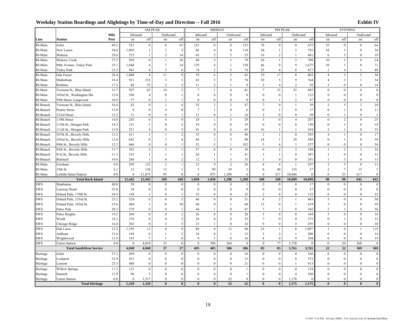|            |                                |      |              | AM PEAK                 |                         |                         |                  | MIDDAY                  |                  |                |                  |                         | PM PEAK                 |          |                |                         | <b>EVENING</b>          |                         |
|------------|--------------------------------|------|--------------|-------------------------|-------------------------|-------------------------|------------------|-------------------------|------------------|----------------|------------------|-------------------------|-------------------------|----------|----------------|-------------------------|-------------------------|-------------------------|
|            |                                | Mile | Inbound      |                         | Outbound                |                         | Inbound          |                         | Outbound         |                | Inbound          |                         | Outbound                |          | Inbound        |                         | Outbound                |                         |
| Line       | <b>Station</b>                 | Post | on           | off                     | on                      | off                     | on               | off                     | on               | off            | on               | off                     | on                      | off      | on             | off                     | on                      | off                     |
| RI-Main    | Joliet                         | 40.2 | 522          | $\boldsymbol{0}$        | $\mathbf{0}$            | 63                      | 133              | $\boldsymbol{0}$        | $\mathbf{0}$     | 135            | 78               | $\boldsymbol{0}$        | $\mathbf{0}$            | 472      | 35             | $\boldsymbol{0}$        | $\mathbf{0}$            | 64                      |
| RI-Main    | New Lenox                      | 34.0 | 1,005        | $\mathbf{1}$            | $\mathbf{1}$            | $\mathfrak{Z}$          | 66               | $\sqrt{4}$              | $\boldsymbol{0}$ | 118            | 30               | $\mathbf{1}$            | $\mathbf{3}$            | 792      | $10\,$         | $\mathbf{1}$            | $\mathbf{0}$            | 34                      |
| RI-Main    | Mokena                         | 29.6 | 533          | $\mathbf{1}$            | 2                       | 14                      | 43               | $\overline{c}$          | 3                | 53             | 16               | $\overline{2}$          | $\overline{1}$          | 481      | 6              | 5                       | $\theta$                | 19                      |
| RI-Main    | <b>Hickory Creek</b>           | 27.5 | 910          | $\boldsymbol{0}$        | $\mathbf{1}$            | 26                      | 48               | $\overline{3}$          | $\overline{1}$   | 79             | 26               | $\mathbf{1}$            | $\overline{\mathbf{3}}$ | 789      | 10             | $\mathbf{1}$            | $\theta$                | 24                      |
| RI-Main    | 80th Avenue, Tinley Park       | 25.1 | 1,848        | $\overline{4}$          | $\overline{7}$          | 14                      | 129              | $\overline{4}$          | $\mathbf{1}$     | 158            | 46               | $\mathbf{Q}$            | $\overline{9}$          | 1,675    | 10             | $\mathbf{1}$            | $\theta$                | 71                      |
| RI-Main    | <b>Tinley Park</b>             | 23.5 | 941          | $\overline{4}$          | 5                       | 6                       | 74               | $\sqrt{2}$              | 5                | 74             | 25               | $\overline{4}$          | 8                       | 817      |                | $\overline{4}$          |                         | 48                      |
| RI-Main    | Oak Forest                     | 20.4 | 1.008        | $\,$ 8 $\,$             | 11                      | $\mathbf{Q}$            | 79               | 6                       | 5                | 83             | 19               | 17                      | 8                       | 803      | $\overline{4}$ | $\overline{\mathbf{3}}$ | $\overline{c}$          | 38                      |
| RI-Main    | Midlothian                     | 18.4 | 911          | 152                     | $\overline{\mathbf{3}}$ | 1                       | 62               | $\mathfrak{Z}$          | 5                | 78             | 20               | 5                       | 9                       | 764      | $\overline{4}$ | $\overline{2}$          | $\mathbf{1}$            | 34                      |
| RI-Main    | Robbins                        | 17.2 | 68           | 35                      | $\sqrt{2}$              | 3                       | 11               | $\sqrt{2}$              | $\mathbf{1}$     | 9              | $\overline{c}$   | $\overline{4}$          | $\overline{c}$          | 55       | $\mathbf{3}$   | $\Omega$                | $\theta$                | 14                      |
| RI Main    | Vermont St., Blue Island       | 15.7 | 507          | 65                      | 14                      | $\overline{\mathbf{3}}$ | $\tau$           | $\mathbf{1}$            | $\,8\,$          | 41             | $7\overline{ }$  | 15                      | 32                      | 485      | $\theta$       | $\theta$                | $\mathbf{0}$            | $\boldsymbol{0}$        |
| RI-Main    | 103rd St., Washington Hts      | 12.0 | 106          | $\overline{4}$          | $\boldsymbol{0}$        | $\mathbf{1}$            | $\mathbf{0}$     | $\mathbf{0}$            | $\boldsymbol{0}$ | $\overline{0}$ | $\theta$         | $\boldsymbol{0}$        | $\mathbf{1}$            | 132      | $\theta$       | $\theta$                | $\theta$                | $\mathbf{0}$            |
| RI-Main    | 95th Street, Longwood          | 10.9 | 57           | $\boldsymbol{0}$        | $\overline{1}$          | $\mathbf{1}$            | $\Omega$         | $\Omega$                | $\Omega$         | $\Omega$       | $\Omega$         | $\overline{1}$          | $\overline{c}$          | 47       | $\Omega$       | $\theta$                | $\Omega$                | $\mathbf{0}$            |
| RI Branch  | Vermont St., Blue Island       | 16.4 | 63           | $\boldsymbol{0}$        | $\overline{1}$          | $\overline{4}$          | 33               | $\overline{3}$          | $\overline{3}$   | 47             | $\overline{7}$   | $\mathbf{0}$            | $\overline{1}$          | 39       | $\overline{2}$ | 5                       | $\overline{\mathbf{3}}$ | 24                      |
| RI-Branch  | Prairie Street                 | 15.8 | 9            | $\boldsymbol{0}$        | $\overline{4}$          | $\mathbf{0}$            | $7\phantom{.0}$  | $\mathbf{1}$            | $\boldsymbol{0}$ | 6              | $\theta$         | $\mathbf{1}$            | $\boldsymbol{0}$        | 17       | $\theta$       | $\mathbf{1}$            | $\theta$                | 11                      |
| RI-Branch  | 123rd Street                   | 15.2 | 31           | $\boldsymbol{0}$        | $\theta$                | $\mathbf{1}$            | 11               | $\theta$                | $\mathbf{1}$     | 16             | $\mathfrak{D}$   | $\theta$                | $\theta$                | 29       | $\Omega$       |                         | $\Omega$                | 5                       |
| RI-Branch  | 119th Street                   | 14.8 | 245          | $\boldsymbol{0}$        | $\bf{0}$                | $\boldsymbol{0}$        | 24               | $\mathbf{1}$            | 3                | 29             | 3                | $\mathbf{0}$            | $\overline{4}$          | 207      | $\Omega$       | $\overline{2}$          | $\mathbf{0}$            | 25                      |
| RI-Branch  | 115th St., Morgan Park         | 14.3 | 151          | 1                       | $\mathbf{0}$            | $\overline{c}$          | 19               | $\mathbf{0}$            | $\boldsymbol{0}$ | 19             | $\mathbf{0}$     | $\mathbf{0}$            | $\mathbf{0}$            | 130      | $\theta$       | $\mathbf{1}$            | $\theta$                | 14                      |
| RI-Branch  | 111th St., Morgan Park         | 13.8 | 521          | $\overline{4}$          | $\mathbf{0}$            | 5                       | 41               | $\mathbf{0}$            | 6                | 65             | 16               | $\mathbf{1}$            | $\overline{1}$          | 434      | $\overline{2}$ | $\overline{1}$          | $\theta$                | 35                      |
| RI-Branch  | 107th St., Beverly Hills       | 13.3 | 411          | $\mathbf{1}$            | $\mathbf{1}$            | $\sqrt{2}$              | 33               | $\theta$                | $\mathbf{0}$     | 48             | $\overline{2}$   | $\mathbf{1}$            | $\mathbf{0}$            | 395      | $\overline{4}$ | $\mathbf{1}$            | $\theta$                | 17                      |
| RI-Branch  | 103rd St., Beverly Hills       | 12.8 | 642          | $\boldsymbol{0}$        | $\overline{\mathbf{3}}$ | $\overline{4}$          | 68               | $\sqrt{2}$              | $\mathfrak{Z}$   | 98             | 14               | $\mathbf{1}$            | 29                      | 589      | $\theta$       | $\mathbf{1}$            | $\theta$                | 59                      |
| RI-Branch  | 99th St., Beverly Hills        | 12.3 | 666          | $\mathbf{0}$            | $\mathbf{0}$            | $\mathbf{1}$            | 52               | $\overline{3}$          | $\overline{1}$   | 102            | 5                | $\overline{4}$          | $\overline{1}$          | 537      | $\theta$       | $\theta$                | $\theta$                | 34                      |
| RI-Branch  | 95th St., Beverly Hills        | 11.7 | 362          | 5                       | $\overline{c}$          | $\mathbf{1}$            | 37               | 8                       | 9                | 38             | 6                | $\overline{2}$          | 3                       | 348      | $\mathbf{1}$   | $\overline{2}$          | $\overline{\mathbf{3}}$ | 16                      |
| RI-Branch  | 91st St., Beverly Hills        | 11.3 | 332          | $\mathbf{1}$            | $\mathbf{1}$            | $\mathbf{1}$            | 26               | $\mathbf{1}$            | $\mathbf{1}$     | 41             | 3                | $\mathbf{1}$            | $\boldsymbol{0}$        | 307      | $\mathbf{1}$   | $\boldsymbol{0}$        | $\mathbf{0}$            | 31                      |
| RI-Branch  | <b>Brainerd</b>                | 10.6 | 286          | $\mathbf{1}$            | $\boldsymbol{0}$        | $\overline{c}$          | 12               | $\mathbf{1}$            | $\overline{3}$   | 33             | -1               | $\theta$                | $\mathbf{0}$            | 241      |                | $\overline{\mathbf{3}}$ | $\theta$                | 13                      |
| RI-Main    | Gresham                        | 9.8  | 295          | 122                     | $\sqrt{2}$              | $\mathbf{1}$            | 12               | 9                       | $\sqrt{2}$       | 26             | $\overline{4}$   | $\overline{4}$          | $\overline{1}$          | 297      | $\overline{2}$ | $\overline{\mathbf{3}}$ | $\theta$                | 11                      |
| RI-Main    | 35th St.                       | 3.1  | 12           | 158                     | 13                      | 1                       | $\mathbf{3}$     | 99                      | 39               | $\overline{c}$ | 8                | 49                      | 135                     | 17       | $\overline{2}$ | $\tau$                  | 15                      | $\mathbf{1}$            |
| RI-Main    | <b>LaSalle Street Station</b>  | 0.0  | $\mathbf{0}$ | 11,875                  | 95                      | $\theta$                | $\mathbf{0}$     | 875                     | 1,298            | $\Omega$       | $\Omega$         | 217                     | 10,646                  | $\Omega$ | $\Omega$       | 53                      | 617                     | $\mathbf{0}$            |
|            | <b>Total Rock Island</b>       |      | 12,442       | 12,442                  | 169                     | 169                     | 1,030            | 1,030                   | 1,398            | 1,398          | 340              | 340                     | 10,899                  | 10,899   | 98             | 98                      | 642                     | 642                     |
| <b>SWS</b> | Manhattan                      | 40.8 | 20           | $\theta$                | $\mathbf{0}$            | $\Omega$                | $\theta$         | $\Omega$                | $\theta$         | $\overline{1}$ | $\overline{c}$   | $\theta$                | $\theta$                | 17       | $\theta$       | $\theta$                | $\theta$                | $\mathbf{0}$            |
| <b>SWS</b> | Laraway Road                   | 35.8 | 24           | $\boldsymbol{0}$        | $\boldsymbol{0}$        | $\mathbf{0}$            | $\boldsymbol{0}$ | $\boldsymbol{0}$        | $\boldsymbol{0}$ | $\mathbf{0}$   | $\boldsymbol{0}$ | $\theta$                | $\boldsymbol{0}$        | 27       | $\theta$       | $\theta$                | $\theta$                | $\mathbf{0}$            |
| <b>SWS</b> | Orland Park, 179th St.         | 28.9 | 158          | 1                       | $\boldsymbol{0}$        | $\mathbf{1}$            | 35               | $\mathbf{0}$            | $\mathbf{0}$     | 25             | $\overline{c}$   | $\mathbf{0}$            | $\theta$                | 133      | 6              | $\theta$                | $\theta$                | 23                      |
| <b>SWS</b> | Orland Park, 153rd St.         | 25.2 | 524          | $\boldsymbol{0}$        | $\mathbf{0}$            | 5                       | 66               | $\theta$                | $\theta$         | 51             | 8                | $\overline{2}$          | $\mathbf{1}$            | 483      | 5              | $\theta$                | $\theta$                | 50                      |
| <b>SWS</b> | Orland Park, 143rd St.         | 23.6 | 469          | $\mathbf{1}$            | $\mathbf{0}$            | 10                      | 60               | $\theta$                | $\mathbf{1}$     | 60             | 12               | $\theta$                | $\overline{1}$          | 419      | 5              | $\theta$                | $\theta$                | 39                      |
| SWS        | Palos Park                     | 20.3 | 379          | $\boldsymbol{0}$        | $\mathbf{0}$            | 1                       | 44               | $\mathbf{1}$            | $\theta$         | 47             | $\overline{7}$   | $\overline{1}$          | $\mathbf{0}$            | 343      | $\mathfrak{D}$ | $\mathbf{1}$            | $\Omega$                | 36                      |
| <b>SWS</b> | Palos Heights                  | 19.2 | 204          | $\boldsymbol{0}$        | $\bf{0}$                | $\boldsymbol{2}$        | 26               | $\theta$                | $\bf{0}$         | 28             | 5                | $\theta$                | $\bf{0}$                | 184      | 3              | $\theta$                | $\theta$                | 16                      |
| <b>SWS</b> | Worth                          | 18.2 | 376          | $\boldsymbol{0}$        | $\mathbf{0}$            | $\overline{\mathbf{3}}$ | 36               | $\theta$                | $\mathbf{0}$     | 33             | 7                | $\theta$                | $\mathbf{0}$            | 371      | $\Omega$       | $\mathbf{1}$            | $\theta$                | 23                      |
| <b>SWS</b> | Chicago Ridge                  | 16.8 | 302          | $\boldsymbol{0}$        | 2                       | $\sqrt{5}$              | 23               | $\mathbf{1}$            | $\theta$         | 24             | $\mathbf Q$      | $\Omega$                | 3                       | 295      | $\Omega$       | $\Omega$                | $\Omega$                | 30                      |
| <b>SWS</b> | Oak Lawn                       | 15.2 | 1,195        | 12                      | $\boldsymbol{0}$        | $8\,$                   | 88               | $\overline{4}$          | 12               | 88             | 24               | $\mathbf{1}$            | $\,$ 8 $\,$             | 1,097    | $\mathbf{1}$   | $\mathbf{0}$            | $\overline{1}$          | 119                     |
| <b>SWS</b> | Ashburn                        | 12.6 | 194          | $\boldsymbol{0}$        | $\mathbf{1}$            | $\overline{c}$          | 18               | $\boldsymbol{0}$        | $\overline{1}$   | 13             | 3                | 2                       | $\overline{1}$          | 208      | $\theta$       | $\boldsymbol{0}$        | $\boldsymbol{0}$        | 14                      |
| SWS        | Wrightwood                     | 11.9 | 195          | $\tau$                  | -1                      | $\overline{0}$          | 9                | $\overline{1}$          | 8                | 16             | $\overline{4}$   | $\boldsymbol{0}$        | 9                       | 184      | $\theta$       | $\theta$                | $\mathbf{0}$            | 19                      |
| SWS        | <b>Union Station</b>           | 0.0  | $\theta$     | 4,019                   | 33                      | $\theta$                | $\theta$         | 398                     | 364              | $\theta$       | $\theta$         | 77                      | 3,738                   | $\Omega$ | $\theta$       | 20                      | 368                     | $\mathbf{0}$            |
|            | <b>Total SouthWest Service</b> |      | 4,040        | 4,040                   | 37                      | 37                      | 405              | 405                     | 386              | 386            | 83               | 83                      | 3,761                   | 3,761    | 22             | 22                      | 369                     | 369                     |
| Heritage   | Joliet                         | 37.2 | 209          | $\bf{0}$                | $\mathbf{0}$            | $\mathbf{0}$            | $\mathbf{0}$     | $\Omega$                | $\mathbf{0}$     | 16             | $\Omega$         | $\theta$                | $\bf{0}$                | 166      | $\theta$       | $\theta$                | $\theta$                | $\boldsymbol{0}$        |
| Heritage   | Lockport                       | 32.9 | 412          | $\mathbf{0}$            | $\mathbf{0}$            | $\theta$                | $\Omega$         | $\theta$                | $\mathbf{0}$     | 13             | $\theta$         | $\theta$                | $\mathbf{0}$            | 372      | $\theta$       | $\theta$                | $\theta$                | $\mathbf{0}$            |
| Heritage   | Lemont                         | 25.3 | 488          | $\boldsymbol{0}$        | $\boldsymbol{0}$        | $\mathbf{0}$            | $\theta$         | $\mathbf{0}$            | $\mathbf{0}$     | 21             | $\theta$         | $\mathbf{0}$            | $\mathbf{1}$            | 413      | $\theta$       | $\Omega$                | $\theta$                | $\boldsymbol{0}$        |
| Heritage   | Willow Springs                 | 17.5 | 115          | $\mathbf{0}$            | $\mathbf{0}$            | $\theta$                | $\Omega$         | $\theta$                | $\mathbf{0}$     | $\mathbf{1}$   | $\Omega$         | $\theta$                | $\mathbf{0}$            | 124      | $\Omega$       | $\theta$                | $\Omega$                | $\mathbf{0}$            |
| Heritage   | Summit                         | 11.9 | 96           | $\overline{\mathbf{3}}$ | $\mathbf{0}$            | $\overline{0}$          | $\theta$         | $\mathbf{0}$            | $\mathbf{0}$     | $\overline{1}$ | $\Omega$         | $\mathbf{0}$            | $\overline{4}$          | 100      | $\theta$       | $\theta$                | $\Omega$                | $\boldsymbol{0}$        |
| Heritage   | <b>Union Station</b>           | 0.0  | $\mathbf{0}$ | 1,317                   | $\theta$                | $\theta$                | $\Omega$         | $\theta$                | 52               | $\theta$       | $\Omega$         | $\mathbf{0}$            | 1,170                   | $\Omega$ | $\Omega$       | $\theta$                | $\Omega$                | $\mathbf 0$             |
|            | <b>Total Heritage</b>          |      | 1.320        | 1.320                   | $\mathbf{0}$            | $\overline{\mathbf{0}}$ | $\mathbf{0}$     | $\overline{\mathbf{0}}$ | 52               | 52             | $\mathbf{0}$     | $\overline{\mathbf{0}}$ | 1,175                   | 1,175    | $\theta$       | $\bf{0}$                | $\theta$                | $\overline{\mathbf{0}}$ |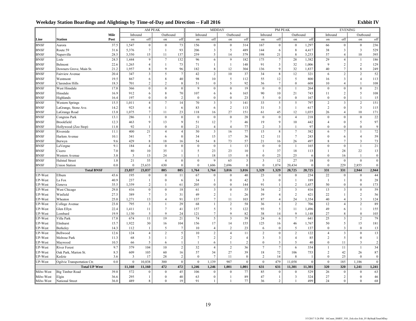|                    |                            |              |                         |                                | AM PEAK                      |                | MIDDAY         |                                  |                                      |                         | PM PEAK          |                              |                            |                  | <b>EVENING</b>   |                          |                                  |                            |
|--------------------|----------------------------|--------------|-------------------------|--------------------------------|------------------------------|----------------|----------------|----------------------------------|--------------------------------------|-------------------------|------------------|------------------------------|----------------------------|------------------|------------------|--------------------------|----------------------------------|----------------------------|
|                    |                            | Mile         | Inbound                 |                                | Outbound                     |                | Inbound        |                                  | Outbound                             |                         | Inbound          |                              | Outbound                   |                  | Inbound          |                          | Outbound                         |                            |
| Line               | <b>Station</b>             | Post         | on                      | off                            | on                           | off            | on             | off                              | on                                   | off                     | on               | off                          | on                         | off              | on               | off                      | on                               | off                        |
| <b>BNSF</b>        | Aurora                     | 37.5         | 1,547                   | $\boldsymbol{0}$               | $\mathbf{0}$                 | 73             | 156            | $\boldsymbol{0}$                 | $\bf{0}$                             | 314                     | 167              | $\mathbf{0}$                 | $\bf{0}$                   | 1,297            | 66               | $\boldsymbol{0}$         | $\boldsymbol{0}$                 | 236                        |
| <b>BNSF</b>        | Route 59                   | 31.6         | 5,376                   | $7\phantom{.0}$                | -1                           | 93             | 206            | $\overline{\mathbf{3}}$          | 5                                    | 489                     | 144              | 6                            | $\,$ 8 $\,$                | 4,417            | 38               | $\mathfrak{Z}$           | $\overline{3}$                   | 529                        |
| <b>BNSF</b>        | Naperville                 | 28.5         | 3,550                   | 15                             | 11                           | 137            | 259            | 5                                | 14                                   | 379                     | 198              | 21                           | 8                          | 3,253            | 57               | $\overline{4}$           | 10                               | 395                        |
| <b>BNSF</b>        | Lisle                      | 24.5         | 1,444                   | 9                              | $\tau$                       | 132            | 96             | 6                                | $\overline{9}$                       | 182                     | 175              | $\boldsymbol{7}$             | 28                         | 1,382            | 29               | $\overline{4}$           | $\mathbf{1}$                     | 186                        |
| <b>BNSF</b>        | Belmont                    | 22.6         | 1,265                   | $\overline{4}$                 | 1                            | 73             | 71             | $\mathbf{1}$                     | $\mathbf{1}$                         | 148                     | 91               | $\mathfrak{Z}$               | 32                         | 1,006            | 9                | $\overline{2}$           | 2                                | 129                        |
| <b>BNSF</b>        | Downers Grove, Main St.    | 21.2         | 1,957                   | 8                              | 9                            | 96             | 182            | 8                                | 12                                   | 304                     | 136              | 9                            | 32                         | 1,837            | 40               | $\overline{7}$           | $\,$ 8 $\,$                      | 249                        |
| <b>BNSF</b>        | <b>Fairview Avenue</b>     | 20.4         | 347                     | $\overline{\mathbf{3}}$        | 5                            | $\overline{7}$ | 42             | $\overline{c}$                   | $10\,$                               | 37                      | 34               | $\,$ 8 $\,$                  | $12\,$                     | 321              | 6                | $\overline{2}$           | $\overline{2}$                   | 52                         |
| <b>BNSF</b>        | Westmont                   | 19.5         | 867                     | 6                              | 8                            | 40             | 98             | 10                               | 5                                    | 112                     | 55               | 12                           | 5                          | 800              | 16               | $\mathbf{3}$             | $\overline{4}$                   | 113                        |
| <b>BNSF</b>        | Clarendon Hills            | 18.3         | 701                     | $\overline{c}$                 | $\overline{2}$               | 8              | 51             | $\boldsymbol{0}$                 | 5                                    | 92                      | 36               | $\overline{7}$               | $\boldsymbol{0}$           | 608              | 10               | $\overline{4}$           | $\overline{1}$                   | 108                        |
| <b>BNSF</b>        | West Hinsdale              | 17.8         | 366                     | $\boldsymbol{0}$               | $\mathbf{0}$                 | $\overline{0}$ | 9              | $\boldsymbol{0}$                 | $\boldsymbol{0}$                     | 19                      | $\mathbf{0}$     | $\boldsymbol{0}$             | $\overline{1}$             | 264              | $\mathbf{0}$     | $\mathbf{0}$             | $\mathbf{0}$                     | 21                         |
| <b>BNSF</b>        | Hinsdale                   | 16.9         | 912                     | 6                              | 8                            | 70             | 107            | 6                                | 6                                    | 165                     | 90               | 10                           | 21                         | 743              | 11               | $\overline{\mathbf{c}}$  | 5                                | 108                        |
| <b>BNSF</b>        | Highlands                  | 16.4         | 197                     | $\mathbf{0}$                   | $\mathbf{0}$                 | 2              | $\Omega$       | $\boldsymbol{0}$                 | $\bf{0}$                             | 23                      | 5                | $\boldsymbol{0}$             | $\mathbf{0}$               | 167              | $\Omega$         | $\theta$                 | $\mathbf{1}$                     | 15                         |
| <b>BNSF</b>        | <b>Western Springs</b>     | 15.5         | 1,011                   | $\overline{4}$                 | $\overline{7}$               | 14             | 70             | $\overline{\mathbf{3}}$          | $\overline{\mathbf{3}}$              | 141                     | 33               | 5                            | 5                          | 797              | $\sqrt{2}$       | $\overline{\mathbf{3}}$  | $\sqrt{2}$                       | 151                        |
| <b>BNSF</b>        | LaGrange, Stone Ave.       | 14.2         | 923                     | $\overline{4}$                 | -1                           | 6              | 83             | 6                                | $\overline{2}$                       | 113                     | 31               | $\overline{\mathbf{3}}$      | $\mathbf{1}$               | 617              | $\sqrt{2}$       | $\mathbf{0}$             | $\overline{3}$                   | 115                        |
| <b>BNSF</b>        | LaGrange Road              | 13.8         | 1,075                   | $\tau$                         | 11                           | 23             | 118            | 16                               | 27                                   | 151                     | 61               | 45                           | 12                         | 1,035            | 26               | $\overline{4}$           | 10                               | 171                        |
| <b>BNSF</b>        | Congress Park              | 13.1         | 286                     | $\mathbf{1}$                   | $\boldsymbol{0}$             | $\mathbf{0}$   | $\mathbf{0}$   | $\boldsymbol{0}$                 | $\bf{0}$                             | 28                      | $\mathbf{0}$     | $\boldsymbol{0}$             | $\overline{4}$             | 218              | $\theta$         | $\mathbf{0}$             | $\boldsymbol{0}$                 | 22                         |
| <b>BNSF</b>        | Brookfield                 | 12.3         | 463                     | 9                              | 13                           | 9              | 51             | 12                               | $7\phantom{.0}$                      | 46                      | 19               | 9                            | 10                         | 442              | $\overline{4}$   | $\mathbf{0}$             | 5                                | 97                         |
| <b>BNSF</b>        | Hollywood (Zoo Stop)       | 11.8         | 92                      | 1                              | $\bf{0}$                     | $\mathbf{0}$   | 21             | $\overline{4}$                   | $\overline{4}$                       | 77                      | 2                | 3                            | -1                         | 97               | $\Omega$         | $\theta$                 | $\theta$                         | 9                          |
| <b>BNSF</b>        | Riverside                  | 11.1         | 400                     | 21                             | $\sqrt{4}$                   | $\overline{4}$ | 50             | $\mathfrak{Z}$                   | 16                                   | 77                      | 15               | 8                            | $\tau$                     | 382              | 6                | $\overline{7}$           | $\mathbf{1}$                     | 72                         |
| <b>BNSF</b>        | Harlem Avenue              | 10.1         | 341                     | $7\phantom{.0}$                | 6                            | $\mathbf{0}$   | 34             | 15                               | 17                                   | 36                      | 12               | 11                           | $7\phantom{.0}$            | 243              | $\mathbf{0}$     | 6                        | $\overline{4}$                   | 59                         |
| <b>BNSF</b>        | Berwyn                     | 9.6          | 429                     | 8                              | 18                           | 16             | 54             | 8                                | 73                                   | 57                      | 21               | 16                           | 26                         | 497              | 8                | 7                        | 3                                | 73                         |
| <b>BNSF</b>        | LaVergne                   | 9.1          | 184                     | $\overline{4}$                 | $\mathbf{0}$                 | $\mathbf{0}$   | $\mathbf{0}$   | $\boldsymbol{0}$                 | $\mathbf{1}$                         | 13                      | $\bf{0}$         | $\boldsymbol{0}$             | $\mathbf{1}$               | 165              | $\boldsymbol{0}$ | $\mathbf{0}$             | $\mathbf{1}$                     | 21                         |
| <b>BNSF</b>        | Cicero                     | 7.0          | 80                      | 10                             | 35                           | 1              | 5              | 23                               | 23                                   | 10                      | $\overline{1}$   | 37                           | 18                         | 113              | $\mathbf{1}$     | 28                       | 22                               | 13                         |
| <b>BNSF</b>        | Western Avenue             | 3.8          | $\overline{\mathbf{3}}$ | 13<br>55                       | 24                           |                |                | 18                               | 15                                   | $\boldsymbol{0}$        | $\boldsymbol{0}$ | 23                           | 25                         | 6                | $\theta$         | 16                       | $\overline{1}$                   | $\bf{0}$<br>$\overline{0}$ |
| <b>BNSF</b>        | <b>Halsted Street</b>      | 1.8          | 21                      |                                | $\overline{4}$               | $\mathbf{0}$   | $\mathbf{0}$   | 9                                | 65                                   | $\overline{\mathbf{3}}$ | $\overline{3}$   | 12                           | 27                         | 18               | $\theta$         | $\boldsymbol{0}$         | $\theta$                         |                            |
| <b>BNSF</b>        | <b>Union Station</b>       | 0.0          | $\mathbf{0}$            | 23,633                         | 630                          | $\mathbf{0}$   | $\theta$       | 1,606                            | 2,696                                | $\mathbf{0}$            | $\mathbf{0}$     | 1,074                        | 20,434                     | $\theta$         | $\Omega$         | 229                      | 2,855                            | $\mathbf{0}$               |
|                    | <b>Total BNSF</b>          |              | 23,837                  | 23,837                         | 805                          | 805            | 1,764          | 1,764                            | 3,016                                | 3,016                   | 1.329            | 1,329                        | 20,725                     | 20,725           | 331<br>22        | 331                      | 2,944                            | 2,944                      |
| UP-West            | Elburn                     | 43.6         | 195                     | $\bf{0}$                       | $\mathbf{0}$                 | 11             | 67             | $\boldsymbol{0}$                 | $\mathbf{0}$                         | 40                      | 23               | $\mathbf{0}$                 | $\bf{0}$                   | 234              |                  | $\boldsymbol{0}$         | $\boldsymbol{0}$<br>$\mathbf{0}$ | 44                         |
| UP-West<br>UP-West | La Fox<br>Geneva           | 40.9<br>35.5 | 237<br>1,359            | $\mathbf{1}$<br>$\overline{2}$ | $\mathbf{0}$<br>$\mathbf{1}$ | 6<br>61        | 34<br>205      | $\mathbf{1}$<br>$\boldsymbol{0}$ | $\boldsymbol{0}$<br>$\boldsymbol{0}$ | 42<br>144               | 3<br>91          | $\mathbf{0}$<br>$\mathbf{1}$ | $\mathbf{1}$<br>$\sqrt{2}$ | 189<br>1,457     | -1<br>50         | $\mathbf{1}$<br>$\theta$ | $\theta$                         | 28<br>173                  |
| UP-West            | West Chicago               | 29.8         | 416                     | $\boldsymbol{0}$               | $\bf{0}$                     | 18             | 61             | $\overline{\mathbf{3}}$          | $\boldsymbol{0}$                     | 55                      | 34               | $\overline{c}$               | $\overline{\mathbf{3}}$    | 416              | 13               | $\overline{3}$           | $\boldsymbol{0}$                 | 59                         |
| UP-West            | Winfield                   | 27.5         |                         | $7\phantom{.0}$                | $\mathfrak{Z}$               |                | 49             | $\overline{c}$                   | $\mathbf{1}$                         |                         |                  | $\overline{4}$               | $\overline{2}$             | 421              | 22               | $\mathbf{1}$             | $\sqrt{2}$                       | 56                         |
| UP-West            | Wheaton                    | 25.0         | 389<br>1,271            | 13                             | $\overline{4}$               | 31<br>91       | 137            | $\overline{7}$                   | 11                                   | 26<br>103               | 39<br>87         | $\overline{4}$               | 24                         | 1,354            | 40               | $\overline{4}$           | 3                                | 124                        |
| UP-West            | College Avenue             | 23.8         | 795                     | $\overline{\mathbf{3}}$        | $\mathbf{1}$                 | 29             | 68             | $\mathbf{1}$                     | $\overline{c}$                       | 58                      | 36               | $\mathbf{1}$                 | 2                          | 706              | 12               | $\overline{4}$           | $\overline{c}$                   | 89                         |
| UP-West            | Glen Ellyn                 | 22.4         | 1,411                   | 11                             | $\boldsymbol{7}$             | 41             | 157            | 5                                | $\sqrt{5}$                           | 122                     | 93               | 5                            | 11                         | 1,496            | 49               | 6                        | 1                                | 155                        |
| UP-West            | Lombard                    | 19.9         | 1,130                   | 5                              | 9                            | 24             | 121            | $\overline{7}$                   | 9                                    | 82                      | 38               | 14                           | 9                          | 1,148            | 27               | 8                        | $\mathbf{0}$                     | 103                        |
| UP-West            | Villa Park                 | 17.8         | 674                     | 11                             | 19                           | 21             | 74             | 5                                | $\overline{3}$                       | 59                      | 24               | 6                            | $7\overline{ }$            | 641              | 25               | $\overline{\mathbf{3}}$  | $\overline{2}$                   | 79                         |
| UP-West            | Elmhurst                   | 15.7         | 1,922                   | 30                             | 16                           | 104            | 156            | 17                               | 14                                   | 155                     | 125              | 16                           | 46                         | 1,767            | 50               | $\sqrt{5}$               | 15                               | 181                        |
| UP-West            | Berkeley                   | 14.3         | 112                     | -1                             | 5                            | 7              | 10             | $\overline{4}$                   | 2                                    | 23                      | 6                | $\mathbf{0}$                 | 5                          | 137              | $\Omega$         | 3                        | $\Omega$                         | 13                         |
| UP-West            | Bellwood                   | 12.6         | 124                     | $\overline{4}$                 | $\overline{2}$               | 5              | 10             | $\overline{2}$                   | $\overline{4}$                       | 11                      | $\overline{c}$   | $\theta$                     | $\overline{c}$             | 122              | $\overline{4}$   | $\overline{3}$           | $\theta$                         | 13                         |
| UP-West            | Melrose Park               | 11.3         | 68                      | $\overline{\mathbf{3}}$        | $\mathbf{1}$                 | $\overline{c}$ | $\overline{7}$ | $\overline{c}$                   | $\overline{c}$                       | $\overline{4}$          | $\overline{3}$   | $\mathfrak{Z}$               | $\overline{4}$             | 85               | $\sqrt{2}$       | 5                        | $\boldsymbol{0}$                 | $\mathbf{1}$               |
| UP-West            | Maywood                    | 10.5         | 66                      | 5                              | 6                            | $\mathbf{1}$   | $\overline{1}$ | 6                                | $\mathbf{1}$                         | $\overline{c}$          | $\mathbf{0}$     | $\overline{3}$               | 5                          | 40               | $\Omega$         | 11                       | 3                                | $\sqrt{2}$                 |
| UP-West            | <b>River Forest</b>        | 9.7          | 379                     | 104                            | 10                           | $\overline{c}$ | 32             | $\overline{4}$                   | $\overline{c}$                       | 36                      | $\overline{7}$   | $\overline{7}$               | 6                          | 334              | $\overline{1}$   | 11                       | $\overline{1}$                   | 34                         |
| UP-West            | Oak Park, Marion St.       | 8.5          | 609                     | 105                            | 60                           | 16             | 57             | 34                               | 27                                   | 39                      | 18               | 72                           | 106                        | 753              | $\sqrt{2}$       | 42                       | 26                               | 87                         |
| UP-West            | Kedzie                     | 3.6          | $\overline{\mathbf{3}}$ | 17                             | 28                           | $\overline{2}$ | $\mathbf{0}$   | $\tau$                           | 11                                   | $\boldsymbol{0}$        | 2                | 14                           | 8                          | $\mathbf{1}$     | $\theta$         | 25                       | $\mathbf{0}$                     | $\bf{0}$                   |
| UP-West            | Ogilvie Transportation Ctr | 0.0          | $\mathbf{0}$            | 10,838                         | 300                          | $\overline{0}$ | $\mathbf{0}$   | 1,139                            | 907                                  | $\boldsymbol{0}$        | $\mathbf{0}$     | 479                          | 11,058                     | $\boldsymbol{0}$ | $\mathbf{0}$     | 185                      | 1,186                            | $\boldsymbol{0}$           |
|                    | <b>Total UP West</b>       |              | 11,160                  | 11,160                         | 472                          | 472            | 1,246          | 1,246                            | 1,001                                | 1,001                   | 631              | 631                          | 11,301                     | 11,301           | 320              | 320                      | 1,241                            | 1,241                      |
| Milw-West          | <b>Big Timber Road</b>     | 39.8         | 572                     | $\boldsymbol{0}$               | $\bf{0}$                     | 45             | 106            | $\boldsymbol{0}$                 | $\mathbf{0}$                         | 77                      | 85               | $\boldsymbol{0}$             | $\bf{0}$                   | 529              | 26               | $\boldsymbol{0}$         | $\boldsymbol{0}$                 | 63                         |
| Milw-West          | Elgin                      | 36.6         | 295                     | $\mathbf{1}$                   | $\overline{0}$               | 40             | 63             | $\overline{0}$                   | $\mathbf{1}$                         | 89                      | 47               | 1                            | 3                          | 324              | 27               | $\sqrt{2}$               | $\mathbf{0}$                     | 46                         |
| Milw-West          | National Street            | 36.0         | 489                     | 8                              | $\mathbf{0}$                 | 19             | 91             | 1                                | 1                                    | 77                      | 36               | 2                            | $\mathbf{1}$               | 499              | 24               | $\overline{0}$           | $\Omega$                         | 68                         |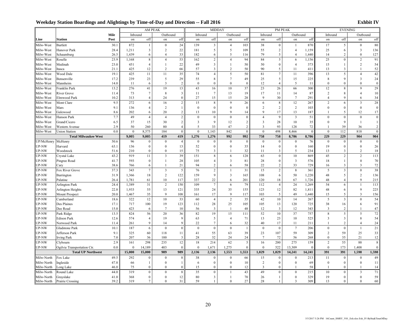|                    |                             |                |          |                  | AM PEAK          |                  |                  | MIDDAY                  |                         |                  |                         |                  | PM PEAK                 |                  |                  | <b>EVENING</b>          |                         |                  |
|--------------------|-----------------------------|----------------|----------|------------------|------------------|------------------|------------------|-------------------------|-------------------------|------------------|-------------------------|------------------|-------------------------|------------------|------------------|-------------------------|-------------------------|------------------|
|                    |                             | Mile           | Inbound  |                  | Outbound         |                  | Inbound          |                         | Outbound                |                  | Inbound                 |                  | Outbound                |                  | Inbound          |                         | Outbound                |                  |
| Line               | <b>Station</b>              | Post           | on       | off              | on               | off              | on               | off                     | on                      | off              | on                      | off              | on                      | off              | on               | off                     | on                      | off              |
| Milw-West          | <b>Bartlett</b>             | 30.1           | 872      | $\mathbf{1}$     | $\boldsymbol{0}$ | 24               | 139              | $\overline{\mathbf{3}}$ | $\overline{4}$          | 103              | 38                      | $\boldsymbol{0}$ | $\mathbf{1}$            | 870              | 17               | 5                       | $\mathbf 0$             | 80               |
| Milw-West          | Hanover Park                | 28.4           | 1,211    | 3                | $\sqrt{2}$       | 22               | 181              | 5                       | 5                       | 109              | 55                      | $\sqrt{2}$       | $\overline{4}$          | 1,159            | 25               | 6                       | $\overline{\mathbf{3}}$ | 136              |
| Milw-West          | Schaumburg                  | 26.5           | 1.439    | 6                | $\overline{4}$   | 33               | 182              | 6                       | 5                       | 116              | 79                      | 5                | $\overline{4}$          | 1,440            | 14               | $\overline{c}$          | $\theta$                | 127              |
| Milw-West          | Roselle                     | 23.9           | 1,168    | 8                | $\overline{4}$   | 53               | 162              | $\sqrt{2}$              | $\overline{4}$          | 94               | 84                      | 5                | $\boldsymbol{6}$        | 1,156            | 25               | $\theta$                | $\sqrt{2}$              | 91               |
| Milw-West          | Medinah                     | 23.0           | 451      | $\overline{4}$   | $\mathbf{1}$     | 22               | 49               | $\mathfrak{Z}$          | $\mathbf{1}$            | 50               | 50                      | $\boldsymbol{0}$ | $\overline{4}$          | 373              | 15               | $\mathbf{1}$            | $\overline{c}$          | 54               |
| Milw-West          | Itasca                      | 21.1           | 425      | 12               | 2                | 66               | 57               | $\overline{\mathbf{3}}$ | $\overline{c}$          | 50               | 90                      | 5                | 11                      | 411              | 13               | 3                       | $\mathbf{1}$            | 52               |
| Milw-West          | Wood Dale                   | 19.1           | 425      | $1\,1$           | $11\,$           | 35               | $74\,$           | $\overline{4}$          | $\sqrt{5}$              | 50               | 81                      | $\overline{7}$   | 11                      | 396              | 13               | 5                       | $\overline{4}$          | 42               |
| Milw-West          | Bensenville                 | 17.2           | 239      | 23               | $\sqrt{5}$       | 29               | 55               | $\,$ 8 $\,$             | $\tau$                  | 49               | 25                      | 5                | 15                      | 225              | $\,$ 8 $\,$      | 9                       | $\overline{\mathbf{3}}$ | 24               |
| Milw-West          | Mannheim                    | 14.0           | 11       | 6                | $\mathfrak{Z}$   | $\overline{c}$   | $\mathbf{0}$     | $\mathbf{0}$            | $\mathbf{0}$            | $\mathbf{0}$     | 12                      | $\sqrt{4}$       | 5                       | 11               | $\theta$         | $\theta$                | $\theta$                | $\boldsymbol{0}$ |
| Milw-West          | Franklin Park               | 13.2           | 276      | 41               | 19               | 13               | 43               | 16                      | 10                      | 37               | 23                      | 26               | 66                      | 300              | 12               | 8                       | $\overline{Q}$          | 29               |
| Milw-West          | <b>River Grove</b>          | 11.4           | 73       | $\tau$           | $\,$ 8 $\,$      | 3                | 11               | $\tau$                  | 13                      | 19               | 17                      | 11               | 14                      | 87               | $\sqrt{2}$       | $\,$ 8 $\,$             | $\overline{4}$          | 10               |
| Milw-West          | Elmwood Park                | 10.2           | 313      | $\overline{4}$   | 24               | $\boldsymbol{0}$ | 27               | 15                      | 15                      | 28               | $\mathbf Q$             | 30               | $\tau$                  | 291              | $\overline{4}$   | $\mathbf Q$             | 6                       | 34               |
| Milw-West          | Mont Clare                  | 9.5            | 272      | 6                | 16               | $\sqrt{2}$       | 15               | $\,$ 8 $\,$             | 9                       | 26               | $\boldsymbol{6}$        | $\,$ 8 $\,$      | 12                      | 267              | $\sqrt{2}$       | 6                       | $\overline{\mathbf{3}}$ | 28               |
| Milw-West          | Mars                        | 9.1            | 136      | $\overline{4}$   | $\sqrt{2}$       | $\mathbf{1}$     | $\bf{0}$         | $\mathbf 0$             | $\boldsymbol{0}$        | $\bf{0}$         | $\sqrt{2}$              | $\sqrt{2}$       | $\sqrt{2}$              | 103              | $\mathbf{0}$     | $\mathbf{0}$            | $\boldsymbol{0}$        | $\bf{0}$         |
| Milw-West          | Galewood                    | 8.6            | 202      | 6                | 20               | $\overline{c}$   | 13               | 10                      | 9                       | 14               | $\mathbf Q$             | 17               | 13                      | 187              | $\mathbf{1}$     | 5                       | 12                      | 17               |
| Milw-West          | Hanson Park                 | 7.7            | 49       | $\overline{4}$   | $\overline{4}$   | $\sqrt{2}$       | $\boldsymbol{0}$ | $\boldsymbol{0}$        | $\boldsymbol{0}$        | $\boldsymbol{0}$ | $\overline{4}$          | $\overline{9}$   | $\overline{\mathbf{3}}$ | 51               | $\theta$         | $\boldsymbol{0}$        | $\boldsymbol{0}$        | $\mathbf{0}$     |
| Milw-West          | Grand/Cicero                | 6.5            | 37       | 15               | 30               | $\sqrt{2}$       | $\overline{3}$   | 9                       | 12                      | $\overline{c}$   | $\overline{\mathbf{3}}$ | 28               | 10                      | 35               | $\mathbf{0}$     | 9                       | $\mathbf{1}$            | $\mathbf{1}$     |
| Milw-West          | Western Avenue              | 2.9            | 50       | 260              | 80               | $\overline{4}$   | 5                | 33                      | 47                      | $\sqrt{2}$       | 3                       | 93               | 128                     | 72               | $\overline{1}$   | 39                      | 36                      | $\sqrt{2}$       |
| Milw-West          | <b>Union Station</b>        | 0 <sub>0</sub> | $\theta$ | 8,575            | 184              | $\theta$         | $\theta$         | 1,143                   | 842                     | $\boldsymbol{0}$ | $\theta$                | 498              | 8,466                   | $\boldsymbol{0}$ | $\theta$         | 112                     | 818                     | $\boldsymbol{0}$ |
|                    | <b>Total Milwaukee West</b> |                | 9,005    | 9,005            | 419              | 419              | 1,276            | 1,276                   | 992                     | 992              | 758                     | 758              | 8,786                   | 8,786            | 229              | 229                     | 904                     | 904              |
| UP/McHenry McHenry |                             | 50.6           | 96       | $\boldsymbol{0}$ | $\boldsymbol{0}$ | $\overline{4}$   | $\bf{0}$         | $\boldsymbol{0}$        | $\boldsymbol{0}$        | $\boldsymbol{0}$ | $\bf{0}$                | $\boldsymbol{0}$ | $\boldsymbol{0}$        | 76               | $\mathbf{0}$     | $\boldsymbol{0}$        | $\boldsymbol{0}$        | $\boldsymbol{0}$ |
| UP-NW              | Harvard                     | 63.1           | 136      | $\boldsymbol{0}$ | $\boldsymbol{0}$ | 13               | 52               | $\boldsymbol{0}$        | $\boldsymbol{0}$        | 35               | 14                      | $\boldsymbol{0}$ | $\boldsymbol{0}$        | 160              | 19               | $\boldsymbol{0}$        | $\boldsymbol{0}$        | 26               |
| UP-NW              | Woodstock                   | 51.6           | 210      | $\boldsymbol{0}$ | $\boldsymbol{0}$ | 15               | 75               | 3                       | $\mathbf{1}$            | 32               | 11                      | 3                | 5                       | 234              | 13               | 3                       | $\sqrt{2}$              | 18               |
| UP-NW              | Crystal Lake                | 43.2           | 919      | 11               | $\mathfrak{Z}$   | 39               | 151              | $\,$ 8 $\,$             | $\sqrt{6}$              | 128              | 63                      | $\boldsymbol{0}$ | $10\,$                  | 869              | 45               | $\overline{c}$          | $\sqrt{2}$              | 113              |
| UP-NW              | Pingree Road                | 41.7           | 593      | $\boldsymbol{0}$ | $\mathbf{1}$     | 28               | 105              | $\overline{4}$          | $\overline{\mathbf{3}}$ | 81               | 28                      | $\boldsymbol{0}$ | $\overline{\mathbf{3}}$ | 576              | 18               | $\mathbf{1}$            | $\mathbf{0}$            | 70               |
| UP-NW              | Cary                        | 38.6           | 766      | 6                | $\mathbf{1}$     | 21               | 94               | $\sqrt{2}$              | 6                       | 58               | 22                      | $\sqrt{2}$       | 33                      | 729              | 16               | $\mathfrak{Z}$          | $\overline{3}$          | 72               |
| UP-NW              | Fox River Grove             | 37.3           | 343      | $\tau$           | $\mathfrak{Z}$   | 5                | 76               | $\sqrt{2}$              | 1                       | 31               | 15                      | $\sqrt{2}$       | $\,$ 8 $\,$             | 361              | 5                | $\mathfrak{Z}$          | $\mathbf{0}$            | 38               |
| UP-NW              | Barrington                  | 31.9           | 1,366    | 18               | $\sqrt{2}$       | 122              | 159              | 9                       | $\overline{\mathbf{3}}$ | 165              | 108                     | $\sqrt{6}$       | 50                      | 1,220            | 48               | 5                       | $\sqrt{2}$              | 136              |
| UP-NW              | Palatine                    | 26.4           | 1,781    | 61               | 10               | 117              | 337              | 22                      | 6                       | 201              | 120                     | 18               | 67                      | 1,726            | 48               | $\overline{4}$          | $\mathbf Q$             | 215              |
| UP-NW              | <b>Arlington Park</b>       | 24.4           | 1,389    | 31               | $\sqrt{2}$       | 150              | 109              | $\tau$                  | 6                       | 79               | 112                     | $\overline{4}$   | 24                      | 1,269            | 54               | 6                       | $\overline{1}$          | 113              |
| UP-NW              | Arlington Heights           | 22.8           | 1,933    | 55               | 13               | 121              | 335              | 24                      | 35                      | 155              | 123                     | 12               | 82                      | 1,811            | $48\,$           | 6                       | 9                       | 225              |
| UP-NW              | <b>Mount Prospect</b>       | 20.0           | 1,467    | 35               | 9                | 108              | 161              | 17                      | $\mathbf{Q}$            | 117              | 103                     | $\sqrt{5}$       | 49                      | 1,440            | 15               | 5                       | 3                       | 156              |
| UP-NW              | Cumberland                  | 18.6           | 322      | 12               | 10               | 33               | 60               | $\overline{4}$          | $\sqrt{2}$              | 35               | 42                      | $10\,$           | 14                      | 267              | 5                | $\overline{\mathbf{3}}$ | $\boldsymbol{0}$        | 54               |
| UP-NW              | Des Plaines                 | 17.1           | 717      | 100              | 19               | 123              | 112              | 28                      | 25                      | 105              | 105                     | 13               | 120                     | 725              | 38               | 16                      | 6                       | 91               |
| UP-NW              | Dee Road                    | 15.0           | 423      | 6                | $7\phantom{.0}$  | 10               | 56               | $\overline{\mathbf{3}}$ | $\overline{1}$          | 48               | 12                      | $\mathfrak{Z}$   | 12                      | 343              | 3                | $\overline{2}$          | $\overline{1}$          | 47               |
| UP-NW              | Park Ridge                  | 13.5           | 824      | 56               | 20               | 36               | 82               | 19                      | 15                      | 111              | 52                      | $10\,$           | 37                      | 757              | $\,$ 8 $\,$      | 5                       | $\sqrt{5}$              | 72               |
| UP-NW              | <b>Edison Park</b>          | 12.6           | 574      | $\overline{4}$   | 19               | 9                | 63               | 5                       | $\overline{4}$          | 71               | 13                      | 23               | 10                      | 525              | 3                | $\overline{\mathbf{3}}$ | 8                       | 54               |
| UP-NW              | Norwood Park                | 11.4           | 261      | 9                | 14               | 9                | 22               | $7\phantom{.0}$         | 6                       | 32               | 40                      | 17               | 11                      | 211              | $\overline{1}$   | $\overline{2}$          | $\overline{4}$          | 24               |
| UP-NW              | Gladstone Park              | 10.1           | 187      | 6                | $\bf{0}$         | $\boldsymbol{0}$ | $\bf{0}$         | $\boldsymbol{0}$        | $\mathbf{0}$            | $\mathbf{1}$     | $\mathbf{0}$            | $\boldsymbol{0}$ | $\boldsymbol{7}$        | 206              | $\boldsymbol{0}$ | $\boldsymbol{0}$        | $\mathbf{1}$            | 21               |
| UP-NW              | Jefferson Park              | 9.1            | 325      | 60               | 118              | 11               | 41               | 55                      | 63                      | 39               | 23                      | 107              | 59                      | 309              | $\overline{2}$   | 59                      | 25                      | 33               |
| UP-NW              | <b>Irving Park</b>          | 7.0            | 207      | 36               | 100              | 3                | 28               | 32                      | 24                      | 24               | $\tau$                  | 72               | 56                      | 268              | $\mathbf{0}$     | 35                      | 21                      | 12               |
| UP-NW              | Clybourn                    | 2.9            | 161      | 298              | 235              | $12\,$           | $18\,$           | 214                     | 62                      | 5                | 16                      | 200              | 275                     | 159              | $\sqrt{2}$       | 55                      | $88\,$                  | $\,8\,$          |
| UP-NW              | Ogilvie Transportation Ctr. | 0.0            | $\bf{0}$ | 14,189           | 403              | $\bf{0}$         | $\bf{0}$         | 1,671                   | 1,275                   | $\mathbf{0}$     | $\mathbf{0}$            | 522              | 13,309                  | $\mathbf{0}$     | $\mathbf{0}$     | 173                     | 1,408                   | $\mathbf{0}$     |
|                    | <b>Total UP Northwest</b>   |                | 15,000   | 15,000           | 989              | 989              | 2,136            | 2,136                   | 1,553                   | 1,553            | 1,029                   | 1,029            | 14,241                  | 14,241           | 391              | 391                     | 1,598                   | 1,598            |
| Milw-North         | Fox Lake                    | 49.5           | 292      | $\boldsymbol{0}$ | $\bf{0}$         | 8                | 38               | $\boldsymbol{0}$        | $\bf{0}$                | 66               | 15                      | $\boldsymbol{0}$ | $\boldsymbol{0}$        | 213              | 11               | $\boldsymbol{0}$        | $\boldsymbol{0}$        | 49               |
| Milw-North         | Ingleside                   | 47.8           | 66       | $\mathbf{1}$     | $\boldsymbol{0}$ | 1                | 6                | $\bf{0}$                | $\boldsymbol{0}$        | 10               | $\overline{c}$          | $\boldsymbol{0}$ | $\boldsymbol{0}$        | 69               | $\boldsymbol{0}$ | $\boldsymbol{0}$        | $\boldsymbol{0}$        | 11               |
| Milw-North         | Long Lake                   | 46.0           | 75       | $\mathbf{0}$     | $\mathbf{0}$     | $\mathbf{0}$     | 15               | $\mathbf{0}$            | $\mathbf{0}$            | 12               | 3                       | $\theta$         | -1                      | 58               | $\overline{1}$   | $\theta$                | $\mathbf{1}$            | 14               |
| Milw-North         | Round Lake                  | 44.0           | 319      | $\boldsymbol{0}$ | $\boldsymbol{0}$ | 8                | 35               | $\boldsymbol{0}$        | $\mathbf{1}$            | 43               | 49                      | $\mathbf{0}$     | $\boldsymbol{0}$        | 215              | 10               | $\mathbf{0}$            | $\overline{3}$          | 71               |
| Milw-North         | Grayslake                   | 41.0           | 368      | $\boldsymbol{0}$ | $\boldsymbol{0}$ | 12               | 80               | $\overline{3}$          | $\mathbf{1}$            | 70               | 26                      | $\mathbf{1}$     | $\boldsymbol{0}$        | 329              | 19               | $\mathbf{0}$            | $\mathbf{0}$            | 59               |
| Milw-North         | Prairie Crossing            | 39.2           | 319      | $\tau$           | $\boldsymbol{0}$ | 31               | 59               | 1                       | $\boldsymbol{0}$        | 27               | 28                      | 1                | 3                       | 309              | 13               | $\overline{0}$          | $\theta$                | 60               |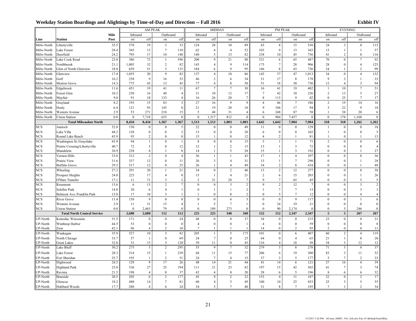|                 |                                    |      |              |                         | AM PEAK                 |                         |                 | MIDDAY                  |                         |                         |                | <b>PM PEAK</b>   |                         |                 |                         | <b>EVENING</b>          |                  |                  |
|-----------------|------------------------------------|------|--------------|-------------------------|-------------------------|-------------------------|-----------------|-------------------------|-------------------------|-------------------------|----------------|------------------|-------------------------|-----------------|-------------------------|-------------------------|------------------|------------------|
|                 |                                    | Mile | Inbound      |                         | Outbound                |                         | Inbound         |                         | Outbound                |                         | Inbound        |                  | Outbound                |                 | Inbound                 |                         | Outbound         |                  |
| Line            | <b>Station</b>                     | Post | on           | off                     | on                      | off                     | on              | off                     | on                      | off                     | on             | off              | on                      | off             | on                      | off                     | on               | off              |
| Milw-North      | Libertyville                       | 35.5 | 578          | 19                      | $\overline{\mathbf{3}}$ | 33                      | 124             | 28                      | 10                      | 89                      | 63             | $8\,$            | 15                      | 530             | 24                      | $\overline{\mathbf{3}}$ | 8                | 115              |
| Milw-North      | Lake Forest                        | 28.4 | 345          | 13                      | $\tau$                  | 110                     | 62              | $\overline{4}$          | $\overline{4}$          | 52                      | 103            | 9                | 13                      | 343             | 13                      | $\mathbf{1}$            | $\mathbf{1}$     | 57               |
| Milw-North      | Deerfield                          | 24.2 | 795          | 17                      | 10                      | 148                     | 140             | 5                       | 13                      | 82                      | 238            | 10               | 45                      | 756             | 41                      | $\overline{c}$          | $\mathbf{0}$     | 116              |
| Milw-North      | Lake Cook Road                     | 23.0 | 386          | 72                      | 1                       | 596                     | 200             | 9                       | 21                      | 88                      | 521            | 6                | 65                      | 487             | 70                      | $\boldsymbol{0}$        | $\tau$           | 92               |
| Milw-North      | Northbrook                         | 21.1 | 1,005        | 32                      | 2                       | 82                      | 143             | $\overline{4}$          | 9                       | 114                     | 173            | $\overline{7}$   | 28                      | 906             | 28                      | $\boldsymbol{0}$        | $\overline{4}$   | 125              |
| Milw-North      | Glen of North Glenview             | 18.8 | 659          | 51                      | 3                       | 133                     | 184             | 6                       | 9                       | 95                      | 146            | 8                | 43                      | 720             | 24                      | $\mathbf{1}$            | 2                | 99               |
| Milw-North      | Glenview                           | 17.4 | 1,055        | $20\,$                  | $\overline{9}$          | 82                      | 137             | $\overline{4}$          | 10                      | 86                      | 143            | 37               | 47                      | 1,013           | 34                      | $\boldsymbol{0}$        | $\overline{4}$   | 132              |
| Milw-North      | Golf                               | 16.2 | 258          | 9                       | 16                      | 33                      | 46              | $\overline{c}$          | 6                       | 34                      | 31             | 17               | 8                       | 178             | 9                       | $\sqrt{2}$              | $\overline{1}$   | 33               |
| Milw-North      | Morton Grove                       | 14.3 | 775          | 43                      | 13                      | 45                      | 77              | $\overline{4}$          | 8                       | 58                      | 51             | 18               | 30                      | 730             | 12                      | $\overline{4}$          | 3                | 94               |
| Milw-North      | Edgebrook                          | 11.6 | 451          | 19                      | 41                      | 11                      | 67              | $\tau$                  | $\boldsymbol{7}$        | 30                      | 16             | 41               | 19                      | 402             | $\overline{1}$          | $10\,$                  | $\boldsymbol{7}$ | 51               |
| Milw-North      | Forest Glen                        | 10.2 | 230          | 16                      | 48                      | $\overline{4}$          | 31              | 10                      | 12                      | 17                      | $\tau$         | 42               | 10                      | 226             | 2                       | 13                      | 3                | 27               |
| Milw-North      | Mayfair                            | 9.0  | 91           | 18                      | 133                     | $\overline{4}$          | 16              | 26                      | 20                      | 7                       | 8              | 113              | 9                       | 82              | $\mathbf{0}$            | 25                      | $\tau$           | 17               |
| Milw-North      | Grayland                           | 8.2  | 193          | 15                      | 83                      | $\overline{\mathbf{3}}$ | 27              | 16                      | 9                       | 9                       | $\overline{4}$ | 66               | $\overline{7}$          | 186             | $\overline{c}$          | 19                      | 14               | 16               |
| Milw-North      | Healy                              | 6.4  | 121          | 93                      | 145                     | 8                       | 21              | 19                      | 20                      | 10                      | 9              | 106              | 17                      | 94              | $\overline{\mathbf{3}}$ | 22                      | 9                | 18               |
| Milw-North      | Western Avenue                     | 2.9  | 53           | 271                     | 218                     | 15                      | 5               | 48                      | 31                      | $\overline{4}$          | 6              | 248              | 87                      | 58              | $\overline{1}$          | 38                      | 20               | 6                |
| Milw-North      | <b>Union Station</b>               | 0.0  | $\mathbf{0}$ | 7,718                   | 635                     | $\boldsymbol{0}$        | $\bf{0}$        | 1,317                   | 812                     | $\boldsymbol{0}$        | $\mathbf 0$    | 904              | 7,457                   | $\bf{0}$        | $\boldsymbol{0}$        | 178                     | 1,168            | $\mathbf{0}$     |
|                 | <b>Total Milwaukee North</b>       |      | 8,434        | 8,434                   | 1,367                   | 1,367                   | 1,513           | 1,513                   | 1.003                   | 1.003                   | 1,642          | 1,642            | 7,904                   | 7.904           | 318                     | 318                     | 1,262            | 1,262            |
| <b>NCS</b>      | Antioch                            | 52.8 | 150          | $\mathbf{0}$            | $\mathbf{0}$            | 5                       | 22              | $\boldsymbol{0}$        | $\mathbf{0}$            | 49                      | 11             | $\boldsymbol{0}$ | $\mathbf{0}$            | 129             | $\mathbf{1}$            | $\boldsymbol{0}$        | $\boldsymbol{0}$ | 18               |
| <b>NCS</b>      | Lake Villa                         | 48.2 | 128          | $\boldsymbol{0}$        | $\boldsymbol{0}$        | $\overline{c}$          | 13              | $\boldsymbol{0}$        | $\boldsymbol{0}$        | 20                      | 6              | $\boldsymbol{0}$ | $\boldsymbol{0}$        | 102             | $\mathbf{1}$            | $\boldsymbol{0}$        | $\boldsymbol{0}$ | 5                |
| <b>NCS</b>      | Round Lake Beach                   | 45.9 | 93           | $\overline{c}$          | $\mathbf{0}$            | $\boldsymbol{0}$        | 15              | 1                       | $\mathbf 0$             | 12                      | $\overline{4}$ | $\overline{2}$   | 1                       | 81              | $\mathbf{1}$            | $\boldsymbol{0}$        | $\mathbf{1}$     | 13               |
| <b>NCS</b>      | Washington St./Grayslake           | 43.9 | 94           | $\mathbf{1}$            | $\mathbf{0}$            |                         | $8\,$           | $\boldsymbol{0}$        | $\mathbf 0$             | 15                      | 5              | $\mathbf{1}$     | $\mathbf{1}$            | 71              | $\sqrt{2}$              | $\boldsymbol{0}$        | $\boldsymbol{0}$ | $\sqrt{6}$       |
| <b>NCS</b>      | Prairie Crossing/Libertyville      | 40.7 | 72           | $\overline{\mathbf{3}}$ | $\mathbf{0}$            | 12                      | 12              | $\mathbf{1}$            | $\overline{2}$          | 15                      | 13             | $\mathbf{1}$     | $\overline{3}$          | 72              | $\mathbf{0}$            | $\mathbf{0}$            | $\mathbf{0}$     | $\overline{4}$   |
| <b>NCS</b>      | Mundelein                          | 36.9 | 238          | 8                       | 1                       | 8                       | 14              | $\mathbf{1}$            | 5                       | 28                      | 15             | $\mathbf{1}$     | $\overline{\mathbf{3}}$ | 192             | $\theta$                | $\bf{0}$                | $\mathbf{1}$     | 27               |
| <b>NCS</b>      | Vernon Hills                       | 33.0 | 312          | $\overline{2}$          | $\mathbf{0}$            | $\overline{4}$          | 36              | $\mathbf{1}$            | 1                       | 43                      | 17             | $\mathbf{1}$     | $\overline{4}$          | 297             | $\mathbf{0}$            | $\mathbf{0}$            | $\mathbf{0}$     | 36               |
| <b>NCS</b>      | Prairie View                       | 31.6 | 337          | 12                      | $\mathbf{0}$            | 11                      | 26              | $\overline{\mathbf{3}}$ | $\overline{4}$          | 31                      | 13             | $\mathbf{1}$     | $\tau$                  | 290             | $\mathbf{0}$            | $\boldsymbol{0}$        | $\mathbf{1}$     | 28               |
| <b>NCS</b>      | <b>Buffalo Grove</b>               | 29.5 | 517          | 12                      | $\mathbf{0}$            | 25                      | 26              | $\mathbf{1}$            | $\overline{4}$          | 49                      | 34             | $\overline{c}$   | 8                       | 418             | $\mathbf{0}$            | $\boldsymbol{0}$        | $\mathbf{1}$     | 48               |
| <b>NCS</b>      | Wheeling                           | 27.2 | 291          | 20                      | $\mathbf{1}$            | 21                      | 34              | $\boldsymbol{0}$        | $\overline{2}$          | 40                      | 13             | $\boldsymbol{2}$ | 12                      | 277             | $\mathbf{0}$            | $\theta$                | $\boldsymbol{0}$ | 38               |
| <b>NCS</b>      | Prospect Heights                   | 24.0 | 225          | 17                      | $\overline{4}$          | 8                       | 15              | 1                       | $\overline{4}$          | 21                      | $\overline{2}$ | 6                | 15                      | 203             | $\mathbf{0}$            | $\mathbf{0}$            | $\mathbf{1}$     | 26               |
| <b>NCS</b>      | O'Hare Transfer                    | 17.1 | 11           | 71                      | $\overline{\mathbf{3}}$ | $\overline{2}$          | $\overline{2}$  | 21                      | 28                      | $\overline{7}$          | 9              | $\overline{7}$   | 65                      | 45              | $\mathbf{0}$            | $\mathbf{0}$            | 5                | 5                |
| <b>NCS</b>      | Rosemont                           | 15.6 | 6            | 13                      | $\overline{c}$          | $\overline{7}$          | $\mathbf{0}$    | $\boldsymbol{0}$        | $\overline{\mathbf{3}}$ | $\overline{c}$          | $\mathbf Q$    | $\overline{c}$   | 12                      | $7\phantom{.0}$ | $\mathbf{0}$            | $\mathbf{0}$            | $\overline{3}$   | $\sqrt{2}$       |
| <b>NCS</b>      | Schiller Park                      | 14.8 | 20           | 6                       | $\overline{4}$          | 1                       | $\mathbf{0}$    | 1                       | $\mathbf{1}$            | $\overline{c}$          | $\mathbf{1}$   | $\tau$           | $\tau$                  | 13              | $\mathbf{0}$            | $\bf{0}$                | $\overline{3}$   | $\mathbf{1}$     |
| <b>NCS</b>      | Belmont Ave./Franklin Park         | 13.0 | 17           | 10                      | 3                       | 1                       |                 | $\mathbf{0}$            | $\theta$                | $\overline{c}$          | $\Omega$       | 5                | $\tau$                  | 12              | $\theta$                | $\mathbf{0}$            | $\overline{A}$   | $\overline{4}$   |
| <b>NCS</b>      | River Grove                        | 11.4 | 158          | 9                       | $\boldsymbol{0}$        | $\theta$                | $\theta$        | $\boldsymbol{0}$        | 6                       | $\overline{\mathbf{3}}$ | $\mathbf{0}$   | $\mathbf{0}$     | 9                       | 117             | $\mathbf{0}$            | $\theta$                | $\overline{1}$   | 6                |
| <b>NCS</b>      | Western Avenue                     | 2.9  | 11           | 31                      | 15                      | $\overline{4}$          | $\mathbf{1}$    | 5                       | $\overline{7}$          | $\mathbf{1}$            | $\bf{0}$       | 24               | 19                      | 21              | $\bf{0}$                | $\boldsymbol{0}$        | $\mathbf 0$      | $\boldsymbol{0}$ |
| <b>NCS</b>      | <b>Union Station</b>               | 0.0  | $\mathbf{0}$ | 2,463                   | 79                      | $\theta$                | $\mathbf{0}$    | 189                     | 273                     | $\mathbf{0}$            | $\mathbf{0}$   | 90               | 2,174                   | $\mathbf{0}$    | $\bf{0}$                | 5                       | 246              | $\mathbf{0}$     |
|                 | <b>Total North Central Service</b> |      | 2,680        | 2,680                   | 112                     | 112                     | 225             | 225                     | 340                     | 340                     | 152            | 152              | 2,347                   | 2,347           | $\sqrt{5}$              | $\overline{\mathbf{5}}$ | 267              | ${\bf 267}$      |
| UP-North        | Kenosha, Wisconsin                 | 51.5 | 171          | $\boldsymbol{0}$        | $\mathbf{0}$            | 24                      | 48              | $\mathbf{0}$            | $\mathbf{0}$            | 37                      | 34             | $\boldsymbol{0}$ | $\bf{0}$                | 215             | 23                      | $\mathbf{0}$            | $\mathbf{0}$     | 31               |
| <b>UP-North</b> | Winthrop Harbor                    | 44.5 | 53           | $\overline{0}$          | $\mathbf{0}$            | $\mathbf{0}$            | $\overline{4}$  | $\overline{0}$          | $\mathbf{0}$            | 1                       | $\overline{4}$ | $\mathbf{0}$     | $\mathbf{0}$            | 59              | $\mathbf{0}$            | $\mathbf{0}$            | $\mathbf{0}$     | $\,$ 8 $\,$      |
| UP-North        | Zion                               | 42.1 | 96           | $\overline{4}$          | $\overline{2}$          | 10                      | $7\phantom{.0}$ | 1                       | 1                       |                         | 14             | $\mathbf{0}$     | $\overline{2}$          | 95              | $\overline{2}$          | $\mathbf{0}$            | $\theta$         | 11               |
| UP-North        | Waukegan                           | 35.9 | 527          | 10                      | $\overline{\mathbf{3}}$ | 82                      | 205             | 1                       | 5                       | 175                     | 101            | $\boldsymbol{0}$ | 6                       | 407             | 60                      | $\overline{2}$          | $\overline{4}$   | 119              |
| UP-North        | North Chicago                      | 33.7 | 57           | 1                       | $\mathbf{0}$            | 69                      | 24              | $\tau$                  | $\mathbf 0$             | 25                      | 64             | $\boldsymbol{0}$ | $\overline{4}$          | 65              | 21                      | $\mathbf{1}$            | $\mathbf 0$      | 20               |
| UP-North        | <b>Great Lakes</b>                 | 32.0 | 51           | 15                      | $\overline{\mathbf{3}}$ | 120                     | 59              | 11                      | $\mathbf 0$             | 45                      | 116            | $\overline{4}$   | 18                      | 50              | 34                      | $\mathfrak{Z}$          | 12               | 12               |
| UP-North        | Lake Bluff                         | 30.2 | 275          | 5                       | $\overline{c}$          | 295                     | 35              | 9                       | $7\phantom{.0}$         | 32                      | 279            | $\mathfrak{Z}$   | $\,$ 8 $\,$             | 278             | 71                      | 5                       | $\overline{4}$   | 37               |
| UP-North        | Lake Forest                        | 28.3 | 314          | 15                      | $\mathbf{1}$            | 239                     | 68              | 11                      | 15                      | 77                      | 206            | 6                | 19                      | 300             | 83                      | $\mathfrak{Z}$          | 11               | 52               |
| <b>UP-North</b> | Fort Sheridan                      | 25.7 | 195          | $\mathbf{1}$            | 2                       | 51                      | 24              | $\tau$                  | $\overline{4}$          | 15                      | 37             | 3                | 5                       | 177             | 5                       | $\overline{7}$          | 2                | 23               |
| UP-North        | Highwood                           | 24.5 | 129          | 9                       | 17                      | 26                      | 48              | 14                      | 21                      | 44                      | 41             | 14               | 6                       | 121             | 27                      | 16                      | $\overline{4}$   | 39               |
| UP-North        | <b>Highland Park</b>               | 23.0 | 536          | 27                      | 25                      | 194                     | 111             | 21                      | 23                      | 82                      | 197            | 15               | 42                      | 565             | 41                      | 7                       | $\overline{3}$   | 74               |
| UP-North        | Ravinia                            | 21.5 | 198          | $\overline{4}$          | $\bf{0}$                | 37                      | 42              | $\overline{4}$          | $\,$ 8 $\,$             | 20                      | 28             | 6                | 5                       | 196             | 8                       | 6                       | 6                | 32               |
| <b>UP-North</b> | <b>Braeside</b>                    | 20.5 | 205          | 6                       | $\overline{2}$          | 177                     | 45              | 8                       | $\overline{2}$          | 22                      | 153            | 4                | 11                      | 187             | 22                      | $\bf{0}$                | 2                | 17               |
| UP-North        | Glencoe                            | 19.2 | 488          | 14                      | $\tau$                  | 81                      | 60              | $\overline{4}$          | 5                       | 49                      | 100            | 10               | 25                      | 453             | 25                      | $\mathbf{3}$            | 5                | 55               |
| UP-North        | Hubbard Woods                      | 17.7 | 280          | $\overline{4}$          | 6                       | 24                      | 34              | 5                       | $\tau$                  | 40                      | 31             | 8                | $7\phantom{.0}$         | 195             | $7\phantom{.0}$         | $\mathbf{1}$            | $\overline{2}$   | 34               |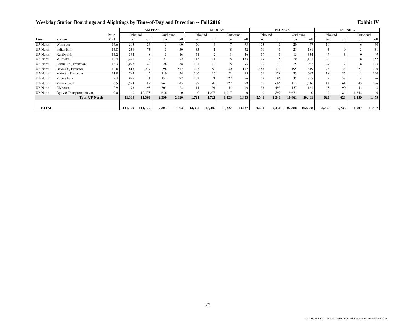|              |                             |      |          | AM PEAK |          |       | <b>MIDDAY</b> |        |          |        |         | <b>PM PEAK</b> |          |         | <b>EVENING</b> |       |          |        |
|--------------|-----------------------------|------|----------|---------|----------|-------|---------------|--------|----------|--------|---------|----------------|----------|---------|----------------|-------|----------|--------|
|              |                             | Mile | Inbound  |         | Outbound |       | Inbound       |        | Outbound |        | Inbound |                | Outbound |         | Inbound        |       | Outbound |        |
| Line         | <b>Station</b>              | Post | on       | off     | on       | off   | on            | off    | on       | off    | on      | off            | on       | off     | on             | off   | on       | off    |
| UP-North     | Winnetka                    | 16.6 | 505      | 26      |          | 90    | 70            |        |          | 73     | 105     |                | 20       | 477     | 19             |       |          | 60     |
| UP-North     | Indian Hill                 | 15.8 | 238      | 73      |          | 50    | 33            |        |          | 32     | 71      |                | 21       | 181     |                |       |          | 31     |
| UP-North     | Kenilworth                  | 15.2 | 364      |         |          | 16    |               |        |          | 46     | 59      |                | 15       | 334     |                |       |          | 49     |
| UP-North     | Wilmette                    | 14.4 | 1,291    | 19      | 23       | 72    | 115           |        | 8        | 133    | 129     | 15             | 20       | .101    | 20             |       |          | 152    |
| UP-North     | Central St., Evanston       | 13.3 | 1,098    | 20      | 26       | 58    | 134           | 19     | 8        | 95     | 90      | 19             | 25       | 962     | 29             |       | 18       | 123    |
| UP-North     | Davis St., Evanston         | 12.0 | 813      | 237     | 96       | 547   | 195           | 83     | 60       | 157    | 483     | 137            | 195      | 819     | 73             | 34    | 24       | 120    |
| UP-North     | Main St., Evanston          | 11.0 | 793      |         | 110      | 34    | 106           | 16     | 21       | 98     | 51      | 129            | 33       | 692     | 18             | 25    |          | 130    |
| UP-North     | Rogers Park                 | 9.4  | 995      |         | 154      |       | 103           | 21     | 22       | 56     | 59      | 96             | 35       | 855     |                | 58    | 14       | 96     |
| UP-North     | Ravenswood                  | 6.5  | 1,524    | 87      | 761      | 45    | 89            | 93     | 122      | 58     | 56      | 666            | 111      | 1,516   |                | 161   | 45       | 126    |
| UP-North     | Clybourn                    | 2.9  | 173      | 195     | 503      | 22    |               | 91     | 51       | 10     | 33      | 499            | 157      | 161     |                | 90    | 43       |        |
| UP-North     | Ogilvie Transportation Ctr. | 0.0  | $\Omega$ | 10,573  | 636      |       | $\theta$      | 1,275  | 1,017    |        |         | 892            | 9,671    |         |                | 184   | 1,242    |        |
|              | <b>Total UP North</b>       |      | 11,369   | 11,369  | 2,390    | 2,390 | 1,721         | 1,721  | 1,423    | 1,423  | 2,541   | 2,541          | 10,461   | 10,461  | 623            | 623   | 1,459    | 1,459  |
|              |                             |      |          |         |          |       |               |        |          |        |         |                |          |         |                |       |          |        |
| <b>TOTAL</b> |                             |      | 111,179  | 111,179 | 7,303    | 7,303 | 13,382        | 13,382 | 13,227   | 13,227 | 9,430   | 9,430          | 102,388  | 102,388 | 2,735          | 2,735 | 11,997   | 11,997 |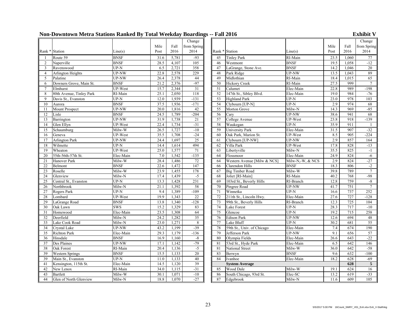### **Non-Downtown Metra Stations Ranked By Total Weekday Boardings -- Fall 2016 Exhibit V**

|                |                          |                   |      |       | Change          |    |                             |                  |      |       | Change          |
|----------------|--------------------------|-------------------|------|-------|-----------------|----|-----------------------------|------------------|------|-------|-----------------|
|                |                          |                   | Mile | Fall  | from Spring     |    |                             |                  | Mile | Fall  | from Spri       |
| Rank *         | Station                  | Line(s)           | Post | 2016  | 2014            |    | Rank * Station              | Line(s)          | Post | 2016  | 2014            |
|                | Route 59                 | <b>BNSF</b>       | 31.6 | 5,781 | $-93$           | 45 | <b>Tinley Park</b>          | RI-Main          | 23.5 | 1,060 | $\overline{77}$ |
| $\overline{2}$ | Naperville               | <b>BNSF</b>       | 28.5 | 4,107 | 105             | 46 | Westmont                    | <b>BNSF</b>      | 19.5 | 1,058 | $-12$           |
| 3              | Ravenswood               | $UP-N$            | 6.5  | 2,721 | 358             | 47 | LaGrange, Stone Ave.        | <b>BNSF</b>      | 14.2 | 1,046 | 20              |
| $\overline{4}$ | <b>Arlington Heights</b> | <b>UP-NW</b>      | 22.8 | 2,578 | 229             | 48 | Park Ridge                  | UP-NW            | 13.5 | 1,043 | 89              |
| 5              | Palatine                 | <b>UP-NW</b>      | 26.4 | 2,378 | 44              | 49 | Midlothian                  | RI-Main          | 18.4 | 1,015 | 65              |
| 6              | Downers Grove, Main St.  | <b>BNSF</b>       | 21.2 | 2,376 | $-97$           | 50 | <b>Hickory Creek</b>        | RI-Main          | 27.5 | 999   | $\overline{7}$  |
| $\overline{7}$ | Elmhurst                 | UP-West           | 15.7 | 2,344 | $\overline{31}$ | 51 | Calumet                     | Elec-Main        | 22.8 | 989   | $-198$          |
| 8              | 80th Avenue, Tinley Park | RI-Main           | 25.1 | 2,050 | 118             | 52 | 147th St., Sibley Blvd.     | Elec-Main        | 19.0 | 984   | $-76$           |
| 9              | Davis St., Evanston      | $UP-N$            | 12.0 | 1,939 | $-131$          | 53 | <b>Highland Park</b>        | $UP-N$           | 23.0 | 978   | 103             |
| 10             | Aurora                   | <b>BNSF</b>       | 37.5 | 1,936 | $-171$          | 54 | Clybourn [UP-N]             | $UP-N$           | 2.9  | 974   | 68              |
| 11             | Mount Prospect           | <b>UP-NW</b>      | 20.0 | 1,816 | 42              | 55 | Morton Grove                | Milw-N           | 14.3 | 969   | $-85$           |
| 12             | Lisle                    | <b>BNSF</b>       | 24.5 | 1,789 | $-204$          | 56 | Carv                        | <b>UP-NW</b>     | 38.6 | 941   | 68              |
| 13             | Barrington               | <b>UP-NW</b>      | 31.9 | 1,738 | 21              | 57 | College Avenue              | UP-West          | 23.8 | 918   | $-139$          |
| 14             | Glen Ellyn               | UP-West           | 22.4 | 1,734 | $-31$           | 58 | Waukegan                    | $UP-N$           | 35.9 | 911   | -1              |
| 15             | Schaumburg               | Milw-W            | 26.5 | 1,727 | $-10$           | 59 | University Park             | Elec-Main        | 31.5 | 907   | $-32$           |
| 16             | Geneva                   | <b>UP-West</b>    | 35.5 | 1,708 | $-24$           | 60 | Oak Park, Marion St.        | UP-West          | 8.5  | 905   | $-224$          |
| 17             | <b>Arlington Park</b>    | UP-NW             | 24.4 | 1,697 | 25              | 61 | Clybourn [UP-NW]            | <b>UP-NW</b>     | 2.9  | 857   | 164             |
| 18             | Wilmette                 | $UP-N$            | 14.4 | 1,614 | 494             | 62 | Villa Park                  | UP-West          | 17.8 | 828   | $-13$           |
| 19             | Wheaton                  | UP-West           | 25.0 | 1,577 | 71              | 63 | Libertyville                | Milw-N           | 35.5 | 825   | $-1$            |
| 20             | 55th-56th-57th St.       | Elec-Main         | 7.0  | 1,542 | $-135$          | 64 | Flossmoor                   | Elec-Main        | 24.9 | 824   | $-6$            |
| 21             | Hanover Park             | Milw-W            | 28.4 | 1,486 | 72              | 64 | Western Avenue [Milw & NCS] | Milw-N,-W, & NCS | 2.9  | 824   | $-27$           |
| 22             | Belmont                  | <b>BNSF</b>       | 22.6 | 1,472 | 147             | 66 | Clarendon Hills             | <b>BNSF</b>      | 18.3 | 806   | $-2$            |
| 23             | Roselle                  | Milw-W            | 23.9 | 1,455 | 178             | 67 | <b>Big Timber Road</b>      | Milw-W           | 39.8 | 789   | $\overline{7}$  |
| 24             | Glenview                 | Milw-N            | 17.4 | 1,439 | $-5$            | 68 | Joliet [RI-Main]            | RI-Main          | 40.2 | 768   | $-98$           |
| 25             | Central St., Evanston    | $\overline{UP-N}$ | 13.3 | 1,428 | 231             | 69 | 103rd St., Beverly Hills    | RI-Branch        | 12.8 | 759   | $-8$            |
| 26             | Northbrook               | Milw-N            | 21.1 | 1,392 | 58              | 70 | Pingree Road                | <b>UP-NW</b>     | 41.7 | 751   | $\overline{7}$  |
| 27             | Rogers Park              | $\overline{UP-N}$ | 9.4  | 1,389 | $-109$          | 71 | Winnetka                    | $UP-N$           | 16.6 | 737   | 252             |
| 28             | Lombard                  | <b>UP-West</b>    | 19.9 | 1,343 | 22              | 72 | 211th St., Lincoln Hwy.     | Elec-Main        | 27.6 | 727   | $-128$          |
| 29             | LaGrange Road            | <b>BNSF</b>       | 13.8 | 1,340 | $-128$          | 73 | 99th St., Beverly Hills     | RI-Branch        | 12.3 | 725   | 104             |
| 30             | Oak Lawn                 | <b>SWS</b>        | 15.2 | 1,329 | 83              | 74 | Lake Forest                 | $UP-N$           | 28.3 | 717   | $-10$           |
| 31             | Homewood                 | Elec-Main         | 23.5 | 1,308 | 64              | 75 | Glencoe                     | $UP-N$           | 19.2 | 715   | 258             |
| 32             | Deerfield                | Milw-N            | 24.2 | 1,282 | $\overline{35}$ | 76 | <b>Edison Park</b>          | <b>UP-NW</b>     | 12.6 | 694   | 48              |
| 33             | Lake Cook Road           | Milw-N            | 23.0 | 1,271 | 8               | 77 | Lake Bluff                  | $UP-N$           | 30.2 | 681   | 55              |
| 34             | Crystal Lake             | UP-NW             | 43.2 | 1,199 | $-39$           | 78 | 59th St., Univ. of Chicago  | Elec-Main        | 7.4  | 674   | 190             |
| 35             | Richton Park             | Elec-Main         | 29.3 | 1,179 | $-136$          | 79 | Jefferson Park              | UP-NW            | 9.1  | 656   | 57              |
| 36             | Hinsdale                 | <b>BNSF</b>       | 16.9 | 1,160 | $-8$            | 80 | Olympia Fields              | Elec-Main        | 26.6 | 643   | $-22$           |
| 37             | Des Plaines              | <b>UP-NW</b>      | 17.1 | 1,142 | $-79$           | 81 | 53rd St., Hyde Park         | Elec-Main        | 6.5  | 642   | 146             |
| 38             | Oak Forest               | RI-Main           | 20.4 | 1,136 | $-5$            | 81 | National Street             | Milw-W           | 36.0 | 642   | $-58$           |
| 39             | <b>Western Springs</b>   | <b>BNSF</b>       | 15.5 | 1,133 | 20              | 83 | Berwyn                      | <b>BNSF</b>      | 9.6  | 632   | $-100$          |
| 39             | Main St., Evanston       | $UP-N$            | 11.0 | 1,133 | 40              | 84 | Ivanhoe                     | Elec-Main        | 18.2 | 628   | $-69$           |
| 41             | Kensington, 115th St.    | Elec-Main         | 14.5 | 1,120 | 39              |    | <b>System Average</b>       |                  |      | 628   | 5               |
| 42             | New Lenox                | RI-Main           | 34.0 | 1,115 | $-31$           | 85 | Wood Dale                   | Milw-W           | 19.1 | 624   | 16              |
| 43             | <b>Bartlett</b>          | Milw-W            | 30.1 | 1,071 | $-10$           | 86 | South Chicago, 93rd St.     | Elec-SC          | 13.2 | 619   | $-33$           |
| 44             | Glen of North Glenview   | Milw-N            | 18.8 | 1,070 | $-27$           | 87 | Edgebrook                   | Milw-N           | 11.6 | 609   | 105             |

|                         |                   | $, \, \ldots$ |                 |        |                             |                            |      |       |                  |
|-------------------------|-------------------|---------------|-----------------|--------|-----------------------------|----------------------------|------|-------|------------------|
|                         |                   |               | Change          |        |                             |                            |      |       | Change           |
|                         | Mile              | Fall          | from Spring     |        |                             |                            | Mile | Fall  | from Spring      |
| e(s)                    | Post              | 2016          | 2014            |        | Rank * Station              | Line(s)                    | Post | 2016  | 2014             |
| SF                      | 31.6              | 5,781         | $-93$           | 45     | <b>Tinley Park</b>          | RI-Main                    | 23.5 | 1.060 | 77               |
| SF                      | 28.5              | 4,107         | 105             | 46     | Westmont                    | <b>BNSF</b>                | 19.5 | 1,058 | $-12$            |
| Ñ                       | 6.5               | 2,721         | 358             | 47     | LaGrange, Stone Ave.        | <b>BNSF</b>                | 14.2 | 1,046 | $\overline{20}$  |
| $\overline{\text{NW}}$  | 22.8              | 2,578         | 229             | 48     | Park Ridge                  | UP-NW                      | 13.5 | 1,043 | 89               |
| NW                      | 26.4              | 2,378         | 44              | 49     | Midlothian                  | RI-Main                    | 18.4 | 1,015 | 65               |
| $\overline{\text{SF}}$  | 21.2              | 2,376         | $-97$           | 50     | <b>Hickory Creek</b>        | RI-Main                    | 27.5 | 999   | $\overline{7}$   |
| West                    | 15.7              | 2,344         | 31              | 51     | Calumet                     | Elec-Main                  | 22.8 | 989   | $-198$           |
| Main                    | 25.1              | 2,050         | 118             | 52     | 147th St., Sibley Blvd.     | Elec-Main                  | 19.0 | 984   | $-76$            |
| N                       | 12.0              | 1,939         | $-131$          | 53     | <b>Highland Park</b>        | $UP-N$                     | 23.0 | 978   | 103              |
| SF                      | 37.5              | 1,936         | $-171$          | 54     | Clybourn [UP-N]             | $UP-N$                     | 2.9  | 974   | 68               |
| NW.                     | 20.0              | 1,816         | 42              | 55     | Morton Grove                | $\overline{\text{Milw-N}}$ | 14.3 | 969   | $-85$            |
| $\overline{\text{SF}}$  | 24.5              | 1,789         | $-204$          | 56     | Cary                        | <b>UP-NW</b>               | 38.6 | 941   | 68               |
| $\overline{\text{NW}}$  | 31.9              | 1,738         | 21              | 57     | College Avenue              | UP-West                    | 23.8 | 918   | $-139$           |
| West                    | 22.4              | 1,734         | $-31$           | 58     | Waukegan                    | $UP-N$                     | 35.9 | 911   | $\mathbf{1}$     |
| w-W                     | 26.5              | 1,727         | $-10$           | 59     | <b>University Park</b>      | Elec-Main                  | 31.5 | 907   | $-32$            |
| West                    | 35.5              | 1,708         | $-24$           | 60     | Oak Park, Marion St.        | UP-West                    | 8.5  | 905   | $-224$           |
| NW.                     | 24.4              | 1,697         | 25              | 61     | Clybourn [UP-NW]            | UP-NW                      | 2.9  | 857   | 164              |
| N                       | 14.4              | 1,614         | 494             | 62     | Villa Park                  | UP-West                    | 17.8 | 828   | $-13$            |
| West                    | 25.0              | 1,577         | 71              | 63     | Libertyville                | Milw-N                     | 35.5 | 825   | $-1$             |
| :-Main                  | 7.0               | 1,542         | $-135$          | 64     | Flossmoor                   | Elec-Main                  | 24.9 | 824   | $-6$             |
| w-W                     | 28.4              | 1,486         | 72              | 64     | Western Avenue [Milw & NCS] | Milw-N,-W, & NCS           | 2.9  | 824   | $-27$            |
| SF                      | 22.6              | 1,472         | 147             | 66     | Clarendon Hills             | <b>BNSF</b>                | 18.3 | 806   | $-2$             |
| w-W                     | 23.9              | 1,455         | 178             | 67     | <b>Big Timber Road</b>      | Milw-W                     | 39.8 | 789   | $\boldsymbol{7}$ |
| w-N                     | 17.4              | 1,439         | $-5$            | 68     | Joliet [RI-Main]            | RI-Main                    | 40.2 | 768   | $-98$            |
| N                       | 13.3              | 1,428         | 231             | 69     | 103rd St., Beverly Hills    | RI-Branch                  | 12.8 | 759   | $-8$             |
| w-N                     | 21.1              | 1,392         | 58              | $70\,$ | Pingree Road                | <b>UP-NW</b>               | 41.7 | 751   | $\overline{7}$   |
| N                       | 9.4               | 1,389         | $-109$          | 71     | Winnetka                    | $UP-N$                     | 16.6 | 737   | 252              |
| West                    | 19.9              | 1,343         | 22              | 72     | 211th St., Lincoln Hwy.     | Elec-Main                  | 27.6 | 727   | $-128$           |
| $\overline{\text{SF}}$  | 13.8              | 1,340         | $-128$          | 73     | 99th St., Beverly Hills     | RI-Branch                  | 12.3 | 725   | 104              |
| $\overline{\mathbf{S}}$ | 15.2              | 1,329         | 83              | 74     | Lake Forest                 | $UP-N$                     | 28.3 | 717   | $-10$            |
| :-Main                  | 23.5              | 1,308         | 64              | 75     | Glencoe                     | $UP-N$                     | 19.2 | 715   | 258              |
| w-N                     | 24.2              | 1,282         | 35              | 76     | <b>Edison Park</b>          | <b>UP-NW</b>               | 12.6 | 694   | 48               |
| w-N                     | 23.0              | 1,271         | 8               | 77     | Lake Bluff                  | $UP-N$                     | 30.2 | 681   | 55               |
| $\overline{\text{NW}}$  | 43.2              | 1,199         | $-39$           | 78     | 59th St., Univ. of Chicago  | Elec-Main                  | 7.4  | 674   | 190              |
| c-Main                  | 29.3              | 1,179         | $-136$          | 79     | Jefferson Park              | UP-NW                      | 9.1  | 656   | 57               |
| $\overline{\text{SF}}$  | 16.9              | 1,160         | $-8$            | 80     | Olympia Fields              | Elec-Main                  | 26.6 | 643   | $-22$            |
| NW.                     | 17.1              | 1,142         | $-79$           | 81     | 53rd St., Hyde Park         | Elec-Main                  | 6.5  | 642   | 146              |
| Main                    | 20.4              | 1,136         | $-5$            | 81     | National Street             | Milw-W                     | 36.0 | 642   | $-58$            |
| SF                      | 15.5              | 1,133         | $\overline{20}$ | 83     | Berwyn                      | <b>BNSF</b>                | 9.6  | 632   | $-100$           |
| N                       | $\overline{11.0}$ | 1,133         | 40              | 84     | Ivanhoe                     | Elec-Main                  | 18.2 | 628   | $-69$            |
| c-Main                  | 14.5              | 1,120         | 39              |        | <b>System Average</b>       |                            |      | 628   | 5                |
| Main                    | 34.0              | 1,115         | $-31$           | 85     | Wood Dale                   | Milw-W                     | 19.1 | 624   | 16               |
| w-W                     | 30.1              | 1,071         | $-10$           | 86     | South Chicago, 93rd St.     | Elec-SC                    | 13.2 | 619   | $-33$            |
| w-N                     | 18.8              | 1,070         | $-27$           | 87     | Edgebrook                   | Milw-N                     | 11.6 | 609   | 105              |
|                         |                   |               |                 |        |                             |                            |      |       |                  |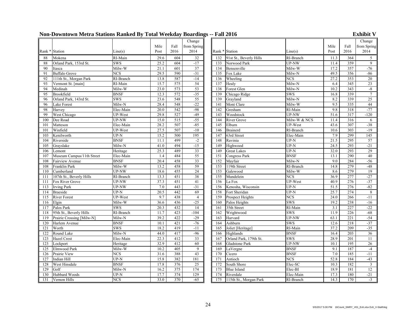### **Non-Downtown Metra Stations Ranked By Total Weekday Boardings -- Fall 2016 Exhibit V**

|            |                                       |                           |              |            | Change          |            |                              |                      |              |            | Change                  |
|------------|---------------------------------------|---------------------------|--------------|------------|-----------------|------------|------------------------------|----------------------|--------------|------------|-------------------------|
|            |                                       |                           | Mile         | Fall       | from Spring     |            |                              |                      | Mile         | Fall       | from Spring             |
|            | Rank * Station                        | Line(s)                   | Post         | 2016       | 2014            |            | Rank * Station               | Line(s)              | Post         | 2016       | 2014                    |
| 88         | Mokena                                | RI-Main                   | 29.6         | 604        | 32              | 132        | 91st St., Beverly Hills      | RI-Branch            | 11.3         | 364        | 5 <sup>5</sup>          |
| 88         | Orland Park, 153rd St.                | <b>SWS</b>                | 25.2         | 604        | $-17$           | 133        | Norwood Park                 | UP-NW                | 11.4         | 359        | $\mathbf{Q}$            |
| 90         | Itasca                                | Milw-W                    | 21.1         | 601        | 37              | 134        | Bensenville                  | Milw-W               | 17.2         | 357        | $-76$                   |
| 91         | <b>Buffalo Grove</b>                  | <b>NCS</b>                | 29.5         | 590        | $-31$           | 135        | Fox Lake                     | Milw-N               | 49.5         | 356        | $-86$                   |
| 92         | 111th St., Morgan Park                | RI-Branch                 | 13.8         | 587        | $-14$           | 136        | Wheeling                     | <b>NCS</b>           | 27.2         | 353        | 20                      |
| 93         | Vermont St. [main]                    | RI-Main                   | 15.7         | 575        | 54              | 137        | Healy                        | Milw-N               | 6.4          | 345        | 23                      |
| 94         | Medinah<br>Brookfield                 | Milw-W                    | 23.0         | 573<br>572 | 53<br>$-35$     | 138<br>139 | Forest Glen                  | Milw-N               | 10.2         | 343        | $-8$<br>$7\overline{ }$ |
| 95<br>96   | Orland Park, 143rd St.                | <b>BNSF</b><br><b>SWS</b> | 12.3<br>23.6 | 548        | 55              | 139        | Chicago Ridge<br>Grayland    | <b>SWS</b><br>Milw-N | 16.8<br>8.2  | 339<br>339 | 25                      |
| 96         | <b>Lake Forest</b>                    | Milw-N                    | 28.4         | 548        | $-22$           | 141        | Mont Clare                   | Milw-W               | 9.5          | 335        | 44                      |
| 98         | Harvey                                | Elec-Main                 | 20.0         | 542        | $-98$           | 142        | Gresham                      | RI-Main              | 9.8          | 318        | $-77$                   |
| 99         | West Chicago                          | UP-West                   | 29.8         | 527        | $-49$           | 143        | Woodstock                    | UP-NW                | 51.6         | 317        | $-120$                  |
| 100        | Dee Road                              | UP-NW                     | 15.0         | 515        | $-55$           | 144        | River Grove                  | Milw-W & NCS         | 11.4         | 316        | 6                       |
| 101        | Matteson                              | Elec-Main                 | 28.2         | 507        | $-85$           | 145        | Elburn                       | UP-West              | 43.6         | 307        | $-38$                   |
| 101        | Winfield                              | UP-West                   | 27.5         | 507        | $-10$           | 146        | <b>Brainerd</b>              | RI-Branch            | 10.6         | 303        | $-19$                   |
| 103        | Kenilworth                            | $UP-N$                    | 15.2         | 500        | 195             | 147        | 63rd Street                  | Elec-Main            | 7.9          | 299        | 145                     |
| 104        | Riverside                             | <b>BNSF</b>               | 11.1         | 499        | $-2$            | 148        | Ravinia                      | $UP-N$               | 21.5         | 295        | 57                      |
| 105        | Grayslake                             | Milw-N                    | 41.0         | 494        | $-15$           | 149        | Highwood                     | $UP-N$               | 24.5         | 293        | $-21$                   |
| 106        | Lemont                                | Heritage                  | 25.3         | 489        | 33              | 149        | <b>Great Lakes</b>           | $UP-N$               | 32.0         | 293        | 29                      |
| 107        | Museum Campus/11th Street             | Elec-Main                 | 1.4          | 484        | $\overline{55}$ | 151        | Congress Park                | <b>BNSF</b>          | 13.1         | 290        | 40                      |
| 108        | Fairview Avenue                       | <b>BNSF</b>               | 20.4         | 458        | 33              | 152        | Mayfair                      | Milw-N               | 9.0          | 284        | $-56$                   |
| 108        | Franklin Park                         | Milw-W                    | 13.2         | 458        | 59              | 153        | 119th Street                 | RI-Branch            | 14.8         | 279        | $-48$                   |
| 110        | Cumberland                            | <b>UP-NW</b>              | 18.6         | 455        | 24              | 153        | Galewood                     | Milw-W               | 8.6          | 279        | 19                      |
| 111        | 107th St., Beverly Hills              | RI-Branch                 | 13.3         | 451        | 38              | 155        | Mundelein                    | <b>NCS</b>           | 36.9         | 277        | $-27$<br>$-37$          |
| 111<br>113 | Fox River Grove                       | UP-NW<br>UP-NW            | 37.3<br>7.0  | 451<br>443 | 41<br>$-31$     | 156<br>156 | La Fox<br>Kenosha, Wisconsin | UP-West<br>$UP-N$    | 40.9<br>51.5 | 276<br>276 | $-82$                   |
| 114        | <b>Irving Park</b><br><b>Braeside</b> | UP-N                      | 20.5         | 442        | 69              | 158        | Fort Sheridan                | UP-N                 | 25.7         | 274        | 8                       |
| 115        | <b>River Forest</b>                   | UP-West                   | 9.7          | 438        | $\overline{4}$  | 159        | Prospect Heights             | <b>NCS</b>           | 24.0         | 266        | $-11$                   |
| 116        | Elgin                                 | Milw-W                    | 36.6         | 436        | $-25$           | 160        | Palos Heights                | <b>SWS</b>           | 19.2         | 238        | $-16$                   |
| 117        | Palos Park                            | <b>SWS</b>                | 20.3         | 432        | 14              | 161        | 35th Street                  | RI-Main              | 3.1          | 227        | $-22$                   |
| 118        | 95th St., Beverly Hills               | RI-Branch                 | 11.7         | 423        | $-104$          | 162        | Wrightwood                   | <b>SWS</b>           | 11.9         | 226        | $-68$                   |
| 119        | Prairie Crossing [Milw-N]             | Milw-N                    | 39.2         | 422        | $-29$           | 163        | Harvard                      | UP-NW                | 63.1         | 221        | $-54$                   |
| 120        | Harlem Avenue                         | <b>BNSF</b>               | 10.1         | 421        | $-76$           | 164        | Ashburn                      | <b>SWS</b>           | 12.6         | 218        | $-37$                   |
| 121        | Worth                                 | <b>SWS</b>                | 18.2         | 419        | $-11$           | 165        | Joliet [Heritage]            | RI-Main              | 37.2         | 209        | $-35$                   |
| 122        | Round Lake                            | Milw-N                    | 44.0         | 417        | $-96$           | 166        | Highlands                    | <b>BNSF</b>          | 16.4         | 203        | $\overline{36}$         |
| 123        | <b>Hazel Crest</b>                    | Elec-Main                 | 22.3         | 412        | 33              | 167        | Orland Park, 179th St.       | <b>SWS</b>           | 28.9         | 201        | 11                      |
| 123        | Lockport                              | Heritage                  | 32.9         | 412        | 60              | 168        | <b>Gladstone Park</b>        | UP-NW                | 10.1         | 195        | 26                      |
| 125        | Elmwood Park                          | Milw-W                    | 10.2         | 405        | 9               | 169        | LaVergne                     | <b>BNSF</b>          | 9.1          | 187        | $-4$                    |
| 126        | Prairie View                          | <b>NCS</b>                | 31.6         | 388        | 43              | 170        | Cicero                       | <b>BNSF</b>          | 7.0          | 185        | $-11$                   |
| 127        | Indian Hill                           | $UP-N$                    | 15.8         | 382        | 181             | 171        | Antioch                      | <b>NCS</b>           | 52.8         | 184        | $-43$                   |
| 128        | West Hinsdale                         | <b>BNSF</b>               | 17.8         | 376        | 25              | 172        | South Shore                  | Elec-SC              | 10.3         | 182        | $\overline{\mathbf{3}}$ |
| 129        | Golf                                  | Milw-N                    | 16.2         | 375        | 174             | 173        | <b>Blue Island</b>           | Elec-BI              | 18.9         | 181        | 12                      |
| 130        | Hubbard Woods                         | $\overline{UP-N}$         | 17.7<br>33.0 | 374<br>370 | 129             | 174        | Riverdale                    | Elec-Main            | 17.3         | 180        | $-21$<br>$-3$           |
| 131        | Vernon Hills                          | <b>NCS</b>                |              |            | $-65$           | 175        | 115th St., Morgan Park       | RI-Branch            | 14.3         | 170        |                         |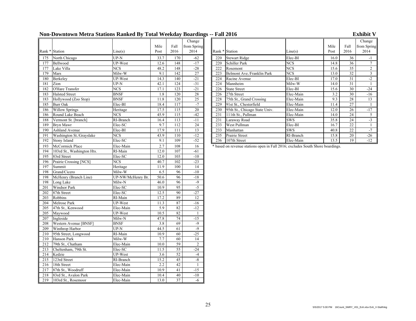### **Non-Downtown Metra Stations Ranked By Total Weekday Boardings -- Fall 2016 Exhibit V**

|     |                            |                         |      |      | Change      |     |                                                                                |                         |      |                 | Change                  |
|-----|----------------------------|-------------------------|------|------|-------------|-----|--------------------------------------------------------------------------------|-------------------------|------|-----------------|-------------------------|
|     |                            |                         | Mile | Fall | from Spring |     |                                                                                |                         | Mile | Fall            | from Spri               |
|     | Rank * Station             | Line(s)                 | Post | 2016 | 2014        |     | Rank * Station                                                                 | Line(s)                 | Post | 2016            | 2014                    |
| 175 | North Chicago              | $UP-N$                  | 33.7 | 170  | $-62$       | 220 | <b>Stewart Ridge</b>                                                           | Elec-BI                 | 16.0 | 36              | $-1$                    |
| 177 | Bellwood                   | UP-West                 | 12.6 | 148  | $-17$       | 220 | Schiller Park                                                                  | <b>NCS</b>              | 14.8 | 36              | $\overline{7}$          |
| 177 | Lake Villa                 | <b>NCS</b>              | 48.2 | 148  | $-28$       | 222 | Rosemont                                                                       | NCS                     | 15.6 | $\overline{35}$ | $\overline{2}$          |
| 179 | Mars                       | Milw-W                  | 9.1  | 142  | 27          | 223 | Belmont Ave./Franklin Park                                                     | $\overline{\text{NCS}}$ | 13.0 | $\overline{32}$ | $\overline{\mathbf{3}}$ |
| 180 | Berkeley                   | UP-West                 | 14.3 | 140  | $-21$       | 224 | Racine Avenue                                                                  | Elec-BI                 | 17.0 | 31              | $-2$                    |
| 181 | Zion                       | $UP-N$                  | 42.1 | 124  | $-31$       | 224 | Mannheim                                                                       | Milw-W                  | 14.0 | 31              | $\overline{1}$          |
| 182 | O'Hare Transfer            | <b>NCS</b>              | 17.1 | 123  | $-21$       | 226 | <b>State Street</b>                                                            | Elec-BI                 | 15.6 | $\overline{30}$ | $-24$                   |
| 183 | <b>Halsted Street</b>      | <b>BNSF</b>             | 1.8  | 120  | $28\,$      | 226 | 27th Street                                                                    | Elec-Main               | 3.2  | $\overline{30}$ | $-16$                   |
| 183 | Hollywood (Zoo Stop)       | <b>BNSF</b>             | 11.8 | 120  | 25          | 228 | 75th St., Grand Crossing                                                       | Elec-Main               | 9.3  | 28              | 13                      |
| 185 | <b>Burr Oak</b>            | Elec-BI                 | 18.4 | 117  | $-7$        | 229 | 91st St., Chesterfield                                                         | Elec-Main               | 11.4 | 27              | - 1                     |
| 186 | <b>Willow Springs</b>      | Heritage                | 17.5 | 115  | 20          | 230 | 95th St., Chicago State Univ.                                                  | Elec-Main               | 12.0 | 26              | $-17$                   |
| 186 | Round Lake Beach           | <b>NCS</b>              | 45.9 | 115  | $-42$       | 231 | 111th St., Pullman                                                             | Elec-Main               | 14.0 | $\overline{24}$ | 5                       |
| 188 | Vermont St. [branch]       | RI-Branch               | 16.4 | 113  | $-11$       | 231 | Laraway Road                                                                   | SWS                     | 35.8 | $\overline{24}$ | $-3$                    |
| 189 | Bryn Mawr                  | Elec-SC                 | 9.7  | 112  | 24          | 233 | West Pullman                                                                   | Elec-BI                 | 16.7 | $22\,$          |                         |
| 190 | <b>Ashland Avenue</b>      | Elec-BI                 | 17.9 | 111  | 13          | 233 | Manhattan                                                                      | <b>SWS</b>              | 40.8 | $\overline{22}$ | $-7$                    |
| 191 | Washington St./Grayslake   | <b>NCS</b>              | 43.9 | 110  | $-12$       | 235 | Prairie Street                                                                 | RI-Branch               | 15.8 | 20              | $-26$                   |
| 192 | Stony Island               | Elec-SC                 | 9.1  | 109  | $-52$       | 236 | 107th Street                                                                   | Elec-Main               | 13.5 | 19              | $-12$                   |
| 193 | McCormick Place            | Elec-Main               | 2.7  | 108  | 16          |     | * based on revenue stations open in Fall 2016; excludes South Shore boardings. |                         |      |                 |                         |
| 194 | 103rd St., Washington Hts. | RI-Main                 | 12.0 | 107  | $-61$       |     |                                                                                |                         |      |                 |                         |
| 195 | 83rd Street                | Elec-SC                 | 12.0 | 103  | $-10$       |     |                                                                                |                         |      |                 |                         |
| 196 | Prairie Crossing [NCS]     | $\overline{\text{NCS}}$ | 40.7 | 102  | $-23$       |     |                                                                                |                         |      |                 |                         |
| 197 | Summit                     | Heritage                | 11.9 | 100  | 14          |     |                                                                                |                         |      |                 |                         |
| 198 | Grand/Cicero               | Milw-W                  | 6.5  | 96   | $-10$       |     |                                                                                |                         |      |                 |                         |
| 198 | McHenry (Branch Line)      | UP-NW/McHenry Br.       | 50.6 | 96   | $-18$       |     |                                                                                |                         |      |                 |                         |
| 198 | Long Lake                  | Milw-N                  | 46.0 | 96   | $-9$        |     |                                                                                |                         |      |                 |                         |
| 201 | Windsor Park               | Elec-SC                 | 10.9 | 95   | $-5$        |     |                                                                                |                         |      |                 |                         |
| 202 | 87th Street                | Elec-SC                 | 12.5 | 90   | $-27$       |     |                                                                                |                         |      |                 |                         |
| 203 | Robbins                    | RI-Main                 | 17.2 | 89   | 12          |     |                                                                                |                         |      |                 |                         |
| 204 | Melrose Park               | UP-West                 | 11.3 | 87   | $-16$       |     |                                                                                |                         |      |                 |                         |
| 205 | 47th St., Kenwood          | Elec-Main               | 5.9  | 82   | $-12$       |     |                                                                                |                         |      |                 |                         |
| 205 | Maywood                    | UP-West                 | 10.5 | 82   | -1          |     |                                                                                |                         |      |                 |                         |
| 207 | Ingleside                  | Milw-N                  | 47.8 | 74   | $-15$       |     |                                                                                |                         |      |                 |                         |
| 208 | Western Avenue [BNSF]      | <b>BNSF</b>             | 3.8  | 69   | $-9$        |     |                                                                                |                         |      |                 |                         |
| 209 | Winthrop Harbor            | $UP-N$                  | 44.5 | 61   | $-9$        |     |                                                                                |                         |      |                 |                         |
| 210 | 95th Street, Longwood      | RI-Main                 | 10.9 | 60   | $-25$       |     |                                                                                |                         |      |                 |                         |
| 210 | Hanson Park                | Milw-W                  | 7.7  | 60   | 14          |     |                                                                                |                         |      |                 |                         |
| 212 | 79th St., Chatham          | Elec-Main               | 10.0 | 59   | 2           |     |                                                                                |                         |      |                 |                         |
| 213 | Cheltenham, 79th St.       | Elec-SC                 | 11.5 | 55   | $-24$       |     |                                                                                |                         |      |                 |                         |
| 214 | Kedzie                     | UP-West                 | 3.6  | 52   | $-4$        |     |                                                                                |                         |      |                 |                         |
| 215 | 123rd Street               | RI-Branch               | 15.2 | 45   | $-8$        |     |                                                                                |                         |      |                 |                         |
| 216 | 18th Street                | Elec-Main               | 2.2  | 42   |             |     |                                                                                |                         |      |                 |                         |
| 217 | 87th St., Woodruff         | Elec-Main               | 10.9 | 41   | $-15$       |     |                                                                                |                         |      |                 |                         |
| 218 | 83rd St., Avalon Park      | Elec-Main               | 10.4 | 40   | $-10$       |     |                                                                                |                         |      |                 |                         |
| 219 | 103rd St., Rosemoor        | Elec-Main               | 13.0 | 37   | $-6$        |     |                                                                                |                         |      |                 |                         |

| $\mathbf{u}$ $\mathbf{u}$ $\mathbf{u}$ |                               |            |      |      |                |
|----------------------------------------|-------------------------------|------------|------|------|----------------|
|                                        |                               |            |      |      | Change         |
|                                        |                               |            | Mile | Fall | from Spring    |
| Rank * Station                         |                               | Line(s)    | Post | 2016 | 2014           |
| 220                                    | <b>Stewart Ridge</b>          | Elec-BI    | 16.0 | 36   | $-1$           |
| 220                                    | <b>Schiller Park</b>          | <b>NCS</b> | 14.8 | 36   | 7              |
| 222                                    | Rosemont                      | <b>NCS</b> | 15.6 | 35   | $\overline{c}$ |
| 223                                    | Belmont Ave./Franklin Park    | <b>NCS</b> | 13.0 | 32   | 3              |
| 224                                    | Racine Avenue                 | Elec-BI    | 17.0 | 31   | $-2$           |
| 224                                    | Mannheim                      | Milw-W     | 14.0 | 31   |                |
| 226                                    | <b>State Street</b>           | Elec-BI    | 15.6 | 30   | $-24$          |
| 226                                    | 27th Street                   | Elec-Main  | 3.2  | 30   | $-16$          |
| 228                                    | 75th St., Grand Crossing      | Elec-Main  | 9.3  | 28   | 13             |
| 229                                    | 91st St., Chesterfield        | Elec-Main  | 11.4 | 27   |                |
| 230                                    | 95th St., Chicago State Univ. | Elec-Main  | 12.0 | 26   | $-17$          |
| 231                                    | 111th St., Pullman            | Elec-Main  | 14.0 | 24   | 5              |
| 231                                    | Laraway Road                  | SWS        | 35.8 | 24   | $-3$           |
| 233                                    | West Pullman                  | Elec-BI    | 16.7 | 22   | $\mathbf{1}$   |
| 233                                    | Manhattan                     | <b>SWS</b> | 40.8 | 22   | $-7$           |
| 235                                    | Prairie Street                | RI-Branch  | 15.8 | 20   | $-26$          |
| 236                                    | 107th Street                  | Elec-Main  | 13.5 | 19   | $-12$          |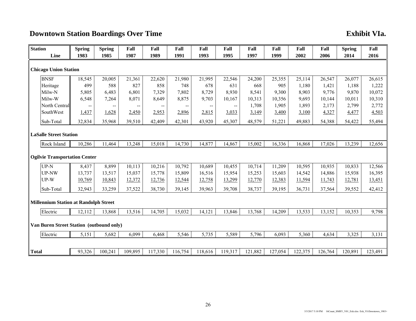# **Downtown Station Boardings Over Time Exhibit VIa.**

| <b>Station</b>                               |  | <b>Spring</b> | <b>Spring</b> | Fall    | Fall                                  | Fall    | Fall                                  | Fall    | Fall    | Fall    | Fall    | Fall    | <b>Spring</b> | Fall    |
|----------------------------------------------|--|---------------|---------------|---------|---------------------------------------|---------|---------------------------------------|---------|---------|---------|---------|---------|---------------|---------|
| Line                                         |  | 1983          | 1985          | 1987    | 1989                                  | 1991    | 1993                                  | 1995    | 1997    | 1999    | 2002    | 2006    | 2014          | 2016    |
| <b>Chicago Union Station</b>                 |  |               |               |         |                                       |         |                                       |         |         |         |         |         |               |         |
| <b>BNSF</b>                                  |  | 18,545        | 20,005        | 21,361  | 22,620                                | 21,980  | 21,995                                | 22,546  | 24,200  | 25,355  | 25,114  | 26,547  | 26,077        | 26,615  |
| Heritage                                     |  | 499           | 588           | 827     | 858                                   | 748     | 678                                   | 631     | 668     | 905     | 1,180   | 1,421   | 1,188         | 1,222   |
| Milw-N                                       |  | 5,805         | 6,483         | 6,801   | 7,329                                 | 7,802   | 8,729                                 | 8,930   | 8,541   | 9,300   | 8,903   | 9,776   | 9,870         | 10,072  |
| Milw-W                                       |  | 6,548         | 7,264         | 8,071   | 8,649                                 | 8,875   | 9,703                                 | 10,167  | 10,313  | 10,356  | 9,693   | 10,144  | 10,011        | 10,310  |
| North Central                                |  | --            | --            | --      | $\hspace{0.05cm}$ – $\hspace{0.05cm}$ | --      | $\hspace{0.05cm}$ – $\hspace{0.05cm}$ | --      | 1,708   | 1,905   | 1,893   | 2,173   | 2,799         | 2,772   |
| SouthWest                                    |  | 1,437         | 1,628         | 2,450   | 2,953                                 | 2,896   | 2,815                                 | 3,033   | 3,149   | 3,400   | 3,100   | 4,327   | 4,477         | 4,503   |
| Sub-Total                                    |  | 32,834        | 35,968        | 39,510  | 42,409                                | 42,301  | 43,920                                | 45,307  | 48,579  | 51,221  | 49,883  | 54,388  | 54,422        | 55,494  |
| <b>LaSalle Street Station</b>                |  |               |               |         |                                       |         |                                       |         |         |         |         |         |               |         |
| Rock Island                                  |  | 10,286        | 11,464        | 13,248  | 15,018                                | 14,730  | 14,877                                | 14,867  | 15,002  | 16,336  | 16,868  | 17,026  | 13,239        | 12,656  |
| <b>Ogilvie Transportation Center</b>         |  |               |               |         |                                       |         |                                       |         |         |         |         |         |               |         |
| $UP-N$                                       |  | 8,437         | 8,899         | 10,113  | 10,216                                | 10,792  | 10,689                                | 10,455  | 10,714  | 11,209  | 10,595  | 10,935  | 10,833        | 12,566  |
| <b>UP-NW</b>                                 |  | 13,737        | 13,517        | 15,037  | 15,778                                | 15,809  | 16,516                                | 15,954  | 15,253  | 15,603  | 14,542  | 14,886  | 15,938        | 16,395  |
| $UP-W$                                       |  | 10,769        | 10,843        | 12,372  | 12,736                                | 12,544  | 12,758                                | 13,299  | 12,770  | 12,383  | 11,594  | 11,743  | 12,781        | 13,451  |
| Sub-Total                                    |  | 32,943        | 33,259        | 37,522  | 38,730                                | 39,145  | 39,963                                | 39,708  | 38,737  | 39,195  | 36,731  | 37,564  | 39,552        | 42,412  |
| <b>Millennium Station at Randolph Street</b> |  |               |               |         |                                       |         |                                       |         |         |         |         |         |               |         |
| Electric                                     |  | 12,112        | 13,868        | 13,516  | 14,705                                | 15,032  | 14,121                                | 13,846  | 13,768  | 14,209  | 13,533  | 13,152  | 10,353        | 9,798   |
| Van Buren Street Station (outbound only)     |  |               |               |         |                                       |         |                                       |         |         |         |         |         |               |         |
| Electric                                     |  | 5,151         | 5,682         | 6,099   | 6,468                                 | 5,546   | 5,735                                 | 5,589   | 5,796   | 6,093   | 5,360   | 4,634   | 3,325         | 3,131   |
|                                              |  |               |               |         |                                       |         |                                       |         |         |         |         |         |               |         |
| <b>Total</b>                                 |  | 93,326        | 100,241       | 109,895 | 117,330                               | 116,754 | 118,616                               | 119,317 | 121,882 | 127,054 | 122,375 | 126,764 | 120,891       | 123,491 |